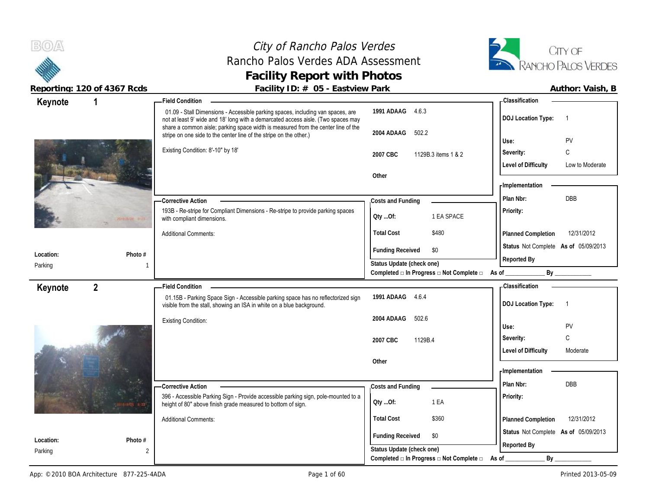**BOA** 

# City of Rancho Palos Verdes Rancho Palos Verdes ADA Assessment **Facility Report with Photos**



| $\frac{1}{2}$ | $\mathbf 1$         | $\frac{1}{2}$ about $\frac{1}{2}$ is $\frac{1}{2}$ if $\frac{1}{2}$ is the set of $\frac{1}{2}$ if $\frac{1}{2}$ is the set of $\frac{1}{2}$<br><b>Field Condition</b> |                                                                                               | - Classification                              |
|---------------|---------------------|------------------------------------------------------------------------------------------------------------------------------------------------------------------------|-----------------------------------------------------------------------------------------------|-----------------------------------------------|
| Keynote       |                     | 01.09 - Stall Dimensions - Accessible parking spaces, including van spaces, are<br>not at least 9' wide and 18' long with a demarcated access aisle. (Two spaces may   | 1991 ADAAG 4.6.3                                                                              | <b>DOJ Location Type:</b>                     |
|               |                     | share a common aisle; parking space width is measured from the center line of the<br>stripe on one side to the center line of the stripe on the other.)                | 502.2<br>2004 ADAAG                                                                           |                                               |
|               |                     |                                                                                                                                                                        |                                                                                               | PV<br>Use:                                    |
|               |                     | Existing Condition: 8'-10" by 18'                                                                                                                                      | 2007 CBC<br>1129B.3 items 1 & 2                                                               | C<br>Severity:                                |
|               |                     |                                                                                                                                                                        |                                                                                               | <b>Level of Difficulty</b><br>Low to Moderate |
|               |                     |                                                                                                                                                                        | Other                                                                                         |                                               |
|               |                     |                                                                                                                                                                        |                                                                                               | <b>Implementation</b>                         |
|               |                     | <b>Corrective Action</b>                                                                                                                                               | Costs and Funding                                                                             | <b>DBB</b><br>Plan Nbr:                       |
|               | <b>BOOTHER BUDG</b> | 193B - Re-stripe for Compliant Dimensions - Re-stripe to provide parking spaces<br>with compliant dimensions.                                                          | 1 EA SPACE<br>Oty Of:                                                                         | Priority:                                     |
|               |                     | <b>Additional Comments:</b>                                                                                                                                            | <b>Total Cost</b><br>\$480                                                                    | 12/31/2012<br>Planned Completion              |
|               |                     |                                                                                                                                                                        | <b>Funding Received</b><br>\$0                                                                | Status Not Complete As of 05/09/2013          |
| Location:     | Photo #             |                                                                                                                                                                        |                                                                                               | Reported By                                   |
| Parking       |                     |                                                                                                                                                                        | Status Update (check one)<br>Completed $\square$ In Progress $\square$ Not Complete $\square$ | As of<br>By                                   |
| Keynote       | $\overline{2}$      | - Field Condition                                                                                                                                                      |                                                                                               | <b>Classification</b>                         |
|               |                     | 01.15B - Parking Space Sign - Accessible parking space has no reflectorized sign<br>visible from the stall, showing an ISA in white on a blue background.              | 1991 ADAAG 4.6.4                                                                              | <b>DOJ Location Type:</b>                     |
|               |                     | <b>Existing Condition:</b>                                                                                                                                             | 2004 ADAAG<br>502.6                                                                           |                                               |
|               |                     |                                                                                                                                                                        |                                                                                               | PV<br>Use:                                    |
|               |                     |                                                                                                                                                                        | 1129B.4<br>2007 CBC                                                                           | С<br>Severity:                                |
|               |                     |                                                                                                                                                                        |                                                                                               | <b>Level of Difficulty</b><br>Moderate        |
|               |                     |                                                                                                                                                                        | Other                                                                                         |                                               |
|               |                     |                                                                                                                                                                        |                                                                                               | - Implementation                              |
|               |                     | <b>Corrective Action</b>                                                                                                                                               | Costs and Funding                                                                             | Plan Nbr:<br><b>DBB</b>                       |
|               |                     | 396 - Accessible Parking Sign - Provide accessible parking sign, pole-mounted to a<br>height of 80" above finish grade measured to bottom of sign.                     | 1 EA<br>QtyOf:                                                                                | Priority:                                     |
|               |                     | <b>Additional Comments:</b>                                                                                                                                            | <b>Total Cost</b><br>\$360                                                                    | 12/31/2012<br>Planned Completion              |
|               |                     |                                                                                                                                                                        |                                                                                               | Status Not Complete As of 05/09/2013          |
| Location:     | Photo #             |                                                                                                                                                                        |                                                                                               | Reported By                                   |
|               |                     |                                                                                                                                                                        |                                                                                               |                                               |
| Parking       | $\overline{2}$      |                                                                                                                                                                        | <b>Funding Received</b><br>\$0<br>Status Update (check one)                                   |                                               |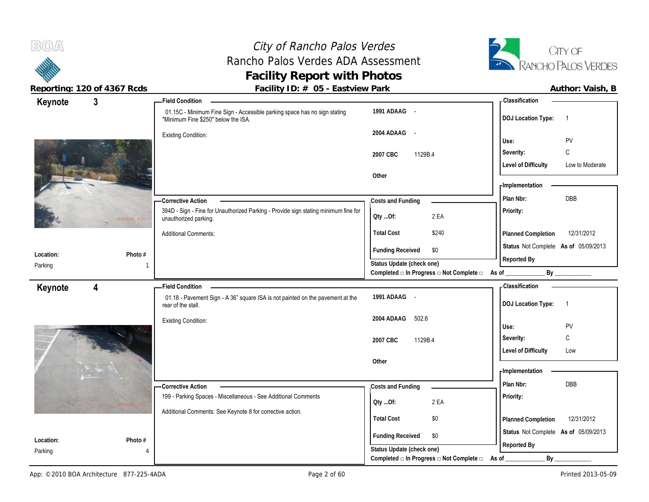# City of Rancho Palos Verdes Rancho Palos Verdes ADA Assessment **Facility Report with Photos**



| Keynote   | $\mathbf{3}$            | - Field Condition                                                                                                |                                                                                      | <b>Classification</b>                         |
|-----------|-------------------------|------------------------------------------------------------------------------------------------------------------|--------------------------------------------------------------------------------------|-----------------------------------------------|
|           |                         | 01.15C - Minimum Fine Sign - Accessible parking space has no sign stating<br>"Minimum Fine \$250" below the ISA. | 1991 ADAAG -                                                                         | <b>DOJ Location Type:</b><br>$\overline{1}$   |
|           |                         | <b>Existing Condition:</b>                                                                                       | 2004 ADAAG -                                                                         | PV<br>Use:                                    |
|           |                         |                                                                                                                  | 2007 CBC<br>1129B.4                                                                  | С<br>Severity:                                |
|           |                         |                                                                                                                  |                                                                                      | <b>Level of Difficulty</b><br>Low to Moderate |
|           |                         |                                                                                                                  | Other                                                                                |                                               |
|           |                         |                                                                                                                  |                                                                                      | - Implementation                              |
|           |                         | - Corrective Action                                                                                              | Costs and Funding                                                                    | DBB<br>Plan Nbr:                              |
|           | 2000 Miran Bart         | 394D - Sign - Fine for Unauthorized Parking - Provide sign stating minimum fine for<br>unauthorized parking.     | 2 EA<br>Oty Of:                                                                      | Priority:                                     |
|           |                         | <b>Additional Comments:</b>                                                                                      | <b>Total Cost</b><br>\$240                                                           | 12/31/2012<br>Planned Completion              |
| Location: |                         |                                                                                                                  | <b>Funding Received</b><br>\$0                                                       | Status Not Complete As of 05/09/2013          |
| Parking   | Photo #                 |                                                                                                                  | Status Update (check one)                                                            | Reported By                                   |
|           |                         |                                                                                                                  | Completed □ In Progress □ Not Complete □ As of _                                     | By                                            |
| Keynote   | $\overline{\mathbf{4}}$ | <b>Field Condition</b>                                                                                           |                                                                                      | <b>Classification</b>                         |
|           |                         |                                                                                                                  |                                                                                      |                                               |
|           |                         | 01.18 - Pavement Sign - A 36" square ISA is not painted on the pavement at the<br>rear of the stall.             | 1991 ADAAG -                                                                         | <b>DOJ Location Type:</b><br>$\overline{1}$   |
|           |                         | <b>Existing Condition:</b>                                                                                       | 2004 ADAAG<br>502.6                                                                  |                                               |
|           |                         |                                                                                                                  |                                                                                      | <b>PV</b><br>Use:                             |
|           |                         |                                                                                                                  | 2007 CBC<br>1129B.4                                                                  | С<br>Severity:                                |
|           |                         |                                                                                                                  | Other                                                                                | <b>Level of Difficulty</b><br>Low             |
|           |                         |                                                                                                                  |                                                                                      | - Implementation                              |
|           |                         | -Corrective Action                                                                                               | Costs and Funding                                                                    | Plan Nbr:<br>DBB                              |
|           |                         | 199 - Parking Spaces - Miscellaneous - See Additional Comments                                                   |                                                                                      | Priority:                                     |
|           |                         | Additional Comments: See Keynote 8 for corrective action.                                                        | 2 EA<br>Qty Of:                                                                      |                                               |
|           |                         |                                                                                                                  | <b>Total Cost</b><br>\$0                                                             | 12/31/2012<br>Planned Completion              |
| Location: | Photo #                 |                                                                                                                  | <b>Funding Received</b><br>\$0                                                       | Status Not Complete As of 05/09/2013          |
| Parking   |                         |                                                                                                                  | Status Update (check one)<br>Completed $\Box$ In Progress $\Box$ Not Complete $\Box$ | Reported By<br>By<br>As of                    |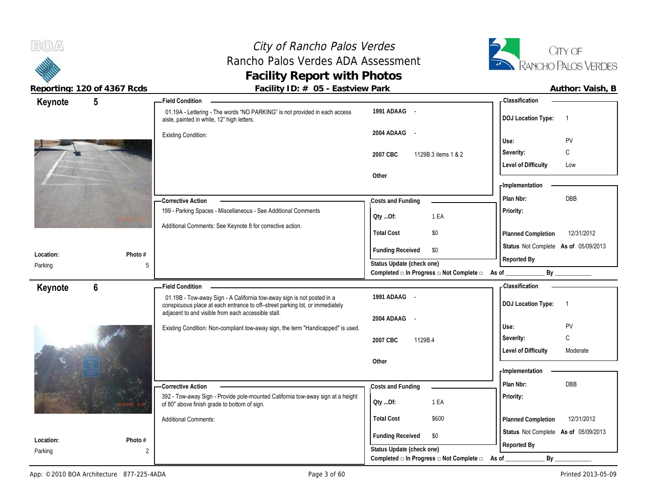# City of Rancho Palos Verdes Rancho Palos Verdes ADA Assessment **Facility Report with Photos**



| Keynote              | 5              | - Field Condition                                                                                                                                      |                                                  | - Classification                            |
|----------------------|----------------|--------------------------------------------------------------------------------------------------------------------------------------------------------|--------------------------------------------------|---------------------------------------------|
|                      |                | 01.19A - Lettering - The words "NO PARKING" is not provided in each access<br>aisle, painted in white, 12" high letters.                               | 1991 ADAAG -                                     | <b>DOJ</b> Location Type:<br>$\overline{1}$ |
|                      |                | <b>Existing Condition:</b>                                                                                                                             | 2004 ADAAG -                                     | PV<br>Use:                                  |
|                      |                |                                                                                                                                                        | 2007 CBC<br>1129B.3 items 1 & 2                  | C<br>Severity:                              |
|                      |                |                                                                                                                                                        |                                                  | <b>Level of Difficulty</b><br>Low           |
|                      |                |                                                                                                                                                        | Other                                            |                                             |
|                      |                |                                                                                                                                                        |                                                  | - Implementation                            |
|                      |                | -Corrective Action                                                                                                                                     | Costs and Funding                                | DBB<br>Plan Nbr:                            |
|                      |                | 199 - Parking Spaces - Miscellaneous - See Additional Comments                                                                                         | 1 EA<br>QtyOf:                                   | Priority:                                   |
|                      |                | Additional Comments: See Keynote 8 for corrective action.                                                                                              |                                                  |                                             |
|                      |                |                                                                                                                                                        | <b>Total Cost</b><br>\$0                         | 12/31/2012<br>Planned Completion            |
|                      | Photo #        |                                                                                                                                                        | <b>Funding Received</b><br>\$0                   | Status Not Complete As of 05/09/2013        |
| Location:<br>Parking | 5              |                                                                                                                                                        | Status Update (check one)                        | Reported By                                 |
|                      |                |                                                                                                                                                        | Completed □ In Progress □ Not Complete □ As of _ | By                                          |
|                      |                |                                                                                                                                                        |                                                  |                                             |
|                      | $6\phantom{1}$ | <b>Field Condition</b>                                                                                                                                 |                                                  | - Classification                            |
| Keynote              |                | 01.19B - Tow-away Sign - A California tow-away sign is not posted in a<br>conspicuous place at each entrance to off-street parking lot, or immediately | 1991 ADAAG -                                     | <b>DOJ Location Type:</b><br>$\overline{1}$ |
|                      |                | adjacent to and visible from each accessible stall.                                                                                                    | 2004 ADAAG -                                     |                                             |
|                      |                | Existing Condition: Non-compliant tow-away sign, the term "Handicapped" is used.                                                                       |                                                  | Use:<br>PV                                  |
|                      |                |                                                                                                                                                        | 2007 CBC<br>1129B.4                              | C<br>Severity:                              |
|                      |                |                                                                                                                                                        |                                                  | <b>Level of Difficulty</b><br>Moderate      |
|                      |                |                                                                                                                                                        | Other                                            |                                             |
|                      |                |                                                                                                                                                        |                                                  | - Implementation                            |
|                      |                | -Corrective Action                                                                                                                                     | Costs and Funding                                | Plan Nbr:<br><b>DBB</b>                     |
|                      |                | 392 - Tow-away Sign - Provide pole-mounted California tow-away sign at a height<br>of 80" above finish grade to bottom of sign.                        | 1 EA<br>Oty Of:                                  | Priority:                                   |
|                      |                | <b>Additional Comments:</b>                                                                                                                            | <b>Total Cost</b><br>\$600                       | 12/31/2012<br>Planned Completion            |
|                      |                |                                                                                                                                                        | <b>Funding Received</b><br>\$0                   | Status Not Complete As of 05/09/2013        |
| Location:<br>Parking | Photo #<br>2   |                                                                                                                                                        | Status Update (check one)                        | Reported By                                 |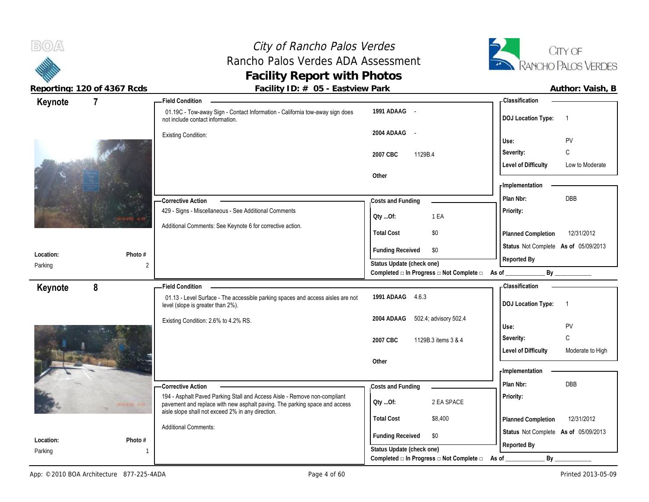# City of Rancho Palos Verdes Rancho Palos Verdes ADA Assessment **Facility Report with Photos**



| Keynote              | $\overline{7}$            | - Field Condition                                                                                                                                       |                                                             | <b>Classification</b>                          |
|----------------------|---------------------------|---------------------------------------------------------------------------------------------------------------------------------------------------------|-------------------------------------------------------------|------------------------------------------------|
|                      |                           | 01.19C - Tow-away Sign - Contact Information - California tow-away sign does<br>not include contact information.                                        | 1991 ADAAG -                                                | <b>DOJ Location Type:</b><br>$\overline{1}$    |
|                      |                           | <b>Existing Condition:</b>                                                                                                                              | 2004 ADAAG -                                                | PV<br>Use:                                     |
|                      |                           |                                                                                                                                                         | 2007 CBC<br>1129B.4                                         | C<br>Severity:                                 |
|                      |                           |                                                                                                                                                         |                                                             | <b>Level of Difficulty</b><br>Low to Moderate  |
|                      |                           |                                                                                                                                                         | Other                                                       |                                                |
|                      |                           |                                                                                                                                                         |                                                             | - Implementation                               |
|                      |                           | - Corrective Action                                                                                                                                     | Costs and Funding                                           | Plan Nbr:<br>DBB                               |
|                      |                           | 429 - Signs - Miscellaneous - See Additional Comments                                                                                                   | 1 EA<br>QtyOf:                                              | Priority:                                      |
|                      |                           | Additional Comments: See Keynote 6 for corrective action.                                                                                               | <b>Total Cost</b><br>\$0                                    | Planned Completion<br>12/31/2012               |
|                      |                           |                                                                                                                                                         | <b>Funding Received</b><br>\$0                              | Status Not Complete As of 05/09/2013           |
| Location:<br>Parking | Photo #<br>$\overline{2}$ |                                                                                                                                                         | Status Update (check one)                                   | Reported By                                    |
|                      |                           |                                                                                                                                                         | Completed □ In Progress □ Not Complete □                    | By<br>As of _                                  |
| Keynote              | 8                         | <b>Field Condition</b>                                                                                                                                  |                                                             | Classification                                 |
|                      |                           |                                                                                                                                                         |                                                             |                                                |
|                      |                           | 01.13 - Level Surface - The accessible parking spaces and access aisles are not<br>level (slope is greater than 2%).                                    | 1991 ADAAG 4.6.3                                            | <b>DOJ Location Type:</b><br>$\overline{1}$    |
|                      |                           | Existing Condition: 2.6% to 4.2% RS.                                                                                                                    | 2004 ADAAG<br>502.4, advisory 502.4                         | PV<br>Use:                                     |
|                      |                           |                                                                                                                                                         | 2007 CBC<br>1129B.3 items 3 & 4                             | $\mathsf C$<br>Severity:                       |
|                      |                           |                                                                                                                                                         |                                                             | <b>Level of Difficulty</b><br>Moderate to High |
|                      |                           |                                                                                                                                                         | Other                                                       |                                                |
|                      |                           |                                                                                                                                                         |                                                             | - Implementation                               |
|                      |                           | <b>Corrective Action</b>                                                                                                                                | Costs and Funding                                           | Plan Nbr:<br><b>DBB</b>                        |
|                      |                           | 194 - Asphalt Paved Parking Stall and Access Aisle - Remove non-compliant<br>pavement and replace with new asphalt paving. The parking space and access | 2 EA SPACE<br>QtyOf:                                        | Priority:                                      |
|                      |                           | aisle slope shall not exceed 2% in any direction.                                                                                                       | <b>Total Cost</b><br>\$8,400                                | 12/31/2012<br>Planned Completion               |
|                      |                           | <b>Additional Comments:</b>                                                                                                                             |                                                             | Status Not Complete As of 05/09/2013           |
| Location:<br>Parking | Photo #                   |                                                                                                                                                         | <b>Funding Received</b><br>\$0<br>Status Update (check one) | Reported By                                    |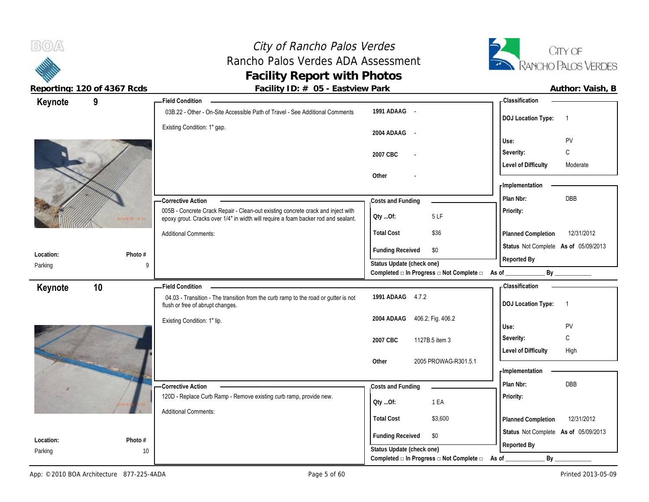# City of Rancho Palos Verdes Rancho Palos Verdes ADA Assessment **Facility Report with Photos**



|                       | Author: Vaish |
|-----------------------|---------------|
| <b>Classification</b> |               |

| Keynote              | 9            | <b>Field Condition</b>                                                                                                  |                                                                  | <b>Classification</b>                       |
|----------------------|--------------|-------------------------------------------------------------------------------------------------------------------------|------------------------------------------------------------------|---------------------------------------------|
|                      |              | 03B.22 - Other - On-Site Accessible Path of Travel - See Additional Comments                                            | 1991 ADAAG -                                                     | <b>DOJ Location Type:</b><br>$\overline{1}$ |
|                      |              | Existing Condition: 1" gap.                                                                                             | 2004 ADAAG -                                                     |                                             |
|                      |              |                                                                                                                         |                                                                  | PV<br>Use:                                  |
|                      |              |                                                                                                                         | 2007 CBC                                                         | C<br>Severity:                              |
|                      |              |                                                                                                                         |                                                                  | <b>Level of Difficulty</b><br>Moderate      |
|                      |              |                                                                                                                         | Other                                                            | - Implementation                            |
|                      |              |                                                                                                                         |                                                                  | DBB<br>Plan Nbr:                            |
|                      |              | - Corrective Action<br>005B - Concrete Crack Repair - Clean-out existing concrete crack and inject with                 | Costs and Funding                                                | Priority:                                   |
|                      |              | epoxy grout. Cracks over 1/4" in width will require a foam backer rod and sealant.                                      | Oty Of:<br>5LF                                                   |                                             |
|                      |              | <b>Additional Comments:</b>                                                                                             | <b>Total Cost</b><br>\$36                                        | 12/31/2012<br>Planned Completion            |
|                      |              |                                                                                                                         | <b>Funding Received</b><br>\$0                                   | Status Not Complete As of 05/09/2013        |
| Location:<br>Parking | Photo #<br>9 |                                                                                                                         | Status Update (check one)                                        | Reported By                                 |
|                      |              |                                                                                                                         | Completed □ In Progress □ Not Complete □ As of                   | By                                          |
| Keynote              | 10           | <b>Field Condition</b>                                                                                                  |                                                                  | - Classification                            |
|                      |              | 04.03 - Transition - The transition from the curb ramp to the road or gutter is not<br>flush or free of abrupt changes. | 1991 ADAAG 4.7.2                                                 | <b>DOJ Location Type:</b><br>$\overline{1}$ |
|                      |              | Existing Condition: 1" lip.                                                                                             | 406.2, Fig. 406.2<br>2004 ADAAG                                  |                                             |
|                      |              |                                                                                                                         |                                                                  | PV<br>Use:                                  |
|                      |              |                                                                                                                         | 2007 CBC<br>1127B.5 item 3                                       | C<br>Severity:                              |
|                      |              |                                                                                                                         |                                                                  | <b>Level of Difficulty</b><br>High          |
|                      |              |                                                                                                                         | Other<br>2005 PROWAG-R301.5.1                                    | - Implementation                            |
|                      |              | - Corrective Action                                                                                                     | Costs and Funding                                                | DBB<br>Plan Nbr:                            |
|                      |              | 120D - Replace Curb Ramp - Remove existing curb ramp, provide new.                                                      | 1 EA                                                             | Priority:                                   |
|                      |              | <b>Additional Comments:</b>                                                                                             | QtyOf:                                                           |                                             |
|                      |              |                                                                                                                         | <b>Total Cost</b><br>\$3,600                                     | 12/31/2012<br>Planned Completion            |
| Location:            | Photo #      |                                                                                                                         | <b>Funding Received</b><br>\$0                                   | Status Not Complete As of 05/09/2013        |
| Parking              | 10           |                                                                                                                         | Status Update (check one)                                        | Reported By                                 |
|                      |              |                                                                                                                         | Completed $\square$ In Progress $\square$ Not Complete $\square$ | By<br>As of                                 |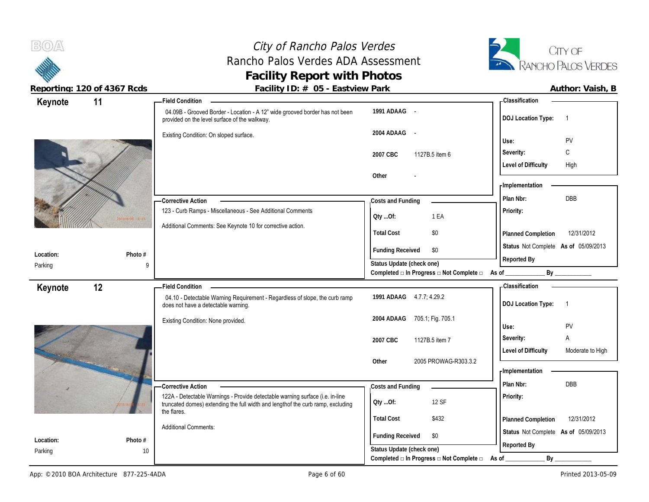# City of Rancho Palos Verdes Rancho Palos Verdes ADA Assessment **Facility Report with Photos**



| Keynote              | 11            | <b>Field Condition</b>                                                                                                       |                                          | <b>Classification</b>                          |
|----------------------|---------------|------------------------------------------------------------------------------------------------------------------------------|------------------------------------------|------------------------------------------------|
|                      |               | 04.09B - Grooved Border - Location - A 12" wide grooved border has not been<br>provided on the level surface of the walkway. | 1991 ADAAG -                             | <b>DOJ Location Type:</b><br>$\overline{1}$    |
|                      |               | Existing Condition: On sloped surface.                                                                                       | 2004 ADAAG -                             | PV<br>Use:                                     |
|                      |               |                                                                                                                              | 1127B.5 item 6<br>2007 CBC               | C<br>Severity:                                 |
|                      |               |                                                                                                                              |                                          | <b>Level of Difficulty</b><br>High             |
|                      |               |                                                                                                                              | Other                                    |                                                |
|                      |               |                                                                                                                              |                                          | - Implementation                               |
|                      |               | -Corrective Action                                                                                                           | Costs and Funding                        | DBB<br>Plan Nbr:                               |
|                      |               | 123 - Curb Ramps - Miscellaneous - See Additional Comments                                                                   | 1 EA<br>Oty Of:                          | Priority:                                      |
|                      |               | Additional Comments: See Keynote 10 for corrective action.                                                                   |                                          |                                                |
|                      |               |                                                                                                                              | <b>Total Cost</b><br>\$0                 | 12/31/2012<br>Planned Completion               |
|                      |               |                                                                                                                              | <b>Funding Received</b><br>\$0           | Status Not Complete As of 05/09/2013           |
| Location:<br>Parking | Photo #<br>9  |                                                                                                                              | Status Update (check one)                | Reported By                                    |
|                      |               |                                                                                                                              | Completed □ In Progress □ Not Complete □ | As of<br>By                                    |
|                      |               |                                                                                                                              |                                          |                                                |
|                      |               | <b>Field Condition</b>                                                                                                       |                                          | <b>Classification</b>                          |
| Keynote              | 12            | 04.10 - Detectable Warning Requirement - Regardless of slope, the curb ramp<br>does not have a detectable warning.           | 1991 ADAAG 4.7.7; 4.29.2                 | <b>DOJ Location Type:</b><br>$\overline{1}$    |
|                      |               | Existing Condition: None provided.                                                                                           | 705.1; Fig. 705.1<br>2004 ADAAG          | PV<br>Use:                                     |
|                      |               |                                                                                                                              | 2007 CBC<br>1127B.5 item 7               | A<br>Severity:                                 |
|                      |               |                                                                                                                              |                                          | <b>Level of Difficulty</b><br>Moderate to High |
|                      |               |                                                                                                                              | 2005 PROWAG-R303.3.2<br>Other            |                                                |
|                      |               |                                                                                                                              |                                          | - Implementation                               |
|                      |               | -Corrective Action                                                                                                           | Costs and Funding                        | <b>DBB</b><br>Plan Nbr:                        |
|                      |               | 122A - Detectable Warnings - Provide detectable warning surface (i.e. in-line                                                | 12 SF                                    | Priority:                                      |
|                      |               | truncated domes) extending the full width and lengthof the curb ramp, excluding<br>the flares.                               | QtyOf:                                   |                                                |
|                      |               |                                                                                                                              | <b>Total Cost</b><br>\$432               | Planned Completion<br>12/31/2012               |
|                      |               | <b>Additional Comments:</b>                                                                                                  | <b>Funding Received</b><br>\$0           | Status Not Complete As of 05/09/2013           |
| Location:<br>Parking | Photo #<br>10 |                                                                                                                              | Status Update (check one)                | Reported By                                    |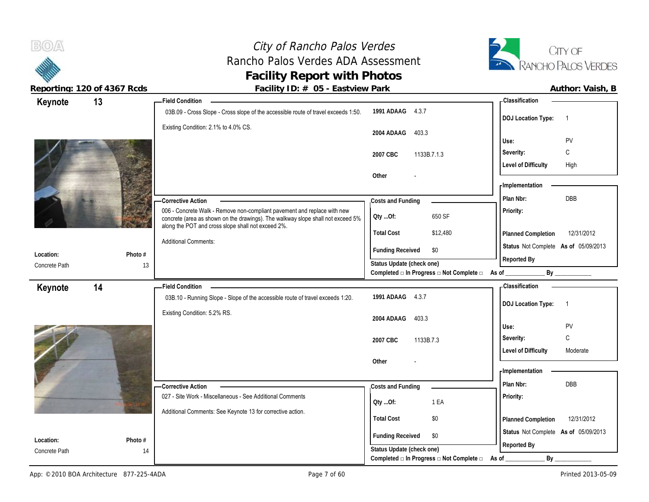

 $B(0)$ 

| Keynote                    | 13      | <b>Field Condition</b>                                                                                                                                                                                            |                                                                       | - Classification                            |
|----------------------------|---------|-------------------------------------------------------------------------------------------------------------------------------------------------------------------------------------------------------------------|-----------------------------------------------------------------------|---------------------------------------------|
|                            |         | 03B.09 - Cross Slope - Cross slope of the accessible route of travel exceeds 1:50.                                                                                                                                | 1991 ADAAG 4.3.7                                                      | <b>DOJ Location Type:</b><br>$\overline{1}$ |
|                            |         | Existing Condition: 2.1% to 4.0% CS.                                                                                                                                                                              | 2004 ADAAG<br>403.3                                                   |                                             |
|                            |         |                                                                                                                                                                                                                   |                                                                       | PV<br>Use:                                  |
|                            |         |                                                                                                                                                                                                                   | 2007 CBC<br>1133B.7.1.3                                               | Severity:<br>C                              |
|                            |         |                                                                                                                                                                                                                   |                                                                       | <b>Level of Difficulty</b><br>High          |
|                            |         |                                                                                                                                                                                                                   | Other                                                                 | - Implementation                            |
|                            |         |                                                                                                                                                                                                                   |                                                                       | <b>DBB</b><br>Plan Nbr:                     |
|                            |         | <b>Corrective Action</b>                                                                                                                                                                                          | Costs and Funding                                                     |                                             |
|                            |         | 006 - Concrete Walk - Remove non-compliant pavement and replace with new<br>concrete (area as shown on the drawings). The walkway slope shall not exceed 5%<br>along the POT and cross slope shall not exceed 2%. | 650 SF<br>Oty Of:                                                     | Priority:                                   |
|                            |         |                                                                                                                                                                                                                   | <b>Total Cost</b><br>\$12,480                                         | 12/31/2012<br>Planned Completion            |
|                            |         | <b>Additional Comments:</b>                                                                                                                                                                                       | <b>Funding Received</b><br>\$0                                        | Status Not Complete As of 05/09/2013        |
| Location:<br>Concrete Path | Photo # |                                                                                                                                                                                                                   | Status Update (check one)                                             | Reported By                                 |
|                            | 13      |                                                                                                                                                                                                                   | Completed □ In Progress □ Not Complete □ As of _                      | By                                          |
| Keynote                    | 14      | <b>Field Condition</b>                                                                                                                                                                                            |                                                                       | - Classification                            |
|                            |         | 03B.10 - Running Slope - Slope of the accessible route of travel exceeds 1:20.                                                                                                                                    | 1991 ADAAG 4.3.7                                                      | $\overline{1}$                              |
|                            |         | Existing Condition: 5.2% RS.                                                                                                                                                                                      |                                                                       | <b>DOJ Location Type:</b>                   |
|                            |         |                                                                                                                                                                                                                   | 403.3<br>2004 ADAAG                                                   | PV<br>Use:                                  |
|                            |         |                                                                                                                                                                                                                   |                                                                       | C<br>Severity:                              |
|                            |         |                                                                                                                                                                                                                   | 2007 CBC<br>1133B.7.3                                                 | <b>Level of Difficulty</b><br>Moderate      |
|                            |         |                                                                                                                                                                                                                   | Other                                                                 |                                             |
|                            |         |                                                                                                                                                                                                                   |                                                                       | - Implementation                            |
|                            |         |                                                                                                                                                                                                                   |                                                                       |                                             |
|                            |         |                                                                                                                                                                                                                   |                                                                       | Plan Nbr:<br>DBB                            |
|                            |         | -Corrective Action<br>027 - Site Work - Miscellaneous - See Additional Comments                                                                                                                                   | Costs and Funding                                                     |                                             |
|                            |         |                                                                                                                                                                                                                   | 1 EA<br>Qty Of:                                                       | Priority:                                   |
|                            |         | Additional Comments: See Keynote 13 for corrective action.                                                                                                                                                        | <b>Total Cost</b><br>\$0                                              | 12/31/2012                                  |
|                            |         |                                                                                                                                                                                                                   |                                                                       | Planned Completion                          |
| Location:                  | Photo # |                                                                                                                                                                                                                   | <b>Funding Received</b><br>\$0                                        | Status Not Complete As of 05/09/2013        |
| Concrete Path              | 14      |                                                                                                                                                                                                                   | Status Update (check one)<br>Completed □ In Progress □ Not Complete □ | Reported By<br>By<br>As of                  |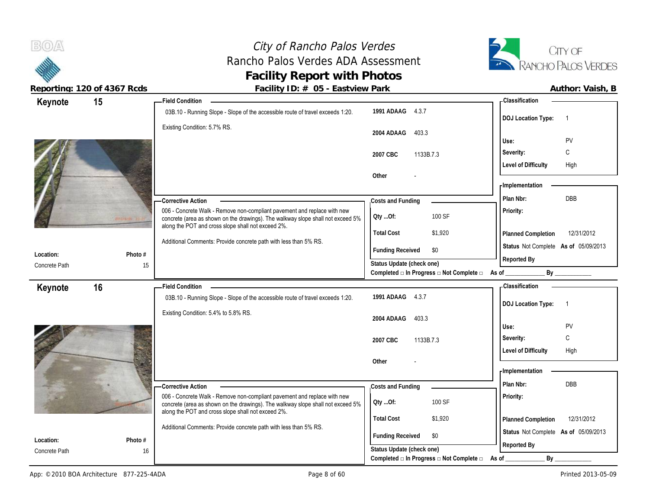

 $B(0)$ 

| Keynote                    | 15            | - Field Condition                                                                                                                     |                                          |           | - Classification           |                                      |
|----------------------------|---------------|---------------------------------------------------------------------------------------------------------------------------------------|------------------------------------------|-----------|----------------------------|--------------------------------------|
|                            |               | 03B.10 - Running Slope - Slope of the accessible route of travel exceeds 1:20.                                                        | 1991 ADAAG 4.3.7                         |           |                            |                                      |
|                            |               | Existing Condition: 5.7% RS.                                                                                                          |                                          |           | <b>DOJ</b> Location Type:  | $\overline{1}$                       |
|                            |               |                                                                                                                                       | 2004 ADAAG<br>403.3                      |           |                            |                                      |
|                            |               |                                                                                                                                       |                                          | Use:      |                            | PV                                   |
|                            |               |                                                                                                                                       | 2007 CBC<br>1133B.7.3                    | Severity: |                            | C                                    |
|                            |               |                                                                                                                                       |                                          |           | <b>Level of Difficulty</b> | High                                 |
|                            |               |                                                                                                                                       | Other                                    |           | <b>Implementation</b>      |                                      |
|                            |               |                                                                                                                                       |                                          |           | Plan Nbr:                  | DBB                                  |
|                            |               | -Corrective Action<br>006 - Concrete Walk - Remove non-compliant pavement and replace with new                                        | Costs and Funding                        |           |                            |                                      |
|                            |               | concrete (area as shown on the drawings). The walkway slope shall not exceed 5%                                                       | 100 SF<br>Oty Of:                        | Priority: |                            |                                      |
|                            |               | along the POT and cross slope shall not exceed 2%.                                                                                    | <b>Total Cost</b><br>\$1,920             |           | Planned Completion         | 12/31/2012                           |
|                            |               | Additional Comments: Provide concrete path with less than 5% RS.                                                                      |                                          |           |                            | Status Not Complete As of 05/09/2013 |
| Location:                  | Photo #       |                                                                                                                                       | <b>Funding Received</b><br>\$0           |           | Reported By                |                                      |
| Concrete Path              | 15            |                                                                                                                                       | Status Update (check one)                |           |                            |                                      |
|                            |               |                                                                                                                                       | Completed □ In Progress □ Not Complete □ | As of _   |                            | By                                   |
| Keynote                    | 16            | <b>Field Condition</b>                                                                                                                |                                          |           | <b>Classification</b>      |                                      |
|                            |               | 03B.10 - Running Slope - Slope of the accessible route of travel exceeds 1:20.                                                        | 1991 ADAAG 4.3.7                         |           | <b>DOJ Location Type:</b>  | $\overline{1}$                       |
|                            |               | Existing Condition: 5.4% to 5.8% RS.                                                                                                  | 2004 ADAAG<br>403.3                      |           |                            |                                      |
|                            |               |                                                                                                                                       |                                          | Use:      |                            | PV                                   |
|                            |               |                                                                                                                                       |                                          |           |                            |                                      |
|                            |               |                                                                                                                                       | 1133B.7.3<br>2007 CBC                    | Severity: |                            | C                                    |
|                            |               |                                                                                                                                       |                                          |           | <b>Level of Difficulty</b> | High                                 |
|                            |               |                                                                                                                                       | Other                                    |           |                            |                                      |
|                            |               |                                                                                                                                       |                                          |           | - Implementation           |                                      |
|                            |               | -Corrective Action                                                                                                                    | Costs and Funding                        |           | Plan Nbr:                  | DBB                                  |
|                            |               | 006 - Concrete Walk - Remove non-compliant pavement and replace with new                                                              | 100 SF                                   | Priority: |                            |                                      |
|                            |               | concrete (area as shown on the drawings). The walkway slope shall not exceed 5%<br>along the POT and cross slope shall not exceed 2%. | Oty Of:                                  |           |                            |                                      |
|                            |               |                                                                                                                                       | <b>Total Cost</b><br>\$1,920             |           | Planned Completion         | 12/31/2012                           |
|                            |               | Additional Comments: Provide concrete path with less than 5% RS.                                                                      | <b>Funding Received</b><br>\$0           |           |                            | Status Not Complete As of 05/09/2013 |
| Location:<br>Concrete Path | Photo #<br>16 |                                                                                                                                       | Status Update (check one)                |           | Reported By                |                                      |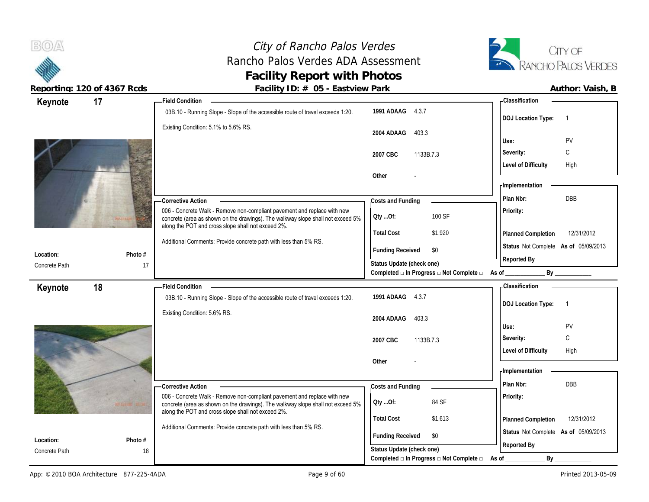

**Reporting: 120 of 4367 Rcds** 

**Keynote**

 $B(0)$ 

**Location:** Concrete Path

**Keynote**

17

**Photo #**

**18 Field Condition**

**17 Field Condition**

| Facility ID: # 05 - Eastview Park                                                                                                                                                                                 |                           |                                                         |                                      | Author: Vaish, B |
|-------------------------------------------------------------------------------------------------------------------------------------------------------------------------------------------------------------------|---------------------------|---------------------------------------------------------|--------------------------------------|------------------|
| <b>Field Condition</b>                                                                                                                                                                                            |                           |                                                         | - Classification                     |                  |
| 03B.10 - Running Slope - Slope of the accessible route of travel exceeds 1:20.                                                                                                                                    | 1991 ADAAG                | 4.3.7                                                   | <b>DOJ Location Type:</b>            |                  |
| Existing Condition: 5.1% to 5.6% RS.                                                                                                                                                                              | 2004 ADAAG                | 403.3                                                   | Use:                                 | PV               |
|                                                                                                                                                                                                                   | 2007 CBC                  | 1133B.7.3                                               | Severity:                            | C                |
|                                                                                                                                                                                                                   | Other                     |                                                         | Level of Difficulty                  | High             |
|                                                                                                                                                                                                                   |                           |                                                         | - Implementation                     |                  |
| <b>Corrective Action</b>                                                                                                                                                                                          | Costs and Funding         |                                                         | Plan Nbr:                            | <b>DBB</b>       |
| 006 - Concrete Walk - Remove non-compliant pavement and replace with new<br>concrete (area as shown on the drawings). The walkway slope shall not exceed 5%<br>along the POT and cross slope shall not exceed 2%. | QtyOf:                    | 100 SF                                                  | Priority:                            |                  |
|                                                                                                                                                                                                                   | <b>Total Cost</b>         | \$1,920                                                 | <b>Planned Completion</b>            | 12/31/2012       |
| Additional Comments: Provide concrete path with less than 5% RS.                                                                                                                                                  | <b>Funding Received</b>   | \$0                                                     | Status Not Complete As of 05/09/2013 |                  |
|                                                                                                                                                                                                                   | Status Update (check one) | Completed $\Box$ In Progress $\Box$ Not Complete $\Box$ | Reported By<br>By<br>As of           |                  |
| <b>Field Condition</b>                                                                                                                                                                                            |                           |                                                         | - Classification                     |                  |
| 03B.10 - Running Slope - Slope of the accessible route of travel exceeds 1:20.                                                                                                                                    | 1991 ADAAG                | 4.3.7                                                   | <b>DOJ Location Type:</b>            |                  |
| Existing Condition: 5.6% RS.                                                                                                                                                                                      | 2004 ADAAG                | 403.3                                                   |                                      |                  |

| Location: | Photo # |
|-----------|---------|

|                                             |                                                                                                                                                                                                                                                                                                             | 1133B.7.3<br>2007 CBC<br>Other                                                                            |                         | Use:<br>Severity:<br><b>Level of Difficulty</b>                                                                               | PV<br>$\sim$<br>◡<br>High |  |
|---------------------------------------------|-------------------------------------------------------------------------------------------------------------------------------------------------------------------------------------------------------------------------------------------------------------------------------------------------------------|-----------------------------------------------------------------------------------------------------------|-------------------------|-------------------------------------------------------------------------------------------------------------------------------|---------------------------|--|
| Photo #<br>Location:<br>18<br>Concrete Path | -Corrective Action<br>006 - Concrete Walk - Remove non-compliant pavement and replace with new<br>concrete (area as shown on the drawings). The walkway slope shall not exceed 5%<br>along the POT and cross slope shall not exceed 2%.<br>Additional Comments: Provide concrete path with less than 5% RS. | Costs and Funding<br>Oty Of:<br><b>Total Cost</b><br><b>Funding Received</b><br>Status Update (check one) | 84 SF<br>\$1,613<br>\$0 | -Implementation<br>Plan Nbr:<br><b>Priority:</b><br>Planned Completion<br>Status Not Complete As of 05/09/2013<br>Reported By | <b>DBB</b><br>12/31/2012  |  |
|                                             |                                                                                                                                                                                                                                                                                                             | Completed $\square$ In Progress $\square$ Not Complete $\square$                                          | As of                   | Bv                                                                                                                            |                           |  |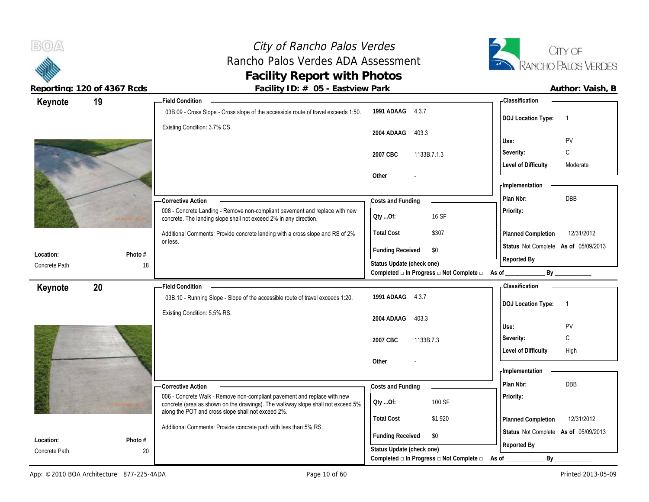

 $B(0)$ 

| Keynote                    | 19      | <b>Field Condition</b>                                                                                                                           |                                                         | <b>Classification</b>                       |
|----------------------------|---------|--------------------------------------------------------------------------------------------------------------------------------------------------|---------------------------------------------------------|---------------------------------------------|
|                            |         | 03B.09 - Cross Slope - Cross slope of the accessible route of travel exceeds 1:50.                                                               | 1991 ADAAG 4.3.7                                        | <b>DOJ Location Type:</b><br>$\overline{1}$ |
|                            |         | Existing Condition: 3.7% CS.                                                                                                                     | 2004 ADAAG<br>403.3                                     | Use:<br>PV                                  |
|                            |         |                                                                                                                                                  | 2007 CBC<br>1133B.7.1.3                                 | C<br>Severity:                              |
|                            |         |                                                                                                                                                  |                                                         | <b>Level of Difficulty</b><br>Moderate      |
|                            |         |                                                                                                                                                  | Other                                                   | - Implementation                            |
|                            |         | -Corrective Action                                                                                                                               | Costs and Funding                                       | DBB<br>Plan Nbr:                            |
|                            |         | 008 - Concrete Landing - Remove non-compliant pavement and replace with new<br>concrete. The landing slope shall not exceed 2% in any direction. | 16 SF<br>Oty Of:                                        | Priority:                                   |
|                            |         | Additional Comments: Provide concrete landing with a cross slope and RS of 2%                                                                    | <b>Total Cost</b><br>\$307                              | 12/31/2012<br>Planned Completion            |
|                            |         | or less.                                                                                                                                         | <b>Funding Received</b><br>\$0                          | Status Not Complete As of 05/09/2013        |
| Location:<br>Concrete Path | Photo # |                                                                                                                                                  | Status Update (check one)                               | Reported By                                 |
|                            | 18      |                                                                                                                                                  | Completed □ In Progress □ Not Complete □ As of _        | By                                          |
| Keynote                    | 20      | <b>Field Condition</b>                                                                                                                           |                                                         | - Classification                            |
|                            |         | 03B.10 - Running Slope - Slope of the accessible route of travel exceeds 1:20.                                                                   | 1991 ADAAG 4.3.7                                        | <b>DOJ Location Type:</b><br>$\overline{1}$ |
|                            |         | Existing Condition: 5.5% RS.                                                                                                                     | 2004 ADAAG<br>403.3                                     |                                             |
|                            |         |                                                                                                                                                  |                                                         | PV<br>Use:                                  |
|                            |         |                                                                                                                                                  | 2007 CBC<br>1133B.7.3                                   | C<br>Severity:                              |
|                            |         |                                                                                                                                                  |                                                         | <b>Level of Difficulty</b><br>High          |
|                            |         |                                                                                                                                                  | Other                                                   | - Implementation                            |
|                            |         |                                                                                                                                                  |                                                         | DBB<br>Plan Nbr:                            |
|                            |         | -Corrective Action<br>006 - Concrete Walk - Remove non-compliant pavement and replace with new                                                   | Costs and Funding                                       |                                             |
|                            |         | concrete (area as shown on the drawings). The walkway slope shall not exceed 5%<br>along the POT and cross slope shall not exceed 2%.            | 100 SF<br>Oty Of:                                       | Priority:                                   |
|                            |         | Additional Comments: Provide concrete path with less than 5% RS.                                                                                 | <b>Total Cost</b><br>\$1,920                            | 12/31/2012<br>Planned Completion            |
| Location:                  | Photo # |                                                                                                                                                  | <b>Funding Received</b><br>\$0                          | Status Not Complete As of 05/09/2013        |
| Concrete Path              | 20      |                                                                                                                                                  | Status Update (check one)                               | Reported By                                 |
|                            |         |                                                                                                                                                  | Completed $\Box$ In Progress $\Box$ Not Complete $\Box$ | $By_$<br>As of                              |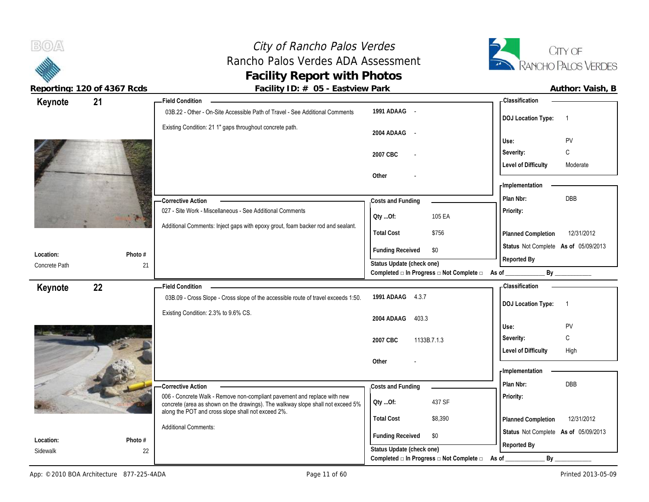# City of Rancho Palos Verdes Rancho Palos Verdes ADA Assessment **Facility Report with Photos**



| Keynote               | 21            | - Field Condition                                                                  |                                                                               | - Classification                                    |
|-----------------------|---------------|------------------------------------------------------------------------------------|-------------------------------------------------------------------------------|-----------------------------------------------------|
|                       |               | 03B.22 - Other - On-Site Accessible Path of Travel - See Additional Comments       | 1991 ADAAG -                                                                  | <b>DOJ Location Type:</b><br>$\overline{1}$         |
|                       |               | Existing Condition: 21 1" gaps throughout concrete path.                           | 2004 ADAAG -                                                                  | PV<br>Use:                                          |
|                       |               |                                                                                    | 2007 CBC                                                                      | C<br>Severity:                                      |
|                       |               |                                                                                    |                                                                               | <b>Level of Difficulty</b><br>Moderate              |
|                       |               |                                                                                    | Other                                                                         | - Implementation                                    |
|                       |               | -Corrective Action                                                                 | Costs and Funding                                                             | DBB<br>Plan Nbr:                                    |
|                       |               | 027 - Site Work - Miscellaneous - See Additional Comments                          | 105 EA<br>Qty Of:                                                             | Priority:                                           |
|                       |               | Additional Comments: Inject gaps with epoxy grout, foam backer rod and sealant.    | <b>Total Cost</b><br>\$756                                                    | Planned Completion<br>12/31/2012                    |
| Location:             | Photo #       |                                                                                    | <b>Funding Received</b><br>\$0                                                | Status Not Complete As of 05/09/2013<br>Reported By |
| Concrete Path         | 21            |                                                                                    | Status Update (check one)<br>Completed □ In Progress □ Not Complete □ As of _ | By                                                  |
| Keynote               | 22            | <b>Field Condition</b>                                                             |                                                                               | - Classification                                    |
|                       |               | 03B.09 - Cross Slope - Cross slope of the accessible route of travel exceeds 1:50. | 1991 ADAAG 4.3.7                                                              | <b>DOJ Location Type:</b><br>$\overline{1}$         |
|                       |               | Existing Condition: 2.3% to 9.6% CS.                                               | 403.3<br>2004 ADAAG                                                           | PV<br>Use:                                          |
|                       |               |                                                                                    | 2007 CBC<br>1133B.7.1.3                                                       | C<br>Severity:                                      |
|                       |               |                                                                                    |                                                                               | <b>Level of Difficulty</b><br>High                  |
|                       |               |                                                                                    | Other                                                                         |                                                     |
|                       |               |                                                                                    |                                                                               | - Implementation                                    |
|                       |               | <b>Corrective Action</b>                                                           | Costs and Funding                                                             | Plan Nbr:<br><b>DBB</b>                             |
|                       |               | 006 - Concrete Walk - Remove non-compliant pavement and replace with new           | 437 SF<br>Qty Of:                                                             | Priority:                                           |
|                       |               | concrete (area as shown on the drawings). The walkway slope shall not exceed 5%    |                                                                               |                                                     |
|                       |               | along the POT and cross slope shall not exceed 2%.                                 | <b>Total Cost</b><br>\$8,390                                                  | 12/31/2012<br>Planned Completion                    |
|                       |               | <b>Additional Comments:</b>                                                        | \$0                                                                           | Status Not Complete As of 05/09/2013                |
| Location:<br>Sidewalk | Photo #<br>22 |                                                                                    | <b>Funding Received</b><br>Status Update (check one)                          | Reported By                                         |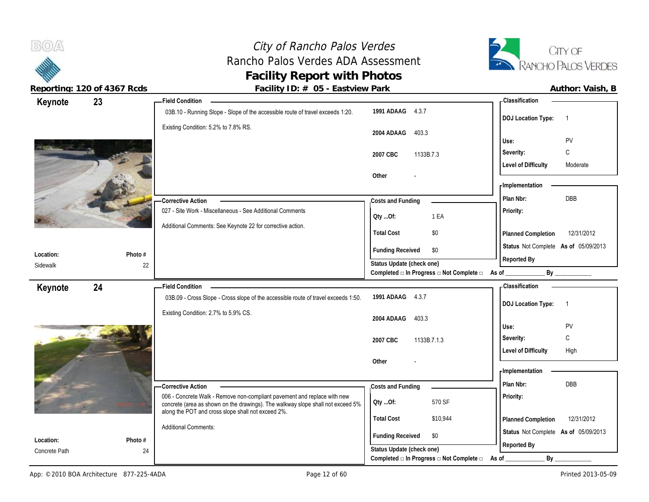

 $B(0)$ 

| Keynote       | 23      | <b>Field Condition</b>                                                                         |                                                                       | - Classification                            |
|---------------|---------|------------------------------------------------------------------------------------------------|-----------------------------------------------------------------------|---------------------------------------------|
|               |         | 03B.10 - Running Slope - Slope of the accessible route of travel exceeds 1:20.                 | 1991 ADAAG 4.3.7                                                      | <b>DOJ Location Type:</b><br>$\overline{1}$ |
|               |         | Existing Condition: 5.2% to 7.8% RS.                                                           | 2004 ADAAG<br>403.3                                                   | PV<br>Use:                                  |
|               |         |                                                                                                | 2007 CBC<br>1133B.7.3                                                 | C<br>Severity:                              |
|               |         |                                                                                                |                                                                       | <b>Level of Difficulty</b><br>Moderate      |
|               |         |                                                                                                | Other                                                                 |                                             |
|               |         |                                                                                                |                                                                       | - Implementation                            |
|               |         | <b>Corrective Action</b>                                                                       | Costs and Funding                                                     | <b>DBB</b><br>Plan Nbr:                     |
|               |         | 027 - Site Work - Miscellaneous - See Additional Comments                                      | 1 EA<br>QtyOf:                                                        | Priority:                                   |
|               |         | Additional Comments: See Keynote 22 for corrective action.                                     | <b>Total Cost</b><br>\$0                                              | Planned Completion<br>12/31/2012            |
| Location:     | Photo # |                                                                                                | <b>Funding Received</b><br>\$0                                        | Status Not Complete As of 05/09/2013        |
| Sidewalk      | 22      |                                                                                                | Status Update (check one)                                             | Reported By                                 |
|               |         |                                                                                                | Completed □ In Progress □ Not Complete □ As of                        | By _____________                            |
| Keynote       | 24      | <b>Field Condition</b>                                                                         |                                                                       | <b>Classification</b>                       |
|               |         | 03B.09 - Cross Slope - Cross slope of the accessible route of travel exceeds 1:50.             | 1991 ADAAG 4.3.7                                                      | <b>DOJ Location Type:</b><br>$\overline{1}$ |
|               |         | Existing Condition: 2.7% to 5.9% CS.                                                           | 403.3<br>2004 ADAAG                                                   |                                             |
|               |         |                                                                                                |                                                                       | Use:<br>PV                                  |
|               |         |                                                                                                | 2007 CBC<br>1133B.7.1.3                                               | C<br>Severity:                              |
|               |         |                                                                                                |                                                                       | <b>Level of Difficulty</b><br>High          |
|               |         |                                                                                                | Other                                                                 | Implementation                              |
|               |         |                                                                                                |                                                                       | DBB<br>Plan Nbr:                            |
|               |         | -Corrective Action<br>006 - Concrete Walk - Remove non-compliant pavement and replace with new | Costs and Funding                                                     | Priority:                                   |
|               |         | concrete (area as shown on the drawings). The walkway slope shall not exceed 5%                | 570 SF<br>Qty Of:                                                     |                                             |
|               |         | along the POT and cross slope shall not exceed 2%.                                             |                                                                       |                                             |
|               |         |                                                                                                | <b>Total Cost</b><br>\$10,944                                         | 12/31/2012<br>Planned Completion            |
| Location:     | Photo # | <b>Additional Comments:</b>                                                                    | \$0<br><b>Funding Received</b>                                        | Status Not Complete As of 05/09/2013        |
| Concrete Path | 24      |                                                                                                | Status Update (check one)<br>Completed □ In Progress □ Not Complete □ | Reported By<br>$By_$<br>As of               |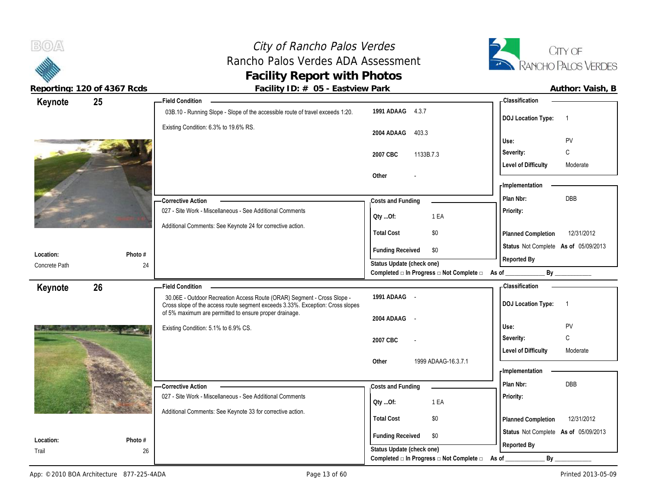# City of Rancho Palos Verdes Rancho Palos Verdes ADA Assessment **Facility of Rancho Palos Verdes**<br> **Facility Report with Photos**<br> **Facility Report with Photos**<br> **Facility Report with Photos**



 $B(0)$ 

| Author: Vaish |  |
|---------------|--|

|                    | 25            | Field Condition -                                                                                                                                         |                                                      |                                                | - Classification                     |                |
|--------------------|---------------|-----------------------------------------------------------------------------------------------------------------------------------------------------------|------------------------------------------------------|------------------------------------------------|--------------------------------------|----------------|
| Keynote            |               | 03B.10 - Running Slope - Slope of the accessible route of travel exceeds 1:20.                                                                            | 1991 ADAAG 4.3.7                                     |                                                | <b>DOJ Location Type:</b>            | $\overline{1}$ |
|                    |               | Existing Condition: 6.3% to 19.6% RS.                                                                                                                     | 2004 ADAAG<br>403.3                                  |                                                | Use:                                 | PV             |
|                    |               |                                                                                                                                                           |                                                      |                                                |                                      |                |
|                    |               |                                                                                                                                                           | 1133B.7.3<br>2007 CBC                                |                                                | Severity:                            | C              |
|                    |               |                                                                                                                                                           | Other                                                |                                                | <b>Level of Difficulty</b>           | Moderate       |
|                    |               |                                                                                                                                                           |                                                      |                                                | <b>Implementation</b>                |                |
|                    |               | - Corrective Action                                                                                                                                       | Costs and Funding                                    |                                                | Plan Nbr:                            | <b>DBB</b>     |
|                    |               | 027 - Site Work - Miscellaneous - See Additional Comments                                                                                                 |                                                      |                                                | Priority:                            |                |
|                    |               | Additional Comments: See Keynote 24 for corrective action.                                                                                                | QtyOf:                                               | 1 EA                                           |                                      |                |
|                    |               |                                                                                                                                                           | <b>Total Cost</b>                                    | \$0                                            | Planned Completion                   | 12/31/2012     |
|                    |               |                                                                                                                                                           | <b>Funding Received</b>                              | \$0                                            | Status Not Complete As of 05/09/2013 |                |
| Location:          | Photo #       |                                                                                                                                                           | Status Update (check one)                            |                                                | Reported By                          |                |
| Concrete Path      | 24            |                                                                                                                                                           |                                                      | Completed a In Progress and Complete and As of |                                      | By             |
| Keynote            | 26            | <b>Field Condition</b>                                                                                                                                    |                                                      |                                                | - Classification                     |                |
|                    |               | 30.06E - Outdoor Recreation Access Route (ORAR) Segment - Cross Slope -<br>Cross slope of the access route segment exceeds 3.33%. Exception: Cross slopes | 1991 ADAAG -                                         |                                                | <b>DOJ Location Type:</b>            | $\overline{1}$ |
|                    |               | of 5% maximum are permitted to ensure proper drainage.                                                                                                    | 2004 ADAAG -                                         |                                                |                                      |                |
|                    |               | Existing Condition: 5.1% to 6.9% CS.                                                                                                                      |                                                      |                                                | Use:                                 | PV             |
|                    |               |                                                                                                                                                           |                                                      |                                                |                                      |                |
|                    |               |                                                                                                                                                           | 2007 CBC                                             |                                                | Severity:                            | C              |
|                    |               |                                                                                                                                                           |                                                      |                                                | <b>Level of Difficulty</b>           | Moderate       |
|                    |               |                                                                                                                                                           | Other                                                | 1999 ADAAG-16.3.7.1                            | - Implementation                     |                |
|                    |               |                                                                                                                                                           |                                                      |                                                | Plan Nbr:                            |                |
|                    |               | <b>Corrective Action</b><br>027 - Site Work - Miscellaneous - See Additional Comments                                                                     | Costs and Funding                                    |                                                |                                      | DBB            |
|                    |               |                                                                                                                                                           | QtyOf:                                               | 1 EA                                           | Priority:                            |                |
|                    |               | Additional Comments: See Keynote 33 for corrective action.                                                                                                | <b>Total Cost</b>                                    | \$0                                            | Planned Completion                   | 12/31/2012     |
|                    |               |                                                                                                                                                           |                                                      |                                                | Status Not Complete As of 05/09/2013 |                |
| Location:<br>Trail | Photo #<br>26 |                                                                                                                                                           | <b>Funding Received</b><br>Status Update (check one) | \$0                                            | Reported By                          |                |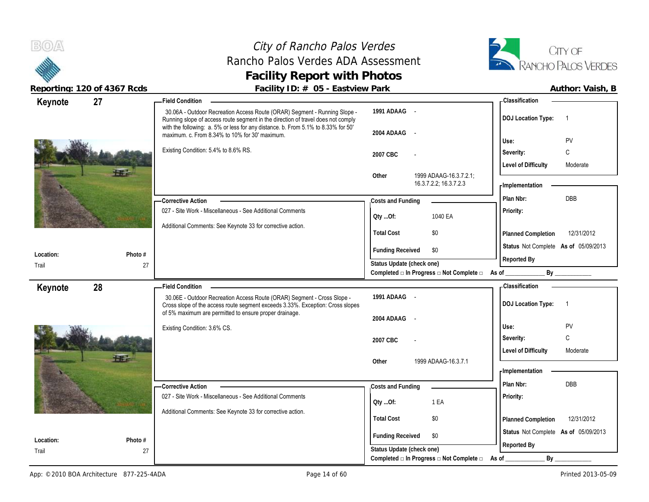# City of Rancho Palos Verdes Rancho Palos Verdes ADA Assessment **Facility Report with Photos**



| Author: Vaish, B |  |
|------------------|--|
|                  |  |

| Keynote            |               |                                                                                                                                                                                                                                                    |                                                      |                                                                  |                                             |
|--------------------|---------------|----------------------------------------------------------------------------------------------------------------------------------------------------------------------------------------------------------------------------------------------------|------------------------------------------------------|------------------------------------------------------------------|---------------------------------------------|
|                    | 27            | - Field Condition                                                                                                                                                                                                                                  |                                                      |                                                                  | - Classification                            |
|                    |               | 30.06A - Outdoor Recreation Access Route (ORAR) Segment - Running Slope -<br>Running slope of access route segment in the direction of travel does not comply<br>with the following: a. 5% or less for any distance. b. From 5.1% to 8.33% for 50' | 1991 ADAAG -                                         |                                                                  | <b>DOJ Location Type:</b><br>$\overline{1}$ |
|                    |               | maximum. c. From 8.34% to 10% for 30' maximum.                                                                                                                                                                                                     | 2004 ADAAG                                           | $\sim$ $-$                                                       |                                             |
|                    |               | Existing Condition: 5.4% to 8.6% RS.                                                                                                                                                                                                               |                                                      |                                                                  | PV<br>Use:                                  |
|                    |               |                                                                                                                                                                                                                                                    | 2007 CBC                                             |                                                                  | С<br>Severity:                              |
|                    |               |                                                                                                                                                                                                                                                    |                                                      |                                                                  | <b>Level of Difficulty</b><br>Moderate      |
|                    |               |                                                                                                                                                                                                                                                    | Other                                                | 1999 ADAAG-16.3.7.2.1;<br>16.3.7.2.2, 16.3.7.2.3                 |                                             |
|                    |               |                                                                                                                                                                                                                                                    |                                                      |                                                                  | - Implementation                            |
|                    |               | - Corrective Action                                                                                                                                                                                                                                | Costs and Funding                                    |                                                                  | DBB<br>Plan Nbr:                            |
|                    |               | 027 - Site Work - Miscellaneous - See Additional Comments                                                                                                                                                                                          | Qty Of:                                              | 1040 EA                                                          | Priority:                                   |
|                    |               | Additional Comments: See Keynote 33 for corrective action.                                                                                                                                                                                         |                                                      |                                                                  |                                             |
|                    |               |                                                                                                                                                                                                                                                    | <b>Total Cost</b>                                    | \$0                                                              | Planned Completion<br>12/31/2012            |
| Location:          | Photo #       |                                                                                                                                                                                                                                                    | <b>Funding Received</b>                              | \$0                                                              | Status Not Complete As of 05/09/2013        |
| Trail              | 27            |                                                                                                                                                                                                                                                    | Status Update (check one)                            |                                                                  | Reported By                                 |
|                    |               |                                                                                                                                                                                                                                                    |                                                      | Completed $\Box$ In Progress $\Box$ Not Complete $\Box$ As of __ |                                             |
| Keynote            | 28            | <b>Field Condition</b>                                                                                                                                                                                                                             |                                                      |                                                                  | - Classification                            |
|                    |               | 30.06E - Outdoor Recreation Access Route (ORAR) Segment - Cross Slope -                                                                                                                                                                            | 1991 ADAAG -                                         |                                                                  |                                             |
|                    |               |                                                                                                                                                                                                                                                    |                                                      |                                                                  | <b>DOJ Location Type:</b><br>$\overline{1}$ |
|                    |               | Cross slope of the access route segment exceeds 3.33%. Exception: Cross slopes                                                                                                                                                                     |                                                      |                                                                  |                                             |
|                    |               | of 5% maximum are permitted to ensure proper drainage.                                                                                                                                                                                             | 2004 ADAAG                                           | $\sim$                                                           |                                             |
|                    |               | Existing Condition: 3.6% CS.                                                                                                                                                                                                                       |                                                      |                                                                  | PV<br>Use:                                  |
|                    |               |                                                                                                                                                                                                                                                    | 2007 CBC                                             |                                                                  | $\mathsf{C}$<br>Severity:                   |
|                    |               |                                                                                                                                                                                                                                                    |                                                      |                                                                  | <b>Level of Difficulty</b><br>Moderate      |
|                    |               |                                                                                                                                                                                                                                                    | Other                                                | 1999 ADAAG-16.3.7.1                                              |                                             |
|                    |               |                                                                                                                                                                                                                                                    |                                                      |                                                                  | - Implementation                            |
|                    |               | - Corrective Action                                                                                                                                                                                                                                | Costs and Funding                                    |                                                                  | DBB<br>Plan Nbr:                            |
|                    |               | 027 - Site Work - Miscellaneous - See Additional Comments                                                                                                                                                                                          |                                                      |                                                                  | Priority:                                   |
|                    |               | Additional Comments: See Keynote 33 for corrective action.                                                                                                                                                                                         | QtyOf:                                               | 1 EA                                                             |                                             |
|                    |               |                                                                                                                                                                                                                                                    | <b>Total Cost</b>                                    | \$0                                                              | 12/31/2012<br>Planned Completion            |
|                    |               |                                                                                                                                                                                                                                                    |                                                      | \$0                                                              | Status Not Complete As of 05/09/2013        |
| Location:<br>Trail | Photo #<br>27 |                                                                                                                                                                                                                                                    | <b>Funding Received</b><br>Status Update (check one) |                                                                  | Reported By                                 |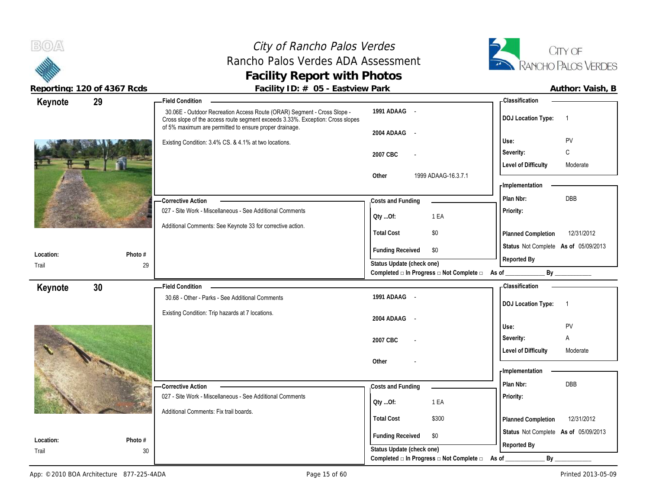# City of Rancho Palos Verdes Rancho Palos Verdes ADA Assessment **Facility of Rancho Palos Verdes**<br> **Facility Report with Photos**<br> **Facility Report with Photos**<br> **Facility Report with Photos**



**Reporting: 120 of 4367 Rcds Facility ID: # 05 - Eastview Park Facture 120 of 4367 Rcds Author: Vaish, B** 

| Author: Vaish. |  |
|----------------|--|

|           | $\frac{1}{2}$ | $\frac{1}{2}$ activity $\frac{1}{2}$ . $\frac{1}{2}$ $\frac{1}{2}$ $\frac{1}{2}$ $\frac{1}{2}$ $\frac{1}{2}$ $\frac{1}{2}$ $\frac{1}{2}$ $\frac{1}{2}$ $\frac{1}{2}$ $\frac{1}{2}$ $\frac{1}{2}$ $\frac{1}{2}$ $\frac{1}{2}$ $\frac{1}{2}$ $\frac{1}{2}$ $\frac{1}{2}$ $\frac{1}{2}$ $\frac{1}{2}$ $\frac{1}{2}$ |                           |                                                        | $\sim$ u $\sim$ $\sim$ $\sim$ $\sim$ $\sim$ |
|-----------|---------------|------------------------------------------------------------------------------------------------------------------------------------------------------------------------------------------------------------------------------------------------------------------------------------------------------------------|---------------------------|--------------------------------------------------------|---------------------------------------------|
| Keynote   | 29            | - Field Condition                                                                                                                                                                                                                                                                                                |                           |                                                        | <b>Classification</b>                       |
|           |               | 30.06E - Outdoor Recreation Access Route (ORAR) Segment - Cross Slope -<br>Cross slope of the access route segment exceeds 3.33%. Exception: Cross slopes<br>of 5% maximum are permitted to ensure proper drainage.                                                                                              | 1991 ADAAG -              |                                                        | <b>DOJ Location Type:</b><br>$\overline{1}$ |
|           |               |                                                                                                                                                                                                                                                                                                                  | 2004 ADAAG                | $\sim$ $-$                                             |                                             |
|           |               | Existing Condition: 3.4% CS. & 4.1% at two locations.                                                                                                                                                                                                                                                            |                           |                                                        | PV<br>Use:                                  |
|           |               |                                                                                                                                                                                                                                                                                                                  | 2007 CBC                  |                                                        | C<br>Severity:                              |
|           |               |                                                                                                                                                                                                                                                                                                                  |                           |                                                        | <b>Level of Difficulty</b><br>Moderate      |
|           |               |                                                                                                                                                                                                                                                                                                                  | Other                     | 1999 ADAAG-16.3.7.1                                    |                                             |
|           |               |                                                                                                                                                                                                                                                                                                                  |                           |                                                        | <b>Implementation</b>                       |
|           |               | - Corrective Action                                                                                                                                                                                                                                                                                              | Costs and Funding         |                                                        | Plan Nbr:<br><b>DBB</b>                     |
|           |               | 027 - Site Work - Miscellaneous - See Additional Comments                                                                                                                                                                                                                                                        | Oty Of:                   | 1 EA                                                   | Priority:                                   |
|           |               | Additional Comments: See Keynote 33 for corrective action.                                                                                                                                                                                                                                                       |                           |                                                        |                                             |
|           |               |                                                                                                                                                                                                                                                                                                                  | <b>Total Cost</b>         | \$0                                                    | 12/31/2012<br>Planned Completion            |
| Location: | Photo #       |                                                                                                                                                                                                                                                                                                                  | <b>Funding Received</b>   | \$0                                                    | Status Not Complete As of 05/09/2013        |
| Trail     |               | 29                                                                                                                                                                                                                                                                                                               | Status Update (check one) |                                                        | Reported By                                 |
|           |               |                                                                                                                                                                                                                                                                                                                  |                           | Completed a In Progress a Not Complete a As of _______ | By                                          |
| Keynote   | 30            | Field Condition -                                                                                                                                                                                                                                                                                                |                           |                                                        | - Classification                            |
|           |               | 30.68 - Other - Parks - See Additional Comments                                                                                                                                                                                                                                                                  | 1991 ADAAG -              |                                                        | <b>DOJ Location Type:</b><br>$\overline{1}$ |
|           |               | Existing Condition: Trip hazards at 7 locations.                                                                                                                                                                                                                                                                 |                           |                                                        |                                             |
|           |               |                                                                                                                                                                                                                                                                                                                  | 2004 ADAAG -              |                                                        | PV<br>Use:                                  |
|           |               |                                                                                                                                                                                                                                                                                                                  | 2007 CBC                  |                                                        | Severity:<br>Α                              |
|           |               |                                                                                                                                                                                                                                                                                                                  |                           |                                                        | <b>Level of Difficulty</b><br>Moderate      |
|           |               |                                                                                                                                                                                                                                                                                                                  | Other                     |                                                        |                                             |
|           |               |                                                                                                                                                                                                                                                                                                                  |                           |                                                        | - Implementation                            |
|           |               | <b>Corrective Action</b>                                                                                                                                                                                                                                                                                         | Costs and Funding         |                                                        | DBB<br>Plan Nbr:                            |
|           |               | 027 - Site Work - Miscellaneous - See Additional Comments                                                                                                                                                                                                                                                        |                           |                                                        | Priority:                                   |
|           |               |                                                                                                                                                                                                                                                                                                                  | Qty Of:                   | 1 EA                                                   |                                             |
|           |               | Additional Comments: Fix trail boards.                                                                                                                                                                                                                                                                           | <b>Total Cost</b>         | \$300                                                  | 12/31/2012<br>Planned Completion            |
|           |               |                                                                                                                                                                                                                                                                                                                  |                           |                                                        | Status Not Complete As of 05/09/2013        |
| Location: | Photo #       |                                                                                                                                                                                                                                                                                                                  | <b>Funding Received</b>   | \$0                                                    | Reported By                                 |
| Trail     |               | 30                                                                                                                                                                                                                                                                                                               | Status Update (check one) |                                                        |                                             |
|           |               |                                                                                                                                                                                                                                                                                                                  |                           | Completed □ In Progress □ Not Complete □               | As of<br>$By$ <sub>—</sub>                  |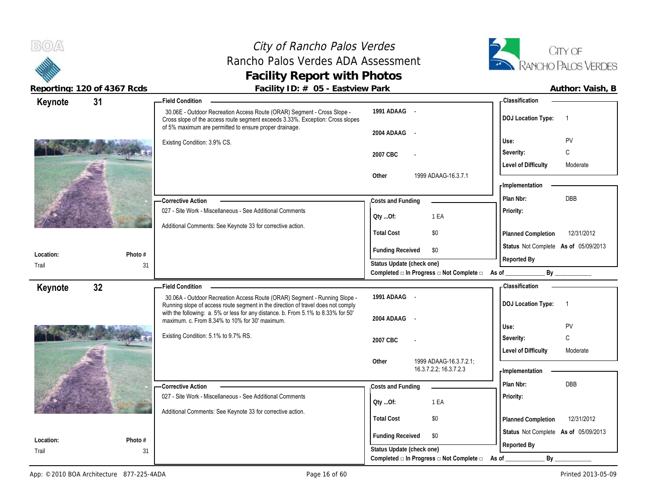Trail

Trail

# City of Rancho Palos Verdes Rancho Palos Verdes ADA Assessment **Facility Report with Photos**



**Reporting: 120 of 4367 Rcds Facility ID: # 05 - Eastview Park Author: Vaish, B**

### 30.06E - Outdoor Recreation Access Route (ORAR) Segment - Cross Slope - Cross slope of the access route segment exceeds 3.33%. Exception: Cross slopes of 5% maximum are permitted to ensure proper drainage. Existing Condition: 3.9% CS. 027 - Site Work - Miscellaneous - See Additional Comments Additional Comments: See Keynote 33 for corrective action. **Corrective Action Photo #** 31 **1991 ADAAG** - **2004 ADAAG** - **2007 CBC** - **Other** 1999 ADAAG-16.3.7.1 **Priority: Total Cost** \$0 **31 Field Condition Status** Not Complete **As of** 05/09/2013 **Keynote Costs and Funding Plan Nbr:** DBB **Use:** PV **Severity:** C **DOJ Location Type:** 1 **Level of Difficulty** Moderate **Location: Planned Completion** 12/31/2012 **Classification Implementation Funding Received \$0 Status Update (check one) Completed □ In Progress □ Not Complete □ As of \_\_\_\_\_\_\_\_\_\_\_\_\_ By \_\_\_\_\_\_\_\_\_\_\_\_ Reported By Qty ...Of:** 1 EA 30.06A - Outdoor Recreation Access Route (ORAR) Segment - Running Slope - Running slope of access route segment in the direction of travel does not comply with the following: a. 5% or less for any distance. b. From 5.1% to 8.33% for 50' maximum. c. From 8.34% to 10% for 30' maximum. Existing Condition: 5.1% to 9.7% RS. 027 - Site Work - Miscellaneous - See Additional Comments Additional Comments: See Keynote 33 for corrective action. **Corrective Action Photo #** 31 **1991 ADAAG** - **2004 ADAAG** - **2007 CBC** - **Other** 1999 ADAAG-16.3.7.2.1; 16.3.7.2.2; 16.3.7.2.3 **Priority: Total Cost** \$0 **32 Field Condition Status** Not Complete **As of** 05/09/2013 **Keynote Costs and Funding Plan Nbr:** DBB **Use:** PV **Severity:** C **DOJ Location Type:** 1 Level of Difficulty Moderate **Location: Planned Completion** 12/31/2012 **Classification Implementation Funding Received** \$0 **Status Update (check one) Reported By Qty ...Of:** 1 EA

Completed **□** In Progress □ Not Complete □ As of \_\_\_\_\_\_\_\_\_\_\_\_\_\_\_\_\_ By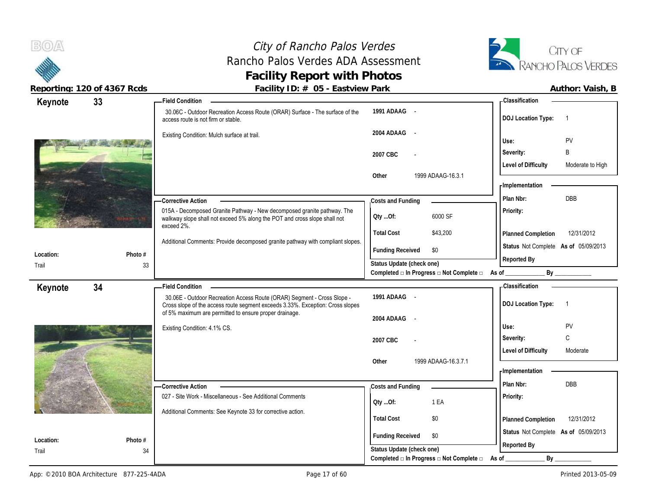# City of Rancho Palos Verdes Rancho Palos Verdes ADA Assessment **Facility Report with Photos**



| Keynote            | 33            | - Field Condition                                                                                                                                                                   |                                                                          | <b>Classification</b>                                    |
|--------------------|---------------|-------------------------------------------------------------------------------------------------------------------------------------------------------------------------------------|--------------------------------------------------------------------------|----------------------------------------------------------|
|                    |               | 30.06C - Outdoor Recreation Access Route (ORAR) Surface - The surface of the<br>access route is not firm or stable.                                                                 | 1991 ADAAG -                                                             | <b>DOJ Location Type:</b>                                |
|                    |               | Existing Condition: Mulch surface at trail.                                                                                                                                         | 2004 ADAAG<br>$\sim$                                                     | PV<br>Use:                                               |
|                    |               |                                                                                                                                                                                     | 2007 CBC                                                                 | B<br>Severity:                                           |
|                    |               |                                                                                                                                                                                     |                                                                          | <b>Level of Difficulty</b><br>Moderate to High           |
|                    |               |                                                                                                                                                                                     | Other<br>1999 ADAAG-16.3.1                                               | - Implementation                                         |
|                    |               | <b>Corrective Action</b>                                                                                                                                                            | Costs and Funding                                                        | <b>DBB</b><br>Plan Nbr:                                  |
|                    |               | 015A - Decomposed Granite Pathway - New decomposed granite pathway. The<br>walkway slope shall not exceed 5% along the POT and cross slope shall not<br>exceed 2%.                  | 6000 SF<br>QtyOf:                                                        | Priority:                                                |
|                    |               |                                                                                                                                                                                     | <b>Total Cost</b><br>\$43,200                                            | 12/31/2012<br>Planned Completion                         |
| Location:          | Photo #       | Additional Comments: Provide decomposed granite pathway with compliant slopes.                                                                                                      | <b>Funding Received</b><br>\$0                                           | Status Not Complete As of 05/09/2013<br>Reported By      |
| Trail              | 33            |                                                                                                                                                                                     | Status Update (check one)                                                |                                                          |
|                    |               |                                                                                                                                                                                     | Completed $\square$ In Progress $\square$ Not Complete $\square$ As of _ |                                                          |
|                    |               |                                                                                                                                                                                     |                                                                          |                                                          |
| Keynote            | 34            | <b>Field Condition</b><br>30.06E - Outdoor Recreation Access Route (ORAR) Segment - Cross Slope -<br>Cross slope of the access route segment exceeds 3.33%. Exception: Cross slopes | 1991 ADAAG -                                                             | <b>Classification</b><br><b>DOJ</b> Location Type:<br>-1 |
|                    |               | of 5% maximum are permitted to ensure proper drainage.                                                                                                                              | 2004 ADAAG<br>$\sim$                                                     |                                                          |
|                    |               | Existing Condition: 4.1% CS.                                                                                                                                                        |                                                                          | PV<br>Use:                                               |
|                    |               |                                                                                                                                                                                     | 2007 CBC                                                                 | C<br>Severity:                                           |
|                    |               |                                                                                                                                                                                     |                                                                          | <b>Level of Difficulty</b><br>Moderate                   |
|                    |               |                                                                                                                                                                                     | 1999 ADAAG-16.3.7.1<br>Other                                             |                                                          |
|                    |               |                                                                                                                                                                                     |                                                                          | - Implementation                                         |
|                    |               | <b>Corrective Action</b>                                                                                                                                                            | Costs and Funding                                                        | Plan Nbr:<br>DBB                                         |
|                    |               | 027 - Site Work - Miscellaneous - See Additional Comments                                                                                                                           | 1 EA<br>Oty Of:                                                          | Priority:                                                |
|                    |               | Additional Comments: See Keynote 33 for corrective action.                                                                                                                          | <b>Total Cost</b><br>\$0                                                 | 12/31/2012<br>Planned Completion                         |
|                    |               |                                                                                                                                                                                     | <b>Funding Received</b><br>\$0                                           | Status Not Complete As of 05/09/2013                     |
| Location:<br>Trail | Photo #<br>34 |                                                                                                                                                                                     | Status Update (check one)                                                | Reported By                                              |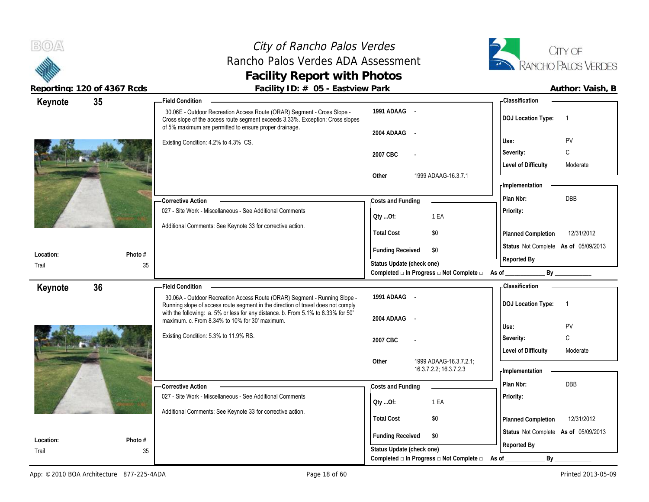# City of Rancho Palos Verdes Rancho Palos Verdes ADA Assessment **Facility Report with Photos**



| Author: Vaish, |
|----------------|
|                |

| Keynote   | 35      | - Field Condition                                                                                                                                                                                                   |                                                                               | - Classification                            |
|-----------|---------|---------------------------------------------------------------------------------------------------------------------------------------------------------------------------------------------------------------------|-------------------------------------------------------------------------------|---------------------------------------------|
|           |         | 30.06E - Outdoor Recreation Access Route (ORAR) Segment - Cross Slope -<br>Cross slope of the access route segment exceeds 3.33%. Exception: Cross slopes<br>of 5% maximum are permitted to ensure proper drainage. | 1991 ADAAG -                                                                  | <b>DOJ Location Type:</b><br>$\overline{1}$ |
|           |         |                                                                                                                                                                                                                     | 2004 ADAAG<br>$\sim$                                                          | PV<br>Use:                                  |
|           |         | Existing Condition: 4.2% to 4.3% CS.                                                                                                                                                                                |                                                                               | C                                           |
|           |         |                                                                                                                                                                                                                     | 2007 CBC                                                                      | Severity:                                   |
|           |         |                                                                                                                                                                                                                     | Other<br>1999 ADAAG-16.3.7.1                                                  | <b>Level of Difficulty</b><br>Moderate      |
|           |         |                                                                                                                                                                                                                     |                                                                               | - Implementation                            |
|           |         |                                                                                                                                                                                                                     |                                                                               | Plan Nbr:<br>DBB                            |
|           |         | <b>Corrective Action</b><br>027 - Site Work - Miscellaneous - See Additional Comments                                                                                                                               | Costs and Funding                                                             | Priority:                                   |
|           |         |                                                                                                                                                                                                                     | 1 EA<br>QtyOf:                                                                |                                             |
|           |         | Additional Comments: See Keynote 33 for corrective action.                                                                                                                                                          | <b>Total Cost</b><br>\$0                                                      | Planned Completion<br>12/31/2012            |
|           |         |                                                                                                                                                                                                                     |                                                                               | Status Not Complete As of 05/09/2013        |
| Location: | Photo # |                                                                                                                                                                                                                     | <b>Funding Received</b><br>\$0                                                | Reported By                                 |
| Trail     | 35      |                                                                                                                                                                                                                     | Status Update (check one)<br>Completed □ In Progress □ Not Complete □ As of _ | By                                          |
| Keynote   | 36      | <b>Field Condition</b>                                                                                                                                                                                              |                                                                               | - Classification                            |
|           |         |                                                                                                                                                                                                                     |                                                                               |                                             |
|           |         |                                                                                                                                                                                                                     | 1991 ADAAG -                                                                  |                                             |
|           |         | 30.06A - Outdoor Recreation Access Route (ORAR) Segment - Running Slope -<br>Running slope of access route segment in the direction of travel does not comply                                                       |                                                                               | <b>DOJ</b> Location Type:<br>$\overline{1}$ |
|           |         | with the following: a. 5% or less for any distance. b. From 5.1% to 8.33% for 50'                                                                                                                                   | 2004 ADAAG<br>$\sim$                                                          |                                             |
|           |         | maximum. c. From 8.34% to 10% for 30' maximum.                                                                                                                                                                      |                                                                               | Use:<br>PV                                  |
|           |         | Existing Condition: 5.3% to 11.9% RS.                                                                                                                                                                               | 2007 CBC                                                                      | C<br>Severity:                              |
|           |         |                                                                                                                                                                                                                     |                                                                               | <b>Level of Difficulty</b><br>Moderate      |
|           |         |                                                                                                                                                                                                                     | 1999 ADAAG-16.3.7.2.1;<br>Other<br>16.3.7.2.2; 16.3.7.2.3                     |                                             |
|           |         |                                                                                                                                                                                                                     |                                                                               | - Implementation                            |
|           |         | - Corrective Action                                                                                                                                                                                                 | Costs and Funding                                                             | Plan Nbr:<br><b>DBB</b>                     |
|           |         | 027 - Site Work - Miscellaneous - See Additional Comments                                                                                                                                                           | Oty Of:<br>1 EA                                                               | Priority:                                   |
|           |         | Additional Comments: See Keynote 33 for corrective action.                                                                                                                                                          | \$0                                                                           |                                             |
|           |         |                                                                                                                                                                                                                     | <b>Total Cost</b>                                                             | 12/31/2012<br>Planned Completion            |
| Location: | Photo # |                                                                                                                                                                                                                     | <b>Funding Received</b><br>\$0                                                | Status Not Complete As of 05/09/2013        |
| Trail     | 35      |                                                                                                                                                                                                                     | Status Update (check one)<br>Completed □ In Progress □ Not Complete □         | Reported By<br>$By_$<br>As of               |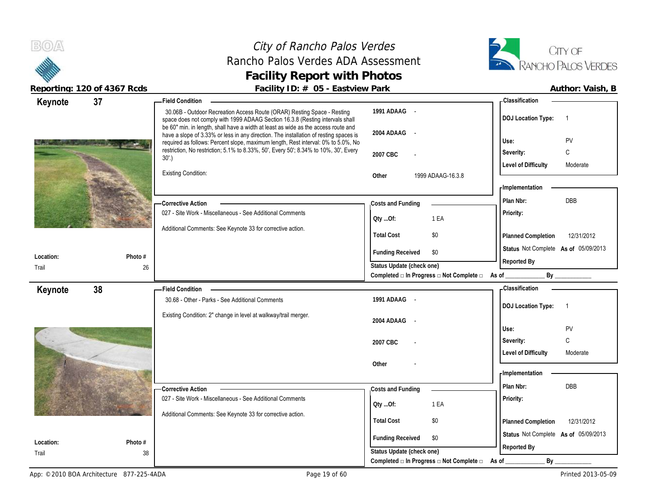# City of Rancho Palos Verdes Rancho Palos Verdes ADA Assessment **Facility Report with Photos**



| Keynote            | 37            | <b>Field Condition</b>                                                                                                                                                                                                                                           |                                                             | - Classification                            |
|--------------------|---------------|------------------------------------------------------------------------------------------------------------------------------------------------------------------------------------------------------------------------------------------------------------------|-------------------------------------------------------------|---------------------------------------------|
|                    |               | 30.06B - Outdoor Recreation Access Route (ORAR) Resting Space - Resting<br>space does not comply with 1999 ADAAG Section 16.3.8 (Resting intervals shall                                                                                                         | 1991 ADAAG -                                                | <b>DOJ Location Type:</b><br>$\overline{1}$ |
|                    |               | be 60" min. in length, shall have a width at least as wide as the access route and<br>have a slope of 3.33% or less in any direction. The installation of resting spaces is<br>required as follows: Percent slope, maximum length, Rest interval: 0% to 5.0%, No | 2004 ADAAG -                                                | Use:<br>PV                                  |
|                    |               | restriction, No restriction; 5.1% to 8.33%, 50', Every 50'; 8.34% to 10%, 30', Every                                                                                                                                                                             | 2007 CBC                                                    | $\mathsf C$<br>Severity:                    |
|                    |               | 30'.                                                                                                                                                                                                                                                             |                                                             | <b>Level of Difficulty</b><br>Moderate      |
|                    |               | <b>Existing Condition:</b>                                                                                                                                                                                                                                       | Other<br>1999 ADAAG-16.3.8                                  |                                             |
|                    |               |                                                                                                                                                                                                                                                                  |                                                             | - Implementation                            |
|                    |               | - Corrective Action                                                                                                                                                                                                                                              | Costs and Funding                                           | Plan Nbr:<br>DBB                            |
|                    |               | 027 - Site Work - Miscellaneous - See Additional Comments                                                                                                                                                                                                        | QtyOf:<br>1 EA                                              | Priority:                                   |
|                    |               | Additional Comments: See Keynote 33 for corrective action.                                                                                                                                                                                                       |                                                             |                                             |
|                    |               |                                                                                                                                                                                                                                                                  | <b>Total Cost</b><br>\$0                                    | Planned Completion<br>12/31/2012            |
| Location:          | Photo #       |                                                                                                                                                                                                                                                                  | <b>Funding Received</b><br>\$0                              | Status Not Complete As of 05/09/2013        |
| Trail              | 26            |                                                                                                                                                                                                                                                                  | Status Update (check one)                                   | Reported By                                 |
|                    |               |                                                                                                                                                                                                                                                                  | Completed □ In Progress □ Not Complete □ As of ________     |                                             |
|                    |               |                                                                                                                                                                                                                                                                  |                                                             |                                             |
| Keynote            | 38            | Field Condition -                                                                                                                                                                                                                                                |                                                             | - Classification                            |
|                    |               | 30.68 - Other - Parks - See Additional Comments                                                                                                                                                                                                                  | 1991 ADAAG -                                                | <b>DOJ Location Type:</b><br>$\overline{1}$ |
|                    |               | Existing Condition: 2" change in level at walkway/trail merger.                                                                                                                                                                                                  | 2004 ADAAG -                                                |                                             |
|                    |               |                                                                                                                                                                                                                                                                  |                                                             | Use:<br>PV                                  |
|                    |               |                                                                                                                                                                                                                                                                  | 2007 CBC                                                    | $\mathsf{C}$<br>Severity:                   |
|                    |               |                                                                                                                                                                                                                                                                  |                                                             | <b>Level of Difficulty</b><br>Moderate      |
|                    |               |                                                                                                                                                                                                                                                                  | Other                                                       |                                             |
|                    |               |                                                                                                                                                                                                                                                                  |                                                             | - Implementation<br>Plan Nbr:<br><b>DBB</b> |
|                    |               | <b>Corrective Action</b>                                                                                                                                                                                                                                         | Costs and Funding                                           | Priority:                                   |
|                    |               | 027 - Site Work - Miscellaneous - See Additional Comments                                                                                                                                                                                                        | QtyOf:<br>1 EA                                              |                                             |
|                    |               | Additional Comments: See Keynote 33 for corrective action.                                                                                                                                                                                                       | <b>Total Cost</b><br>\$0                                    | Planned Completion<br>12/31/2012            |
|                    |               |                                                                                                                                                                                                                                                                  |                                                             | Status Not Complete As of 05/09/2013        |
| Location:<br>Trail | Photo #<br>38 |                                                                                                                                                                                                                                                                  | \$0<br><b>Funding Received</b><br>Status Update (check one) | Reported By                                 |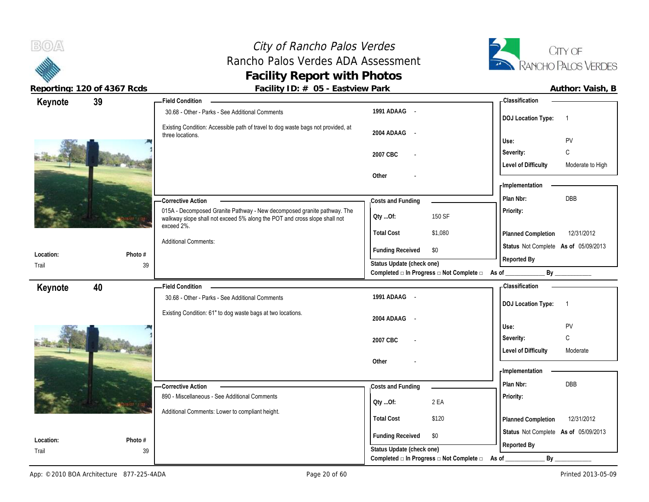$B(0)$ A

# City of Rancho Palos Verdes Rancho Palos Verdes ADA Assessment **Facility Report with Photos**



|           | Reporting: 120 of 4367 Rcds | Facility ID: # 05 - Eastview Park                                                                                                                    |                                                                             |                                                       | Author: Vaish, B |
|-----------|-----------------------------|------------------------------------------------------------------------------------------------------------------------------------------------------|-----------------------------------------------------------------------------|-------------------------------------------------------|------------------|
| Keynote   | 39                          | <b>Field Condition</b>                                                                                                                               |                                                                             | Classification                                        |                  |
|           |                             | 30.68 - Other - Parks - See Additional Comments                                                                                                      | 1991 ADAAG -                                                                | <b>DOJ Location Type:</b>                             |                  |
|           |                             | Existing Condition: Accessible path of travel to dog waste bags not provided, at                                                                     |                                                                             |                                                       |                  |
|           |                             | three locations.                                                                                                                                     | 2004 ADAAG -                                                                | PV<br>Use:                                            |                  |
|           |                             |                                                                                                                                                      | 2007 CBC<br>$\overline{\phantom{a}}$                                        | C<br>Severity:                                        |                  |
|           |                             |                                                                                                                                                      |                                                                             | <b>Level of Difficulty</b>                            | Moderate to High |
|           |                             |                                                                                                                                                      | Other                                                                       |                                                       |                  |
|           |                             |                                                                                                                                                      |                                                                             | - Implementation                                      |                  |
|           |                             | -Corrective Action                                                                                                                                   | Costs and Funding                                                           | DBB<br>Plan Nbr:                                      |                  |
|           |                             | 015A - Decomposed Granite Pathway - New decomposed granite pathway. The<br>walkway slope shall not exceed 5% along the POT and cross slope shall not | 150 SF<br>Oty Of:                                                           | <b>Priority:</b>                                      |                  |
|           |                             | exceed 2%.                                                                                                                                           | <b>Total Cost</b><br>\$1,080                                                | Planned Completion                                    | 12/31/2012       |
|           |                             | <b>Additional Comments:</b>                                                                                                                          |                                                                             | Status Not Complete As of 05/09/2013                  |                  |
| Location: | Photo #                     |                                                                                                                                                      | <b>Funding Received</b><br>\$0                                              | Reported By                                           |                  |
| Trail     | 39                          |                                                                                                                                                      | Status Update (check one)<br>Completed □ In Progress □ Not Complete □ As of | By                                                    |                  |
|           |                             |                                                                                                                                                      |                                                                             |                                                       |                  |
| Keynote   | 40                          | -Field Condition<br>30.68 - Other - Parks - See Additional Comments                                                                                  | 1991 ADAAG -                                                                | <b>Classification</b>                                 |                  |
|           |                             |                                                                                                                                                      |                                                                             | <b>DOJ Location Type:</b><br>$\overline{\phantom{1}}$ |                  |
|           |                             | Existing Condition: 61" to dog waste bags at two locations.                                                                                          | 2004 ADAAG -                                                                |                                                       |                  |
|           |                             |                                                                                                                                                      |                                                                             | PV<br>Use:                                            |                  |
|           |                             |                                                                                                                                                      | 2007 CBC<br>$\overline{\phantom{a}}$                                        | C<br>Severity:                                        |                  |
|           |                             |                                                                                                                                                      |                                                                             | <b>Level of Difficulty</b><br>Moderate                |                  |
|           |                             |                                                                                                                                                      | Other                                                                       | - Implementation                                      |                  |
|           |                             |                                                                                                                                                      |                                                                             | DBB<br>Plan Nbr:                                      |                  |
|           |                             | - Corrective Action<br>890 - Miscellaneous - See Additional Comments                                                                                 | Costs and Funding                                                           | Priority:                                             |                  |
|           |                             |                                                                                                                                                      | 2 EA<br>Oty Of:                                                             |                                                       |                  |
|           |                             | Additional Comments: Lower to compliant height.                                                                                                      | <b>Total Cost</b><br>\$120                                                  | Planned Completion                                    | 12/31/2012       |
| Location: | Photo #                     |                                                                                                                                                      | <b>Funding Received</b><br>\$0                                              | Status Not Complete As of 05/09/2013                  |                  |
| Trail     | 39                          |                                                                                                                                                      | Status Update (check one)                                                   | Reported By                                           |                  |
|           |                             |                                                                                                                                                      |                                                                             |                                                       |                  |

Completed □ In Progress □ Not Complete □ As of \_\_\_\_\_\_\_\_\_\_\_\_\_\_\_\_\_\_ By \_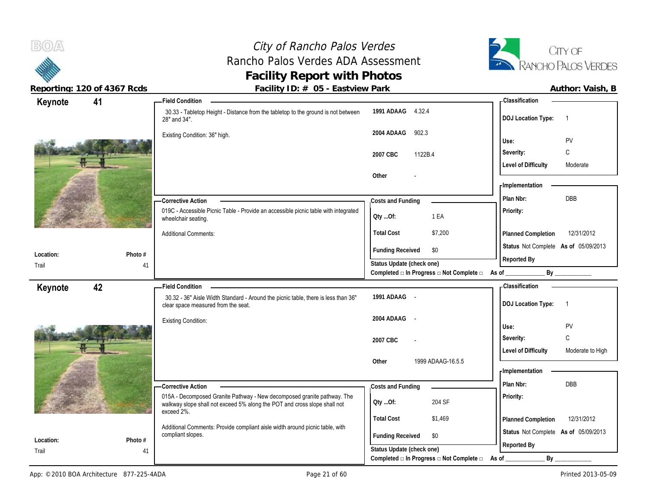# City of Rancho Palos Verdes Rancho Palos Verdes ADA Assessment **Facility Report with Photos**



| Keynote            | 41            | <b>Field Condition</b>                                                                                                                               |                                                                                | <b>Classification</b>                               |
|--------------------|---------------|------------------------------------------------------------------------------------------------------------------------------------------------------|--------------------------------------------------------------------------------|-----------------------------------------------------|
|                    |               | 30.33 - Tabletop Height - Distance from the tabletop to the ground is not between<br>28" and 34".                                                    | 1991 ADAAG 4.32.4                                                              | <b>DOJ Location Type:</b><br>-1                     |
|                    |               | Existing Condition: 36" high.                                                                                                                        | 902.3<br>2004 ADAAG                                                            | PV<br>Use:                                          |
|                    |               |                                                                                                                                                      | 1122B.4<br>2007 CBC                                                            | C<br>Severity:                                      |
|                    |               |                                                                                                                                                      |                                                                                | <b>Level of Difficulty</b><br>Moderate              |
|                    |               |                                                                                                                                                      | Other                                                                          |                                                     |
|                    |               |                                                                                                                                                      |                                                                                | - Implementation                                    |
|                    |               | -Corrective Action                                                                                                                                   | Costs and Funding                                                              | Plan Nbr:<br>DBB                                    |
|                    |               | 019C - Accessible Picnic Table - Provide an accessible picnic table with integrated<br>wheelchair seating.                                           | 1 EA<br>Oty Of:                                                                | Priority:                                           |
|                    |               | <b>Additional Comments:</b>                                                                                                                          | <b>Total Cost</b><br>\$7,200                                                   | Planned Completion<br>12/31/2012                    |
| Location:          | Photo #       |                                                                                                                                                      | <b>Funding Received</b><br>\$0                                                 | Status Not Complete As of 05/09/2013<br>Reported By |
| Trail              | 41            |                                                                                                                                                      | Status Update (check one)<br>Completed □ In Progress □ Not Complete □ As of __ |                                                     |
|                    | 42            | <b>Field Condition</b>                                                                                                                               |                                                                                | <b>Classification</b>                               |
| Keynote            |               |                                                                                                                                                      |                                                                                |                                                     |
|                    |               | 30.32 - 36" Aisle Width Standard - Around the picnic table, there is less than 36"<br>clear space measured from the seat.                            | 1991 ADAAG -                                                                   | <b>DOJ Location Type:</b><br>-1                     |
|                    |               |                                                                                                                                                      | 2004 ADAAG<br>$\sim$                                                           |                                                     |
|                    |               | <b>Existing Condition:</b>                                                                                                                           |                                                                                | PV<br>Use:                                          |
|                    |               |                                                                                                                                                      | 2007 CBC                                                                       | $\mathsf C$<br>Severity:                            |
|                    |               |                                                                                                                                                      |                                                                                | <b>Level of Difficulty</b><br>Moderate to High      |
|                    |               |                                                                                                                                                      | 1999 ADAAG-16.5.5<br>Other                                                     | - Implementation                                    |
|                    |               |                                                                                                                                                      |                                                                                | Plan Nbr:<br><b>DBB</b>                             |
|                    |               | - Corrective Action                                                                                                                                  | Costs and Funding                                                              |                                                     |
|                    |               | 015A - Decomposed Granite Pathway - New decomposed granite pathway. The<br>walkway slope shall not exceed 5% along the POT and cross slope shall not | 204 SF<br>Oty Of:                                                              | Priority:                                           |
|                    |               | exceed 2%.                                                                                                                                           | <b>Total Cost</b><br>\$1,469                                                   | 12/31/2012<br>Planned Completion                    |
|                    |               | Additional Comments: Provide compliant aisle width around picnic table, with                                                                         |                                                                                | Status Not Complete As of 05/09/2013                |
| Location:<br>Trail | Photo #<br>41 | compliant slopes.                                                                                                                                    | <b>Funding Received</b><br>\$0<br>Status Update (check one)                    | Reported By                                         |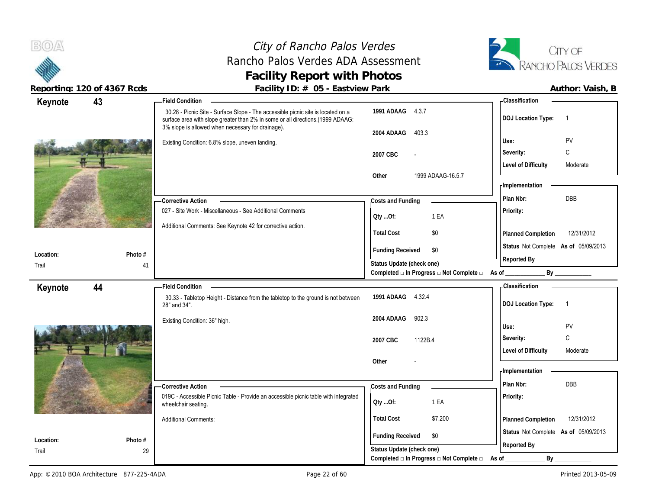**Keynote**

**Location:** Trail

**Keynote**

**Location:**

# City of Rancho Palos Verdes Rancho Palos Verdes ADA Assessment **Facility Report with Photos**



**Photo #**

**Photo #**

Additional Comments:

**Reporting: 120 of 4367 Rcds Facility ID: # 05 - Eastview Park Author: Vaish, B**

### 30.28 - Picnic Site - Surface Slope - The accessible picnic site is located on a surface area with slope greater than 2% in some or all directions.(1999 ADAAG: 3% slope is allowed when necessary for drainage). Existing Condition: 6.8% slope, uneven landing. 027 - Site Work - Miscellaneous - See Additional Comments Additional Comments: See Keynote 42 for corrective action. **Corrective Action**  41 **1991 ADAAG** 4.3.7 **2004 ADAAG** 403.3 **2007 CBC** - **Other** 1999 ADAAG-16.5.7 **Priority: Total Cost** \$0 **43 Field Condition Status** Not Complete **As of** 05/09/2013 **Costs and Funding Plan Nbr:** DBB **Use:** PV **Severity:** C **DOJ Location Type:** 1 **Level of Difficulty** Moderate **Planned Completion** 12/31/2012 **Classification Implementation Funding Received \$0 Status Update (check one) Completed □ In Progress □ Not Complete □ As of \_\_\_\_\_\_\_\_\_\_\_\_\_ By \_\_\_\_\_\_\_\_\_\_\_\_ Reported By Qty ...Of:** 1 EA 30.33 - Tabletop Height - Distance from the tabletop to the ground is not between 28" and 34". Existing Condition: 36" high. 019C - Accessible Picnic Table - Provide an accessible picnic table with integrated wheelchair seating. **Corrective Action 1991 ADAAG** 4.32.4 **2004 ADAAG** 902.3 **2007 CBC** 1122B.4 **Other** - **Priority: 44 Field Condition Costs and Funding Plan Nbr:** DBB **Use:** PV **Severity:** C **DOJ Location Type:** 1 Level of Difficulty **Moderate Classification Implementation Qty ...Of:** 1 EA

**Total Cost** \$7,200

Completed **□** In Progress □ Not Complete □ As of \_\_\_\_\_\_\_\_\_\_\_\_\_\_\_\_\_ By

**Funding Received \$0 Status Update (check one)** **Status** Not Complete **As of** 05/09/2013

**Planned Completion** 12/31/2012

**Reported By**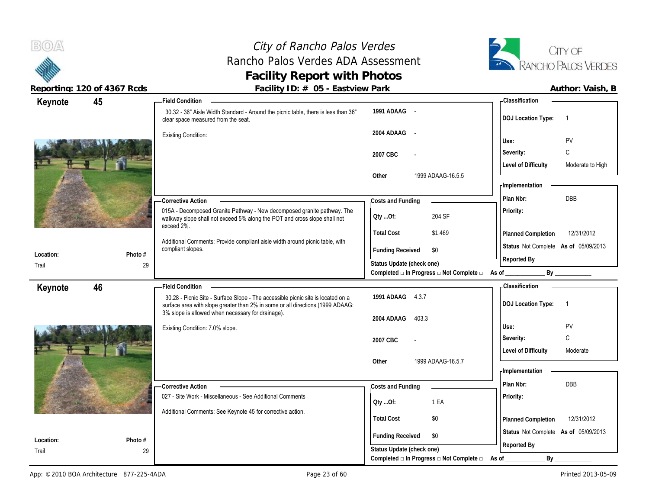# City of Rancho Palos Verdes Rancho Palos Verdes ADA Assessment **Facility Report with Photos**



| Keynote   | 45      | <b>Field Condition</b>                                                                                                                                                                                                  |                                                                       | <b>Classification</b>                          |
|-----------|---------|-------------------------------------------------------------------------------------------------------------------------------------------------------------------------------------------------------------------------|-----------------------------------------------------------------------|------------------------------------------------|
|           |         | 30.32 - 36" Aisle Width Standard - Around the picnic table, there is less than 36"<br>clear space measured from the seat.                                                                                               | 1991 ADAAG -                                                          | <b>DOJ</b> Location Type:<br>-1                |
|           |         | <b>Existing Condition:</b>                                                                                                                                                                                              | 2004 ADAAG -                                                          | PV<br>Use:                                     |
|           |         |                                                                                                                                                                                                                         | 2007 CBC                                                              | C<br>Severity:                                 |
|           |         |                                                                                                                                                                                                                         |                                                                       | <b>Level of Difficulty</b><br>Moderate to High |
|           |         |                                                                                                                                                                                                                         | Other<br>1999 ADAAG-16.5.5                                            | - Implementation                               |
|           |         | -Corrective Action                                                                                                                                                                                                      | Costs and Funding                                                     | DBB<br>Plan Nbr:                               |
|           |         | 015A - Decomposed Granite Pathway - New decomposed granite pathway. The<br>walkway slope shall not exceed 5% along the POT and cross slope shall not<br>exceed 2%.                                                      | 204 SF<br>QtyOf:                                                      | Priority:                                      |
|           |         |                                                                                                                                                                                                                         | <b>Total Cost</b><br>\$1,469                                          | 12/31/2012<br>Planned Completion               |
|           |         | Additional Comments: Provide compliant aisle width around picnic table, with<br>compliant slopes.                                                                                                                       | <b>Funding Received</b><br>\$0                                        | Status Not Complete As of 05/09/2013           |
| Location: | Photo # |                                                                                                                                                                                                                         | Status Update (check one)                                             | Reported By                                    |
| Trail     | 29      |                                                                                                                                                                                                                         | Completed □ In Progress □ Not Complete □ As of                        | By                                             |
| Keynote   | 46      | <b>Field Condition</b>                                                                                                                                                                                                  |                                                                       | <b>Classification</b>                          |
|           |         | 30.28 - Picnic Site - Surface Slope - The accessible picnic site is located on a<br>surface area with slope greater than 2% in some or all directions.(1999 ADAAG:<br>3% slope is allowed when necessary for drainage). | 1991 ADAAG 4.3.7                                                      | <b>DOJ Location Type:</b><br>$\overline{1}$    |
|           |         |                                                                                                                                                                                                                         | 2004 ADAAG<br>403.3                                                   |                                                |
|           |         | Existing Condition: 7.0% slope.                                                                                                                                                                                         |                                                                       | PV<br>Use:                                     |
|           |         |                                                                                                                                                                                                                         | 2007 CBC                                                              | C<br>Severity:                                 |
|           |         |                                                                                                                                                                                                                         | 1999 ADAAG-16.5.7<br>Other                                            | <b>Level of Difficulty</b><br>Moderate         |
|           |         |                                                                                                                                                                                                                         |                                                                       | - Implementation                               |
|           |         | - Corrective Action                                                                                                                                                                                                     | Costs and Funding                                                     | <b>DBB</b><br>Plan Nbr:                        |
|           |         | 027 - Site Work - Miscellaneous - See Additional Comments                                                                                                                                                               |                                                                       | <b>Priority:</b>                               |
|           |         |                                                                                                                                                                                                                         | 1 EA<br>QtyOf:                                                        |                                                |
|           |         |                                                                                                                                                                                                                         |                                                                       |                                                |
|           |         | Additional Comments: See Keynote 45 for corrective action.                                                                                                                                                              | <b>Total Cost</b><br>\$0                                              | 12/31/2012<br>Planned Completion               |
|           |         |                                                                                                                                                                                                                         |                                                                       | Status Not Complete As of 05/09/2013           |
| Location: | Photo # |                                                                                                                                                                                                                         | <b>Funding Received</b><br>\$0                                        |                                                |
| Trail     | 29      |                                                                                                                                                                                                                         | Status Update (check one)<br>Completed □ In Progress □ Not Complete □ | Reported By<br>By<br>As of                     |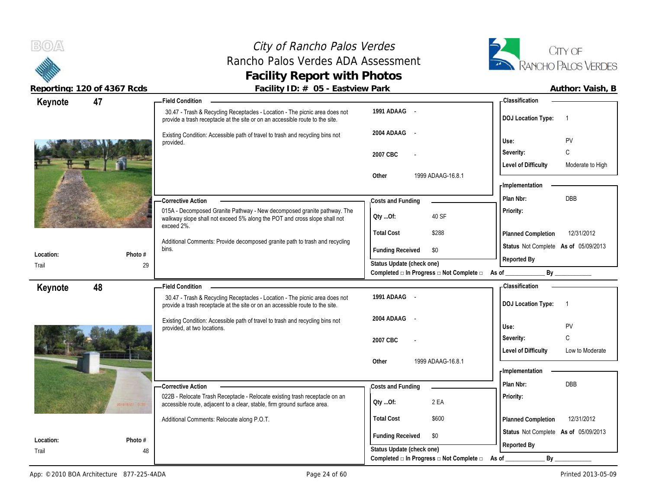# City of Rancho Palos Verdes Rancho Palos Verdes ADA Assessment **Facility Report with Photos**



**47 Field Condition**

|                       | Author: Vaish. |  |
|-----------------------|----------------|--|
| Classification        |                |  |
| י DO I I ocation Tyne |                |  |

| Keynote   | 47                  | - Field Condition                                                                                                                                                  |                                                                       | - Classification                               |
|-----------|---------------------|--------------------------------------------------------------------------------------------------------------------------------------------------------------------|-----------------------------------------------------------------------|------------------------------------------------|
|           |                     | 30.47 - Trash & Recycling Receptacles - Location - The picnic area does not<br>provide a trash receptacle at the site or on an accessible route to the site.       | 1991 ADAAG -                                                          | <b>DOJ</b> Location Type:                      |
|           |                     | Existing Condition: Accessible path of travel to trash and recycling bins not<br>provided.                                                                         | 2004 ADAAG -                                                          | PV<br>Use:                                     |
|           |                     |                                                                                                                                                                    | 2007 CBC                                                              | C<br>Severity:                                 |
|           |                     |                                                                                                                                                                    |                                                                       | <b>Level of Difficulty</b><br>Moderate to High |
|           |                     |                                                                                                                                                                    | 1999 ADAAG-16.8.1<br>Other                                            | - Implementation                               |
|           |                     | -Corrective Action                                                                                                                                                 | Costs and Funding                                                     | <b>DBB</b><br>Plan Nbr:                        |
|           |                     | 015A - Decomposed Granite Pathway - New decomposed granite pathway. The<br>walkway slope shall not exceed 5% along the POT and cross slope shall not<br>exceed 2%. | 40 SF<br>Oty Of:                                                      | Priority:                                      |
|           |                     |                                                                                                                                                                    | <b>Total Cost</b><br>\$288                                            | 12/31/2012<br>Planned Completion               |
|           |                     | Additional Comments: Provide decomposed granite path to trash and recycling<br>bins.                                                                               | \$0<br><b>Funding Received</b>                                        | Status Not Complete As of 05/09/2013           |
| Location: | Photo #             |                                                                                                                                                                    |                                                                       | Reported By                                    |
| Trail     | 29                  |                                                                                                                                                                    | Status Update (check one)<br>Completed □ In Progress □ Not Complete □ | As of _<br>By                                  |
|           | 48                  | -Field Condition                                                                                                                                                   |                                                                       | <b>Classification</b>                          |
| Keynote   |                     | 30.47 - Trash & Recycling Receptacles - Location - The picnic area does not<br>provide a trash receptacle at the site or on an accessible route to the site.       | 1991 ADAAG -                                                          | <b>DOJ Location Type:</b><br>-1                |
|           |                     | Existing Condition: Accessible path of travel to trash and recycling bins not<br>provided, at two locations.                                                       | 2004 ADAAG -                                                          | PV<br>Use:                                     |
|           |                     |                                                                                                                                                                    | 2007 CBC                                                              | C<br>Severity:                                 |
|           |                     |                                                                                                                                                                    |                                                                       | <b>Level of Difficulty</b><br>Low to Moderate  |
|           |                     |                                                                                                                                                                    | 1999 ADAAG-16.8.1<br>Other                                            |                                                |
|           |                     |                                                                                                                                                                    |                                                                       | <b>Implementation</b>                          |
|           |                     | -Corrective Action                                                                                                                                                 | Costs and Funding                                                     | DBB<br>Plan Nbr:                               |
|           | estatul Ferri Ginto | 022B - Relocate Trash Receptacle - Relocate existing trash receptacle on an<br>accessible route, adjacent to a clear, stable, firm ground surface area.            | 2 EA<br>Qty Of:                                                       | Priority:                                      |
|           |                     | Additional Comments: Relocate along P.O.T.                                                                                                                         | <b>Total Cost</b><br>\$600                                            | 12/31/2012<br>Planned Completion               |
|           |                     |                                                                                                                                                                    | <b>Funding Received</b><br>\$0                                        | Status Not Complete As of 05/09/2013           |
| Location: | Photo #             |                                                                                                                                                                    | Status Update (check one)                                             | Reported By                                    |
| Trail     | 48                  |                                                                                                                                                                    | Completed □ In Progress □ Not Complete □                              | $By_$<br>As of                                 |
|           |                     |                                                                                                                                                                    |                                                                       |                                                |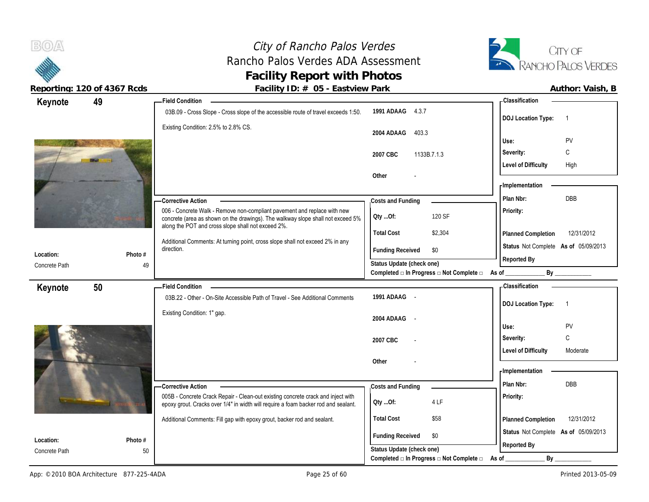# City of Rancho Palos Verdes Rancho Palos Verdes ADA Assessment **Facility Report with Photos**



| Keynote                    | 49            | <b>Field Condition</b>                                                                                                                                                                                            |                                                  | - Classification                            |
|----------------------------|---------------|-------------------------------------------------------------------------------------------------------------------------------------------------------------------------------------------------------------------|--------------------------------------------------|---------------------------------------------|
|                            |               | 03B.09 - Cross Slope - Cross slope of the accessible route of travel exceeds 1:50.                                                                                                                                | 1991 ADAAG 4.3.7                                 | <b>DOJ</b> Location Type:<br>$\overline{1}$ |
|                            |               | Existing Condition: 2.5% to 2.8% CS.                                                                                                                                                                              | 2004 ADAAG<br>403.3                              | PV<br>Use:                                  |
|                            |               |                                                                                                                                                                                                                   | 2007 CBC<br>1133B.7.1.3                          | C<br>Severity:                              |
|                            |               |                                                                                                                                                                                                                   |                                                  | <b>Level of Difficulty</b><br>High          |
|                            |               |                                                                                                                                                                                                                   | Other                                            | - Implementation                            |
|                            |               |                                                                                                                                                                                                                   |                                                  | DBB<br>Plan Nbr:                            |
|                            |               | -Corrective Action                                                                                                                                                                                                | Costs and Funding                                |                                             |
|                            |               | 006 - Concrete Walk - Remove non-compliant pavement and replace with new<br>concrete (area as shown on the drawings). The walkway slope shall not exceed 5%<br>along the POT and cross slope shall not exceed 2%. | 120 SF<br>QtyOf:                                 | Priority:                                   |
|                            |               | Additional Comments: At turning point, cross slope shall not exceed 2% in any                                                                                                                                     | <b>Total Cost</b><br>\$2,304                     | 12/31/2012<br>Planned Completion            |
| Location:                  | Photo #       | direction.                                                                                                                                                                                                        | <b>Funding Received</b><br>\$0                   | Status Not Complete As of 05/09/2013        |
| Concrete Path              | 49            |                                                                                                                                                                                                                   | Status Update (check one)                        | Reported By                                 |
|                            |               |                                                                                                                                                                                                                   | Completed □ In Progress □ Not Complete □ As of _ | By                                          |
| Keynote                    | 50            | <b>Field Condition</b>                                                                                                                                                                                            |                                                  | - Classification                            |
|                            |               | 03B.22 - Other - On-Site Accessible Path of Travel - See Additional Comments                                                                                                                                      | 1991 ADAAG -                                     | <b>DOJ</b> Location Type:<br>$\overline{1}$ |
|                            |               | Existing Condition: 1" gap.                                                                                                                                                                                       | 2004 ADAAG -                                     |                                             |
|                            |               |                                                                                                                                                                                                                   |                                                  | Use:<br>PV                                  |
|                            |               |                                                                                                                                                                                                                   | 2007 CBC                                         | C<br>Severity:                              |
|                            |               |                                                                                                                                                                                                                   |                                                  | <b>Level of Difficulty</b><br>Moderate      |
|                            |               |                                                                                                                                                                                                                   | Other                                            |                                             |
|                            |               |                                                                                                                                                                                                                   |                                                  | - Implementation                            |
|                            |               | -Corrective Action                                                                                                                                                                                                | Costs and Funding                                | Plan Nbr:<br><b>DBB</b>                     |
|                            |               | 005B - Concrete Crack Repair - Clean-out existing concrete crack and inject with                                                                                                                                  |                                                  |                                             |
|                            |               | epoxy grout. Cracks over 1/4" in width will require a foam backer rod and sealant.                                                                                                                                | 4 LF<br>Qty Of:                                  | Priority:                                   |
|                            |               | Additional Comments: Fill gap with epoxy grout, backer rod and sealant.                                                                                                                                           | <b>Total Cost</b><br>\$58                        | 12/31/2012<br>Planned Completion            |
|                            |               |                                                                                                                                                                                                                   | <b>Funding Received</b><br>\$0                   | Status Not Complete As of 05/09/2013        |
| Location:<br>Concrete Path | Photo #<br>50 |                                                                                                                                                                                                                   | Status Update (check one)                        | Reported By                                 |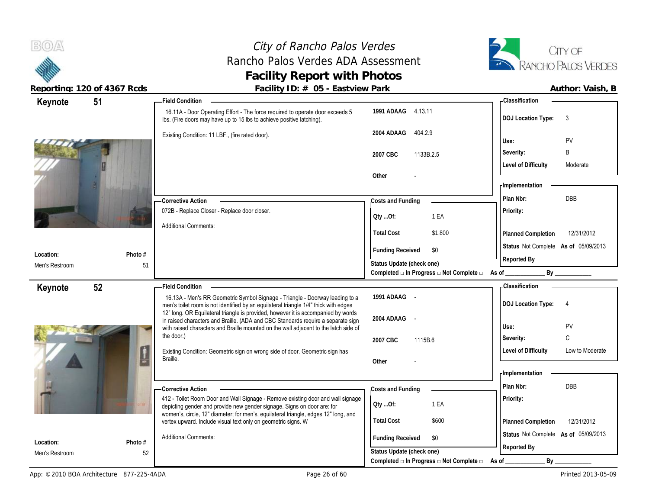# City of Rancho Palos Verdes Rancho Palos Verdes ADA Assessment **Facility Report with Photos**



| Keynote                     | 51            | -Field Condition                                                                                                                                                          |                                                | - Classification                                                                                                                                                                                                               |
|-----------------------------|---------------|---------------------------------------------------------------------------------------------------------------------------------------------------------------------------|------------------------------------------------|--------------------------------------------------------------------------------------------------------------------------------------------------------------------------------------------------------------------------------|
|                             |               | 16.11A - Door Operating Effort - The force required to operate door exceeds 5<br>Ibs. (Fire doors may have up to 15 lbs to achieve positive latching).                    | 1991 ADAAG 4.13.11                             | <b>DOJ Location Type:</b><br>3                                                                                                                                                                                                 |
|                             |               | Existing Condition: 11 LBF., (fire rated door).                                                                                                                           | 2004 ADAAG<br>404.2.9                          | Use:<br>PV                                                                                                                                                                                                                     |
|                             |               |                                                                                                                                                                           | 2007 CBC<br>1133B.2.5                          | B<br>Severity:                                                                                                                                                                                                                 |
|                             |               |                                                                                                                                                                           |                                                | <b>Level of Difficulty</b><br>Moderate                                                                                                                                                                                         |
|                             |               |                                                                                                                                                                           | Other                                          |                                                                                                                                                                                                                                |
|                             |               |                                                                                                                                                                           |                                                | - Implementation                                                                                                                                                                                                               |
|                             |               | <b>Corrective Action</b>                                                                                                                                                  | Costs and Funding                              | <b>DBB</b><br>Plan Nbr:                                                                                                                                                                                                        |
|                             |               | 072B - Replace Closer - Replace door closer.                                                                                                                              | 1 EA<br>QtyOf:                                 | Priority:                                                                                                                                                                                                                      |
|                             |               | <b>Additional Comments:</b>                                                                                                                                               |                                                |                                                                                                                                                                                                                                |
|                             |               |                                                                                                                                                                           | <b>Total Cost</b><br>\$1,800                   | Planned Completion<br>12/31/2012                                                                                                                                                                                               |
| Location:                   | Photo #       |                                                                                                                                                                           | <b>Funding Received</b><br>\$0                 | Status Not Complete As of 05/09/2013                                                                                                                                                                                           |
| Men's Restroom              | 51            |                                                                                                                                                                           | Status Update (check one)                      | Reported By                                                                                                                                                                                                                    |
|                             |               |                                                                                                                                                                           | Completed □ In Progress □ Not Complete □ As of | By the contract of the contract of the contract of the contract of the contract of the contract of the contract of the contract of the contract of the contract of the contract of the contract of the contract of the contrac |
| Keynote                     | 52            | - Field Condition                                                                                                                                                         |                                                | - Classification                                                                                                                                                                                                               |
|                             |               |                                                                                                                                                                           |                                                |                                                                                                                                                                                                                                |
|                             |               | 16.13A - Men's RR Geometric Symbol Signage - Triangle - Doorway leading to a                                                                                              | 1991 ADAAG -                                   |                                                                                                                                                                                                                                |
|                             |               | men's toilet room is not identified by an equilateral triangle 1/4" thick with edges<br>12" long. OR Equilateral triangle is provided, however it is accompanied by words |                                                | <b>DOJ Location Type:</b><br>$\overline{4}$                                                                                                                                                                                    |
|                             |               | in raised characters and Braille. (ADA and CBC Standards require a separate sign                                                                                          | 2004 ADAAG -                                   | PV<br>Use:                                                                                                                                                                                                                     |
|                             |               | with raised characters and Braille mounted on the wall adjacent to the latch side of<br>the door.)                                                                        | 2007 CBC<br>1115B.6                            | C<br>Severity:                                                                                                                                                                                                                 |
|                             |               | Existing Condition: Geometric sign on wrong side of door. Geometric sign has                                                                                              |                                                | <b>Level of Difficulty</b><br>Low to Moderate                                                                                                                                                                                  |
|                             | ц             | Braille.                                                                                                                                                                  | Other                                          |                                                                                                                                                                                                                                |
|                             |               |                                                                                                                                                                           |                                                | - Implementation                                                                                                                                                                                                               |
|                             |               | - Corrective Action                                                                                                                                                       | Costs and Funding                              | <b>DBB</b><br>Plan Nbr:                                                                                                                                                                                                        |
|                             |               | 412 - Toilet Room Door and Wall Signage - Remove existing door and wall signage                                                                                           |                                                | Priority:                                                                                                                                                                                                                      |
|                             |               | depicting gender and provide new gender signage. Signs on door are: for<br>women's, circle, 12" diameter; for men's, equilateral triangle, edges 12" long, and            | Qty Of:<br>1 EA                                |                                                                                                                                                                                                                                |
|                             |               | vertex upward. Include visual text only on geometric signs. W                                                                                                             | <b>Total Cost</b><br>\$600                     | Planned Completion<br>12/31/2012                                                                                                                                                                                               |
|                             |               | <b>Additional Comments:</b>                                                                                                                                               | <b>Funding Received</b><br>\$0                 | Status Not Complete As of 05/09/2013                                                                                                                                                                                           |
| Location:<br>Men's Restroom | Photo #<br>52 |                                                                                                                                                                           | Status Update (check one)                      | Reported By                                                                                                                                                                                                                    |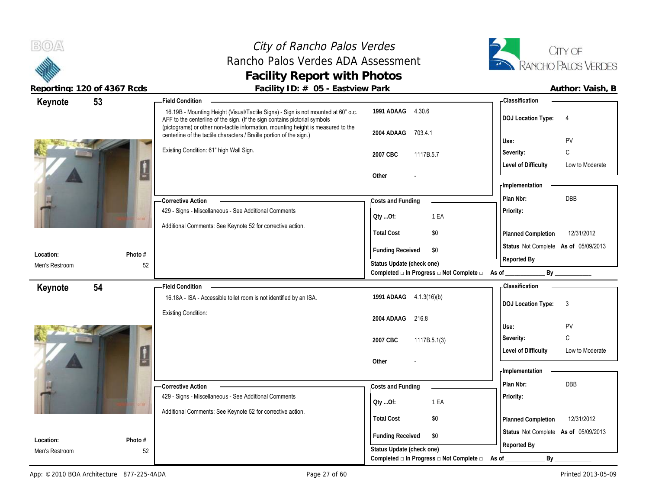# City of Rancho Palos Verdes Rancho Palos Verdes ADA Assessment **Facility Report with Photos**



|                             | $1000 \cdot 1119 \cdot 1000 \cdot 1000 \cdot 10000$ | $\frac{1}{2}$ about $\frac{1}{2}$ is $\frac{1}{2}$ if $\frac{1}{2}$ is the set of $\frac{1}{2}$ if $\frac{1}{2}$ is the set of $\frac{1}{2}$                                                                                                         |                                                |                                               |
|-----------------------------|-----------------------------------------------------|------------------------------------------------------------------------------------------------------------------------------------------------------------------------------------------------------------------------------------------------------|------------------------------------------------|-----------------------------------------------|
| Keynote                     | 53                                                  | <b>Field Condition</b>                                                                                                                                                                                                                               |                                                | - Classification                              |
|                             |                                                     | 16.19B - Mounting Height (Visual/Tactile Signs) - Sign is not mounted at 60" o.c.<br>AFF to the centerline of the sign. (If the sign contains pictorial symbols<br>(pictograms) or other non-tactile information, mounting height is measured to the | 1991 ADAAG 4.30.6                              | <b>DOJ Location Type:</b><br>$\overline{4}$   |
|                             |                                                     | centerline of the tactile characters / Braille portion of the sign.)                                                                                                                                                                                 | 2004 ADAAG<br>703.4.1                          | PV<br>Use:                                    |
|                             |                                                     | Existing Condition: 61" high Wall Sign.                                                                                                                                                                                                              |                                                |                                               |
|                             |                                                     |                                                                                                                                                                                                                                                      | 2007 CBC<br>1117B.5.7                          | С<br>Severity:                                |
|                             | L                                                   |                                                                                                                                                                                                                                                      |                                                | <b>Level of Difficulty</b><br>Low to Moderate |
|                             |                                                     |                                                                                                                                                                                                                                                      | Other                                          | <b>Implementation</b>                         |
|                             |                                                     |                                                                                                                                                                                                                                                      |                                                |                                               |
|                             |                                                     | - Corrective Action                                                                                                                                                                                                                                  | Costs and Funding                              | <b>DBB</b><br>Plan Nbr:                       |
|                             |                                                     | 429 - Signs - Miscellaneous - See Additional Comments                                                                                                                                                                                                | 1 EA<br>Oty Of:                                | Priority:                                     |
|                             |                                                     | Additional Comments: See Keynote 52 for corrective action.                                                                                                                                                                                           | <b>Total Cost</b><br>\$0                       |                                               |
|                             |                                                     |                                                                                                                                                                                                                                                      |                                                | 12/31/2012<br>Planned Completion              |
| Location:                   | Photo #                                             |                                                                                                                                                                                                                                                      | <b>Funding Received</b><br>\$0                 | Status Not Complete As of 05/09/2013          |
| Men's Restroom              | 52                                                  |                                                                                                                                                                                                                                                      | Status Update (check one)                      | Reported By                                   |
|                             |                                                     |                                                                                                                                                                                                                                                      | Completed □ In Progress □ Not Complete □       | By<br>As of                                   |
| Keynote                     | 54                                                  | <b>Field Condition</b>                                                                                                                                                                                                                               |                                                | <b>Classification</b>                         |
|                             |                                                     | 16.18A - ISA - Accessible toilet room is not identified by an ISA.                                                                                                                                                                                   | 1991 ADAAG 4.1.3(16)(b)                        |                                               |
|                             |                                                     | <b>Existing Condition:</b>                                                                                                                                                                                                                           |                                                | <b>DOJ</b> Location Type:<br>$\mathbf{3}$     |
|                             |                                                     |                                                                                                                                                                                                                                                      | 2004 ADAAG<br>216.8                            |                                               |
|                             |                                                     |                                                                                                                                                                                                                                                      |                                                | PV<br>Use:                                    |
|                             |                                                     |                                                                                                                                                                                                                                                      | 2007 CBC<br>1117B.5.1(3)                       | C<br>Severity:                                |
|                             | Ţ                                                   |                                                                                                                                                                                                                                                      |                                                | <b>Level of Difficulty</b><br>Low to Moderate |
|                             |                                                     |                                                                                                                                                                                                                                                      | Other                                          |                                               |
|                             |                                                     |                                                                                                                                                                                                                                                      |                                                | - Implementation                              |
|                             |                                                     | -Corrective Action                                                                                                                                                                                                                                   | Costs and Funding                              | Plan Nbr:<br><b>DBB</b>                       |
|                             |                                                     | 429 - Signs - Miscellaneous - See Additional Comments                                                                                                                                                                                                | 1 EA<br>Oty Of:                                | Priority:                                     |
|                             |                                                     | Additional Comments: See Keynote 52 for corrective action.                                                                                                                                                                                           |                                                |                                               |
|                             |                                                     |                                                                                                                                                                                                                                                      | <b>Total Cost</b><br>\$0                       | 12/31/2012<br>Planned Completion              |
|                             |                                                     |                                                                                                                                                                                                                                                      | <b>Funding Received</b><br>\$0                 | Status Not Complete As of 05/09/2013          |
| Location:<br>Men's Restroom | Photo #                                             |                                                                                                                                                                                                                                                      | Status Update (check one)                      | Reported By                                   |
|                             | 52                                                  |                                                                                                                                                                                                                                                      | Completed □ In Progress □ Not Complete □ As of | $By_$                                         |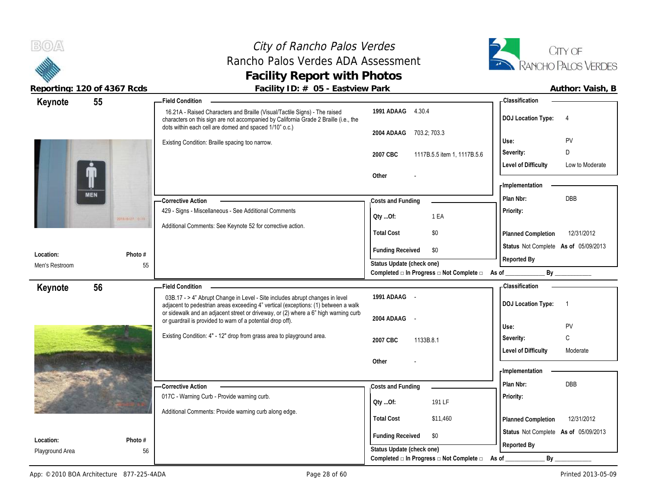**BOA** 

**Location:** Playground Area

### City of Rancho Palos Verdes Rancho Palos Verdes ADA Assessment **Facility Report with Photos**



|                | Reporting: 120 of 4367 Rcds | Facility ID: # 05 - Eastview Park                                                                                                                                                                                                                         |                                                          | Author: Vaish, B                                    |
|----------------|-----------------------------|-----------------------------------------------------------------------------------------------------------------------------------------------------------------------------------------------------------------------------------------------------------|----------------------------------------------------------|-----------------------------------------------------|
| Keynote        | 55                          | - Field Condition -                                                                                                                                                                                                                                       |                                                          | - Classification                                    |
|                |                             | 16.21A - Raised Characters and Braille (Visual/Tactile Signs) - The raised<br>characters on this sign are not accompanied by California Grade 2 Braille (i.e., the<br>dots within each cell are domed and spaced 1/10" o.c.)                              | 1991 ADAAG 4.30.4                                        | <b>DOJ</b> Location Type:<br>$\overline{4}$         |
|                |                             |                                                                                                                                                                                                                                                           | 2004 ADAAG<br>703.2; 703.3                               |                                                     |
|                |                             | Existing Condition: Braille spacing too narrow.                                                                                                                                                                                                           |                                                          | PV<br>Use:                                          |
|                |                             |                                                                                                                                                                                                                                                           | 2007 CBC<br>1117B.5.5 item 1, 1117B.5.6                  | Severity:<br>D                                      |
|                |                             |                                                                                                                                                                                                                                                           |                                                          | <b>Level of Difficulty</b><br>Low to Moderate       |
|                |                             |                                                                                                                                                                                                                                                           | Other                                                    |                                                     |
|                |                             |                                                                                                                                                                                                                                                           |                                                          | - Implementation                                    |
|                | <b>MEN</b>                  | - Corrective Action                                                                                                                                                                                                                                       | Costs and Funding                                        | Plan Nbr:<br>DBB                                    |
|                | <b>SOUTHERN OFFICE</b>      | 429 - Signs - Miscellaneous - See Additional Comments                                                                                                                                                                                                     | QtyOf:<br>1 EA                                           | Priority:                                           |
|                |                             | Additional Comments: See Keynote 52 for corrective action.                                                                                                                                                                                                | <b>Total Cost</b><br>\$0                                 | 12/31/2012<br>Planned Completion                    |
| Location:      | Photo #                     |                                                                                                                                                                                                                                                           | \$0<br><b>Funding Received</b>                           | Status Not Complete As of 05/09/2013<br>Reported By |
| Men's Restroom | 55                          |                                                                                                                                                                                                                                                           | Status Update (check one)                                |                                                     |
|                |                             |                                                                                                                                                                                                                                                           | Completed □ In Progress □ Not Complete □ As of _________ | By                                                  |
| Keynote        | 56                          | <b>Field Condition</b>                                                                                                                                                                                                                                    |                                                          | - Classification                                    |
|                |                             | 03B.17 - > 4" Abrupt Change in Level - Site includes abrupt changes in level<br>adjacent to pedestrian areas exceeding 4" vertical (exceptions: (1) between a walk<br>or sidewalk and an adjacent street or driveway, or (2) where a 6" high warning curb | 1991 ADAAG -                                             | <b>DOJ Location Type:</b><br>$\overline{1}$         |
|                |                             | or guardrail is provided to warn of a potential drop off).                                                                                                                                                                                                | 2004 ADAAG -                                             |                                                     |
|                |                             |                                                                                                                                                                                                                                                           |                                                          | Use:<br>PV                                          |
|                |                             | Existing Condition: 4" - 12" drop from grass area to playground area.                                                                                                                                                                                     | 1133B.8.1<br>2007 CBC                                    | Severity:<br>C                                      |
|                |                             |                                                                                                                                                                                                                                                           |                                                          | <b>Level of Difficulty</b><br>Moderate              |
|                |                             |                                                                                                                                                                                                                                                           | Other                                                    |                                                     |
|                |                             |                                                                                                                                                                                                                                                           |                                                          | - Implementation                                    |
|                |                             | <b>Corrective Action</b>                                                                                                                                                                                                                                  | Costs and Funding                                        | DBB<br>Plan Nbr:                                    |
|                |                             | 017C - Warning Curb - Provide warning curb.                                                                                                                                                                                                               | 191 LF<br>QtyOf:                                         | Priority:                                           |
|                |                             | Additional Comments: Provide warning curb along edge.                                                                                                                                                                                                     |                                                          |                                                     |
|                |                             |                                                                                                                                                                                                                                                           | <b>Total Cost</b><br>\$11,460                            | 12/31/2012<br>Planned Completion                    |
| Location:      | Photo #                     |                                                                                                                                                                                                                                                           | <b>Funding Received</b><br>\$0                           | Status Not Complete As of 05/09/2013                |
|                |                             |                                                                                                                                                                                                                                                           |                                                          |                                                     |

56

**Status Update (check one)**

Completed □ In Progress □ Not Complete □ As of \_\_\_\_\_\_\_\_\_\_\_\_\_\_\_\_\_\_\_\_\_\_\_\_\_\_\_\_\_\_\_\_\_

**Reported By**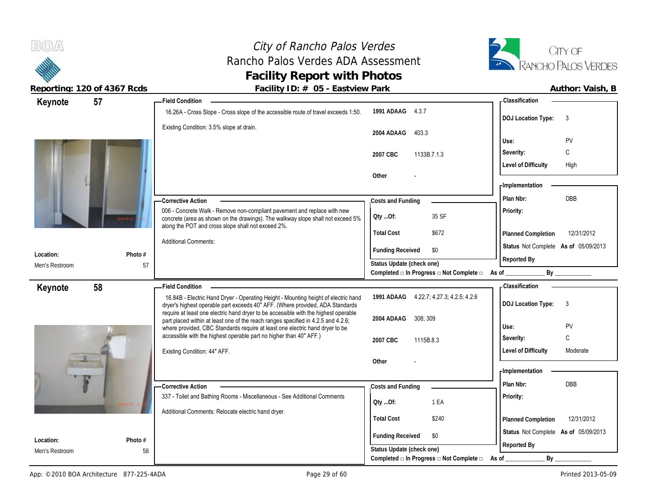# City of Rancho Palos Verdes Rancho Palos Verdes ADA Assessment **Facility Report with Photos**



| Keynote        | 57      | <b>Field Condition</b>                                                                                                                                                                                            |                                                                                              | <b>Classification</b>                  |
|----------------|---------|-------------------------------------------------------------------------------------------------------------------------------------------------------------------------------------------------------------------|----------------------------------------------------------------------------------------------|----------------------------------------|
|                |         | 16.26A - Cross Slope - Cross slope of the accessible route of travel exceeds 1:50.                                                                                                                                | 1991 ADAAG 4.3.7                                                                             | <b>DOJ Location Type:</b><br>3         |
|                |         | Existing Condition: 3.5% slope at drain.                                                                                                                                                                          | 2004 ADAAG<br>403.3                                                                          |                                        |
|                |         |                                                                                                                                                                                                                   |                                                                                              | Use:<br>PV                             |
|                |         |                                                                                                                                                                                                                   | 1133B.7.1.3<br>2007 CBC                                                                      | C<br>Severity:                         |
|                |         |                                                                                                                                                                                                                   |                                                                                              | <b>Level of Difficulty</b><br>High     |
|                |         |                                                                                                                                                                                                                   | Other                                                                                        | - Implementation                       |
|                |         |                                                                                                                                                                                                                   |                                                                                              |                                        |
|                |         | <b>Corrective Action</b>                                                                                                                                                                                          | Costs and Funding                                                                            | DBB<br>Plan Nbr:                       |
|                |         | 006 - Concrete Walk - Remove non-compliant pavement and replace with new<br>concrete (area as shown on the drawings). The walkway slope shall not exceed 5%<br>along the POT and cross slope shall not exceed 2%. | 35 SF<br>Qty Of:                                                                             | Priority:                              |
|                |         |                                                                                                                                                                                                                   | <b>Total Cost</b><br>\$672                                                                   | 12/31/2012<br>Planned Completion       |
|                |         | <b>Additional Comments:</b>                                                                                                                                                                                       | <b>Funding Received</b><br>\$0                                                               | Status Not Complete As of 05/09/2013   |
| Location:      | Photo # |                                                                                                                                                                                                                   |                                                                                              | Reported By                            |
| Men's Restroom | 57      |                                                                                                                                                                                                                   | Status Update (check one)<br>Completed $\Box$ In Progress $\Box$ Not Complete $\Box$ As of _ | $\mathsf{By}$                          |
|                |         | <b>Field Condition</b>                                                                                                                                                                                            |                                                                                              | - Classification                       |
| Keynote        | 58      | 16.84B - Electric Hand Dryer - Operating Height - Mounting height of electric hand                                                                                                                                | 1991 ADAAG 4.22.7; 4.27.3; 4.2.5; 4.2.6                                                      |                                        |
|                |         | dryer's highest operable part exceeds 40" AFF. (Where provided, ADA Standards                                                                                                                                     |                                                                                              | <b>DOJ</b> Location Type:<br>3         |
|                |         | require at least one electric hand dryer to be accessible with the highest operable                                                                                                                               |                                                                                              |                                        |
|                |         |                                                                                                                                                                                                                   |                                                                                              |                                        |
|                |         | part placed within at least one of the reach ranges specified in 4.2.5 and 4.2.6;<br>where provided, CBC Standards require at least one electric hand dryer to be                                                 | 2004 ADAAG<br>308:309                                                                        | PV<br>Use:                             |
|                |         | accessible with the highest operable part no higher than 40" AFF.)                                                                                                                                                | 2007 CBC<br>1115B.8.3                                                                        | C<br>Severity:                         |
|                |         | Existing Condition: 44" AFF.                                                                                                                                                                                      |                                                                                              | <b>Level of Difficulty</b><br>Moderate |
|                |         |                                                                                                                                                                                                                   | Other                                                                                        |                                        |
|                |         |                                                                                                                                                                                                                   |                                                                                              | - Implementation                       |
|                |         | -Corrective Action                                                                                                                                                                                                | Costs and Funding                                                                            | Plan Nbr:<br>DBB                       |
|                |         | 337 - Toilet and Bathing Rooms - Miscellaneous - See Additional Comments                                                                                                                                          |                                                                                              | Priority:                              |
|                |         |                                                                                                                                                                                                                   | 1 EA<br>QtyOf:                                                                               |                                        |
|                |         | Additional Comments: Relocate electric hand dryer.                                                                                                                                                                | <b>Total Cost</b><br>\$240                                                                   | 12/31/2012<br>Planned Completion       |
| Location:      | Photo # |                                                                                                                                                                                                                   | <b>Funding Received</b><br>\$0                                                               | Status Not Complete As of 05/09/2013   |
| Men's Restroom | 58      |                                                                                                                                                                                                                   | Status Update (check one)<br>Completed □ In Progress □ Not Complete □                        | Reported By<br>$By_$                   |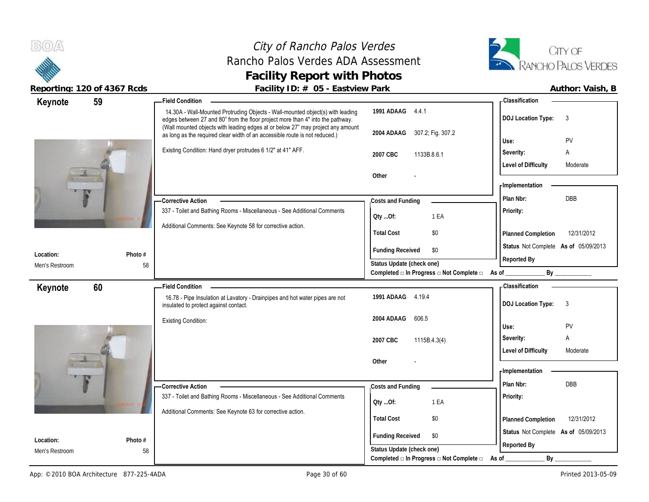# City of Rancho Palos Verdes Rancho Palos Verdes ADA Assessment **Facility Report with Photos**



| 59<br>Keynote  | <b>Field Condition</b>                                                                                                                                           |                                                         | <b>Classification</b>                  |
|----------------|------------------------------------------------------------------------------------------------------------------------------------------------------------------|---------------------------------------------------------|----------------------------------------|
|                | 14.30A - Wall-Mounted Protruding Objects - Wall-mounted object(s) with leading<br>edges between 27 and 80" from the floor project more than 4" into the pathway. | 1991 ADAAG 4.4.1                                        | 3<br><b>DOJ Location Type:</b>         |
|                | (Wall mounted objects with leading edges at or below 27" may project any amount<br>as long as the required clear width of an accessible route is not reduced.)   | 2004 ADAAG 307.2; Fig. 307.2                            |                                        |
|                | Existing Condition: Hand dryer protrudes 6 1/2" at 41" AFF.                                                                                                      |                                                         | PV<br>Use:<br>Severity:<br>Α           |
|                |                                                                                                                                                                  | 2007 CBC<br>1133B.8.6.1                                 | <b>Level of Difficulty</b><br>Moderate |
|                |                                                                                                                                                                  | Other                                                   |                                        |
|                |                                                                                                                                                                  |                                                         | - Implementation                       |
|                | -Corrective Action                                                                                                                                               | Costs and Funding                                       | <b>DBB</b><br>Plan Nbr:                |
|                | 337 - Toilet and Bathing Rooms - Miscellaneous - See Additional Comments                                                                                         | 1 EA<br>Qty Of:                                         | Priority:                              |
|                | Additional Comments: See Keynote 58 for corrective action.                                                                                                       |                                                         |                                        |
|                |                                                                                                                                                                  | <b>Total Cost</b><br>\$0                                | 12/31/2012<br>Planned Completion       |
| Location:      | Photo #                                                                                                                                                          | <b>Funding Received</b><br>\$0                          | Status Not Complete As of 05/09/2013   |
| Men's Restroom | 58                                                                                                                                                               | Status Update (check one)                               | Reported By                            |
|                |                                                                                                                                                                  | Completed □ In Progress □ Not Complete □                | By<br>As of                            |
| 60<br>Keynote  | <b>Field Condition</b>                                                                                                                                           |                                                         | <b>Classification</b>                  |
|                | 16.78 - Pipe Insulation at Lavatory - Drainpipes and hot water pipes are not<br>insulated to protect against contact.                                            | 1991 ADAAG 4.19.4                                       | <b>DOJ Location Type:</b><br>3         |
|                | <b>Existing Condition:</b>                                                                                                                                       | 606.5<br>2004 ADAAG                                     | PV<br>Use:                             |
|                |                                                                                                                                                                  | 2007 CBC<br>1115B.4.3(4)                                | Severity:<br>Α                         |
|                |                                                                                                                                                                  |                                                         | <b>Level of Difficulty</b><br>Moderate |
|                |                                                                                                                                                                  | Other                                                   |                                        |
|                |                                                                                                                                                                  |                                                         | - Implementation                       |
|                | -Corrective Action                                                                                                                                               | Costs and Funding                                       | DBB<br>Plan Nbr:                       |
|                | 337 - Toilet and Bathing Rooms - Miscellaneous - See Additional Comments                                                                                         | Qty Of:<br>1 EA                                         | Priority:                              |
|                | Additional Comments: See Keynote 63 for corrective action.                                                                                                       | <b>Total Cost</b><br>\$0                                | 12/31/2012<br>Planned Completion       |
|                |                                                                                                                                                                  |                                                         | Status Not Complete As of 05/09/2013   |
| Location:      | Photo #                                                                                                                                                          | <b>Funding Received</b><br>\$0                          | Reported By                            |
| Men's Restroom | 58                                                                                                                                                               | Status Update (check one)                               |                                        |
|                |                                                                                                                                                                  | Completed $\Box$ In Progress $\Box$ Not Complete $\Box$ | By<br>As of                            |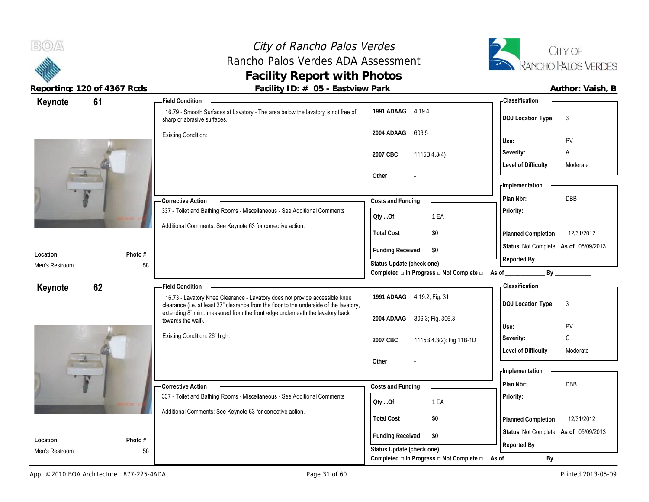# City of Rancho Palos Verdes Rancho Palos Verdes ADA Assessment **Facility Report with Photos**



| 61<br>Keynote               |               | <b>Field Condition</b>                                                                                                                                                 |                                                                       | - Classification                       |
|-----------------------------|---------------|------------------------------------------------------------------------------------------------------------------------------------------------------------------------|-----------------------------------------------------------------------|----------------------------------------|
|                             |               | 16.79 - Smooth Surfaces at Lavatory - The area below the lavatory is not free of<br>sharp or abrasive surfaces.                                                        | 1991 ADAAG 4.19.4                                                     | <b>DOJ Location Type:</b><br>3         |
|                             |               | <b>Existing Condition:</b>                                                                                                                                             | 2004 ADAAG<br>606.5                                                   | PV<br>Use:                             |
|                             |               |                                                                                                                                                                        | 2007 CBC                                                              | Severity:<br>Α                         |
|                             |               |                                                                                                                                                                        | 1115B.4.3(4)                                                          | <b>Level of Difficulty</b><br>Moderate |
|                             |               |                                                                                                                                                                        | Other                                                                 |                                        |
|                             |               |                                                                                                                                                                        |                                                                       | - Implementation                       |
|                             |               | -Corrective Action                                                                                                                                                     | Costs and Funding                                                     | DBB<br>Plan Nbr:                       |
|                             |               | 337 - Toilet and Bathing Rooms - Miscellaneous - See Additional Comments                                                                                               | 1 EA<br>Oty Of:                                                       | Priority:                              |
|                             |               | Additional Comments: See Keynote 63 for corrective action.                                                                                                             | <b>Total Cost</b><br>\$0                                              | 12/31/2012<br>Planned Completion       |
|                             |               |                                                                                                                                                                        | <b>Funding Received</b><br>\$0                                        | Status Not Complete As of 05/09/2013   |
| Location:<br>Men's Restroom | Photo #<br>58 |                                                                                                                                                                        | Status Update (check one)                                             | Reported By                            |
|                             |               |                                                                                                                                                                        | Completed □ In Progress □ Not Complete □ As of __                     | By                                     |
| 62<br>Keynote               |               | - Field Condition                                                                                                                                                      |                                                                       | - Classification                       |
|                             |               | 16.73 - Lavatory Knee Clearance - Lavatory does not provide accessible knee<br>clearance (i.e. at least 27" clearance from the floor to the underside of the lavatory, | 1991 ADAAG 4.19.2; Fig. 31                                            | <b>DOJ Location Type:</b><br>3         |
|                             |               | extending 8" min measured from the front edge underneath the lavatory back<br>towards the wall).                                                                       | 2004 ADAAG<br>306.3; Fig. 306.3                                       | Use:<br>PV                             |
|                             |               | Existing Condition: 26" high.                                                                                                                                          |                                                                       |                                        |
|                             |               |                                                                                                                                                                        |                                                                       |                                        |
|                             |               |                                                                                                                                                                        | 2007 CBC<br>1115B.4.3(2); Fig 11B-1D                                  | $\mathbb C$<br>Severity:               |
|                             |               |                                                                                                                                                                        |                                                                       | <b>Level of Difficulty</b><br>Moderate |
|                             |               |                                                                                                                                                                        | Other                                                                 | - Implementation                       |
|                             |               | - Corrective Action                                                                                                                                                    |                                                                       | DBB<br>Plan Nbr:                       |
|                             |               | 337 - Toilet and Bathing Rooms - Miscellaneous - See Additional Comments                                                                                               | Costs and Funding                                                     | Priority:                              |
|                             |               |                                                                                                                                                                        | 1 EA<br>QtyOf:                                                        |                                        |
|                             |               | Additional Comments: See Keynote 63 for corrective action.                                                                                                             | <b>Total Cost</b><br>\$0                                              | 12/31/2012<br>Planned Completion       |
| Location:                   | Photo #       |                                                                                                                                                                        | <b>Funding Received</b><br>\$0                                        | Status Not Complete As of 05/09/2013   |
| Men's Restroom              | 58            |                                                                                                                                                                        | Status Update (check one)<br>Completed □ In Progress □ Not Complete □ | Reported By<br>By                      |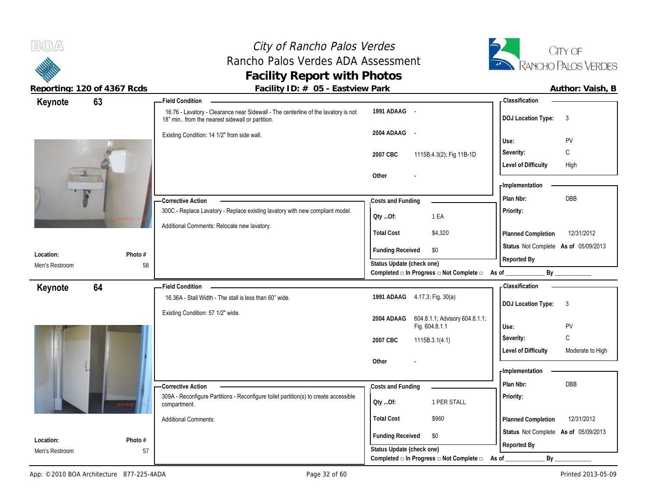# City of Rancho Palos Verdes Rancho Palos Verdes ADA Assessment **Facility Report with Photos**



| Keynote<br>63               |               | $\frac{1}{2}$ about $\frac{1}{2}$ is $\frac{1}{2}$ if $\frac{1}{2}$ is $\frac{1}{2}$ if $\frac{1}{2}$ if $\frac{1}{2}$ if $\frac{1}{2}$ if $\frac{1}{2}$ if $\frac{1}{2}$ if $\frac{1}{2}$ if $\frac{1}{2}$ if $\frac{1}{2}$ if $\frac{1}{2}$ if $\frac{1}{2}$ if $\frac{1}{2}$ if $\frac{1}{2}$<br><b>Field Condition</b> |                                                | - Classification                               |
|-----------------------------|---------------|----------------------------------------------------------------------------------------------------------------------------------------------------------------------------------------------------------------------------------------------------------------------------------------------------------------------------|------------------------------------------------|------------------------------------------------|
|                             |               | 16.76 - Lavatory - Clearance near Sidewall - The centerline of the lavatory is not<br>18" min from the nearest sidewall or partition.                                                                                                                                                                                      | 1991 ADAAG -                                   | <b>DOJ</b> Location Type:<br>3                 |
|                             |               | Existing Condition: 14 1/2" from side wall.                                                                                                                                                                                                                                                                                | 2004 ADAAG -                                   | PV<br>Use:                                     |
|                             |               |                                                                                                                                                                                                                                                                                                                            | 2007 CBC<br>1115B.4.3(2); Fig 11B-1D           | C<br>Severity:                                 |
|                             |               |                                                                                                                                                                                                                                                                                                                            |                                                | <b>Level of Difficulty</b><br>High             |
|                             |               |                                                                                                                                                                                                                                                                                                                            | Other                                          |                                                |
|                             |               |                                                                                                                                                                                                                                                                                                                            |                                                | - Implementation                               |
|                             |               | - Corrective Action                                                                                                                                                                                                                                                                                                        | Costs and Funding                              | DBB<br>Plan Nbr:                               |
|                             |               | 300C - Replace Lavatory - Replace existing lavatory with new compliant model.                                                                                                                                                                                                                                              | 1 EA<br>Oty Of:                                | Priority:                                      |
|                             |               | Additional Comments: Relocate new lavatory.                                                                                                                                                                                                                                                                                | <b>Total Cost</b><br>\$4,320                   | 12/31/2012                                     |
|                             |               |                                                                                                                                                                                                                                                                                                                            |                                                | Planned Completion                             |
| Location:                   | Photo #       |                                                                                                                                                                                                                                                                                                                            | <b>Funding Received</b><br>\$0                 | Status Not Complete As of 05/09/2013           |
| Men's Restroom              | 58            |                                                                                                                                                                                                                                                                                                                            | Status Update (check one)                      | Reported By                                    |
|                             |               |                                                                                                                                                                                                                                                                                                                            | Completed □ In Progress □ Not Complete □ As of | By                                             |
| Keynote<br>64               |               | <b>Field Condition</b><br>16.36A - Stall Width - The stall is less than 60" wide.                                                                                                                                                                                                                                          | 1991 ADAAG 4.17.3; Fig. 30(a)                  | <b>Classification</b>                          |
|                             |               |                                                                                                                                                                                                                                                                                                                            |                                                | <b>DOJ Location Type:</b><br>-3                |
|                             |               | Existing Condition: 57 1/2" wide.                                                                                                                                                                                                                                                                                          | 604.8.1.1; Advisory 604.8.1.1;<br>2004 ADAAG   |                                                |
|                             |               |                                                                                                                                                                                                                                                                                                                            | Fig. 604.8.1.1                                 | PV<br>Use:                                     |
|                             |               |                                                                                                                                                                                                                                                                                                                            | 2007 CBC<br>1115B.3.1(4.1)                     | C<br>Severity:                                 |
|                             |               |                                                                                                                                                                                                                                                                                                                            | Other                                          | <b>Level of Difficulty</b><br>Moderate to High |
|                             |               |                                                                                                                                                                                                                                                                                                                            |                                                | - Implementation                               |
|                             |               | <b>Corrective Action</b>                                                                                                                                                                                                                                                                                                   | Costs and Funding                              | Plan Nbr:<br><b>DBB</b>                        |
|                             |               | 309A - Reconfigure Partitions - Reconfigure toilet partition(s) to create accessible                                                                                                                                                                                                                                       | 1 PER STALL                                    | Priority:                                      |
|                             |               | compartment.                                                                                                                                                                                                                                                                                                               | Oty Of:                                        |                                                |
|                             |               |                                                                                                                                                                                                                                                                                                                            |                                                |                                                |
|                             |               | <b>Additional Comments:</b>                                                                                                                                                                                                                                                                                                | <b>Total Cost</b><br>\$960                     | 12/31/2012<br>Planned Completion               |
|                             |               |                                                                                                                                                                                                                                                                                                                            | <b>Funding Received</b><br>\$0                 | Status Not Complete As of 05/09/2013           |
| Location:<br>Men's Restroom | Photo #<br>57 |                                                                                                                                                                                                                                                                                                                            | Status Update (check one)                      | Reported By                                    |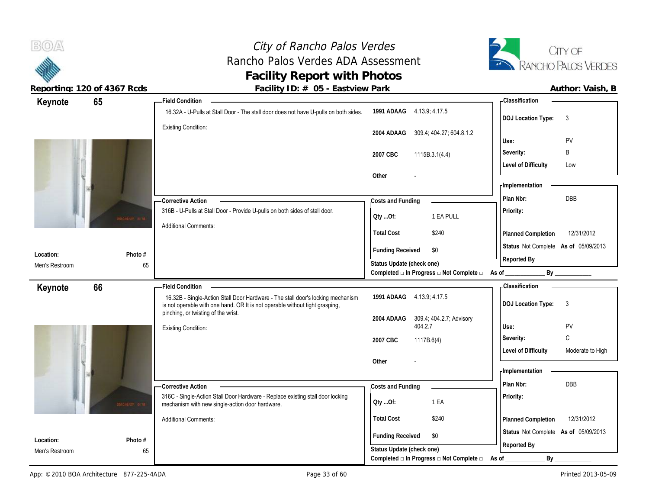

 $B(0)$ 

| 65<br><b>Field Condition</b><br>Keynote                          |                                                                                                                                                                 |                         |                                                   | <b>Classification</b>                |                  |
|------------------------------------------------------------------|-----------------------------------------------------------------------------------------------------------------------------------------------------------------|-------------------------|---------------------------------------------------|--------------------------------------|------------------|
|                                                                  | 16.32A - U-Pulls at Stall Door - The stall door does not have U-pulls on both sides.                                                                            |                         | 1991 ADAAG 4.13.9; 4.17.5                         | <b>DOJ Location Type:</b>            | 3                |
| <b>Existing Condition:</b>                                       |                                                                                                                                                                 | 2004 ADAAG              | 309.4; 404.27; 604.8.1.2                          |                                      |                  |
|                                                                  |                                                                                                                                                                 |                         |                                                   | Use:                                 | PV               |
|                                                                  |                                                                                                                                                                 | 2007 CBC                | 1115B.3.1(4.4)                                    | Severity:                            | B                |
|                                                                  |                                                                                                                                                                 |                         |                                                   | <b>Level of Difficulty</b>           | Low              |
|                                                                  | Other                                                                                                                                                           |                         |                                                   |                                      |                  |
|                                                                  |                                                                                                                                                                 |                         |                                                   | - Implementation                     |                  |
| -Corrective Action                                               |                                                                                                                                                                 | Costs and Funding       |                                                   | Plan Nbr:                            | DBB              |
| sta <i>rarzy</i> arik                                            | 316B - U-Pulls at Stall Door - Provide U-pulls on both sides of stall door.                                                                                     | Oty Of:                 | 1 EA PULL                                         | Priority:                            |                  |
| <b>Additional Comments:</b>                                      |                                                                                                                                                                 |                         |                                                   |                                      |                  |
|                                                                  |                                                                                                                                                                 | <b>Total Cost</b>       | \$240                                             | <b>Planned Completion</b>            | 12/31/2012       |
| Location:<br>Photo #                                             |                                                                                                                                                                 | <b>Funding Received</b> | \$0                                               | Status Not Complete As of 05/09/2013 |                  |
| Men's Restroom<br>65                                             |                                                                                                                                                                 |                         | Status Update (check one)                         | Reported By                          |                  |
|                                                                  |                                                                                                                                                                 |                         | Completed □ In Progress □ Not Complete □ As of __ |                                      | By               |
| 66<br><b>Field Condition</b><br>Keynote                          |                                                                                                                                                                 |                         |                                                   | <b>Classification</b>                |                  |
|                                                                  | 16.32B - Single-Action Stall Door Hardware - The stall door's locking mechanism<br>is not operable with one hand. OR It is not operable without tight grasping, |                         | 1991 ADAAG 4.13.9; 4.17.5                         | <b>DOJ Location Type:</b>            | 3                |
| pinching, or twisting of the wrist.                              |                                                                                                                                                                 | 2004 ADAAG              | 309.4, 404.2.7; Advisory                          |                                      |                  |
| <b>Existing Condition:</b>                                       |                                                                                                                                                                 |                         | 404.2.7                                           | Use:                                 | PV               |
|                                                                  |                                                                                                                                                                 | 2007 CBC                | 1117B.6(4)                                        | Severity:                            | $\mathsf{C}$     |
|                                                                  |                                                                                                                                                                 |                         |                                                   | <b>Level of Difficulty</b>           | Moderate to High |
|                                                                  | Other                                                                                                                                                           |                         |                                                   | - Implementation                     |                  |
|                                                                  |                                                                                                                                                                 |                         |                                                   | Plan Nbr:                            | DBB              |
| -Corrective Action                                               | 316C - Single-Action Stall Door Hardware - Replace existing stall door locking                                                                                  | Costs and Funding       |                                                   | Priority:                            |                  |
| mechanism with new single-action door hardware.<br>stararzy arth |                                                                                                                                                                 |                         | 1 EA                                              |                                      |                  |
|                                                                  |                                                                                                                                                                 | QtyOf:                  |                                                   |                                      |                  |
| <b>Additional Comments:</b>                                      |                                                                                                                                                                 | <b>Total Cost</b>       | \$240                                             | Planned Completion                   | 12/31/2012       |
|                                                                  |                                                                                                                                                                 |                         |                                                   | Status Not Complete As of 05/09/2013 |                  |
| Location:<br>Photo #<br>Men's Restroom<br>65                     |                                                                                                                                                                 | <b>Funding Received</b> | \$0<br>Status Update (check one)                  | Reported By                          |                  |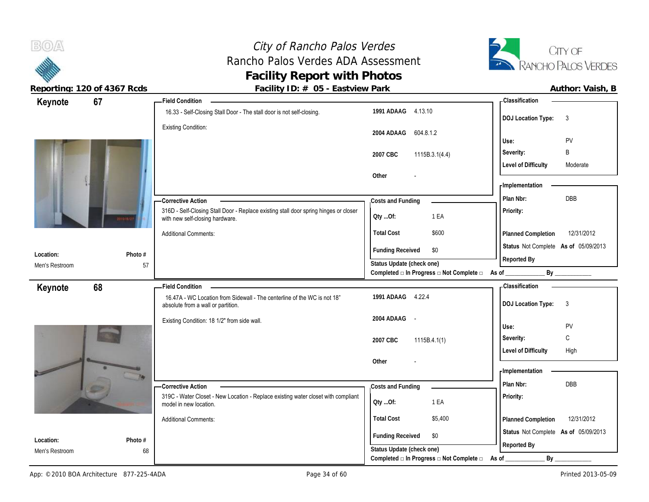

 $B(0)$ 

| Keynote        | 67      | <b>Field Condition</b>                                                                                                  |                                                                  | - Classification                          |
|----------------|---------|-------------------------------------------------------------------------------------------------------------------------|------------------------------------------------------------------|-------------------------------------------|
|                |         | 16.33 - Self-Closing Stall Door - The stall door is not self-closing.                                                   | 1991 ADAAG 4.13.10                                               | <b>DOJ Location Type:</b><br>$\mathbf{3}$ |
|                |         | <b>Existing Condition:</b>                                                                                              | 2004 ADAAG<br>604.8.1.2                                          |                                           |
|                |         |                                                                                                                         |                                                                  | Use:<br>PV                                |
|                |         |                                                                                                                         | 1115B.3.1(4.4)<br>2007 CBC                                       | B<br>Severity:                            |
|                |         |                                                                                                                         |                                                                  | <b>Level of Difficulty</b><br>Moderate    |
|                |         |                                                                                                                         | Other                                                            |                                           |
|                |         |                                                                                                                         |                                                                  | - Implementation                          |
|                |         | - Corrective Action                                                                                                     | Costs and Funding                                                | DBB<br>Plan Nbr:                          |
|                |         | 316D - Self-Closing Stall Door - Replace existing stall door spring hinges or closer<br>with new self-closing hardware. | QtyOf:<br>1 EA                                                   | Priority:                                 |
|                |         | <b>Additional Comments:</b>                                                                                             | <b>Total Cost</b><br>\$600                                       | 12/31/2012<br>Planned Completion          |
|                |         |                                                                                                                         | <b>Funding Received</b><br>\$0                                   | Status Not Complete As of 05/09/2013      |
| Location:      | Photo # |                                                                                                                         | Status Update (check one)                                        | Reported By                               |
| Men's Restroom | 57      |                                                                                                                         | Completed □ In Progress □ Not Complete □ As of                   | By                                        |
| Keynote        | 68      | <b>Field Condition</b>                                                                                                  |                                                                  | - Classification                          |
|                |         | 16.47A - WC Location from Sidewall - The centerline of the WC is not 18"<br>absolute from a wall or partition.          | 1991 ADAAG 4.22.4                                                | <b>DOJ Location Type:</b><br>$\mathbf{3}$ |
|                |         | Existing Condition: 18 1/2" from side wall.                                                                             | 2004 ADAAG -                                                     |                                           |
|                |         |                                                                                                                         |                                                                  | Use:<br><b>PV</b>                         |
|                |         |                                                                                                                         | 2007 CBC<br>1115B.4.1(1)                                         | C<br>Severity:                            |
|                |         |                                                                                                                         |                                                                  | <b>Level of Difficulty</b><br>High        |
|                |         |                                                                                                                         | Other                                                            | - Implementation                          |
|                |         |                                                                                                                         |                                                                  | Plan Nbr:<br><b>DBB</b>                   |
|                |         | -Corrective Action<br>319C - Water Closet - New Location - Replace existing water closet with compliant                 | Costs and Funding                                                | Priority:                                 |
|                |         | model in new location.                                                                                                  | 1 EA<br>Qty Of:                                                  |                                           |
|                |         | <b>Additional Comments:</b>                                                                                             | <b>Total Cost</b><br>\$5,400                                     | 12/31/2012<br>Planned Completion          |
| Location:      | Photo # |                                                                                                                         | <b>Funding Received</b><br>\$0                                   | Status Not Complete As of 05/09/2013      |
| Men's Restroom | 68      |                                                                                                                         | Status Update (check one)                                        | Reported By                               |
|                |         |                                                                                                                         | Completed $\square$ In Progress $\square$ Not Complete $\square$ | By<br>As of                               |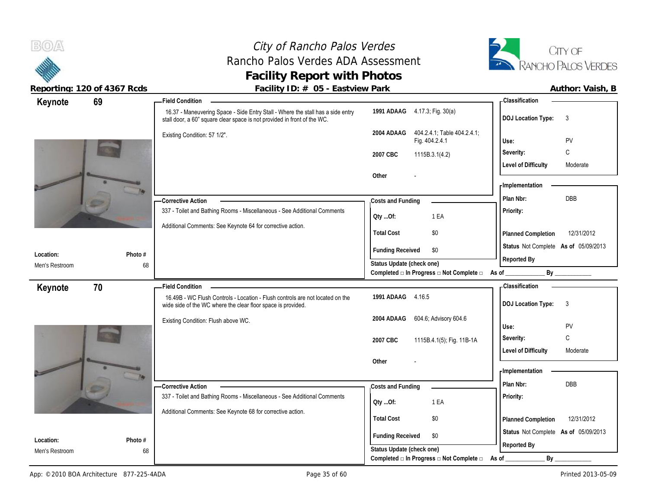# City of Rancho Palos Verdes Rancho Palos Verdes ADA Assessment **Facility Report with Photos**



| 69<br>Keynote               |         | <b>Field Condition</b>                                                                                                                                      |                                                                                      | <b>Classification</b>                     |
|-----------------------------|---------|-------------------------------------------------------------------------------------------------------------------------------------------------------------|--------------------------------------------------------------------------------------|-------------------------------------------|
|                             |         | 16.37 - Maneuvering Space - Side Entry Stall - Where the stall has a side entry<br>stall door, a 60" square clear space is not provided in front of the WC. | 1991 ADAAG 4.17.3; Fig. 30(a)                                                        | 3<br><b>DOJ Location Type:</b>            |
|                             |         | Existing Condition: 57 1/2".                                                                                                                                | 404.2.4.1; Table 404.2.4.1;<br>2004 ADAAG<br>Fig. 404.2.4.1                          | PV<br>Use:                                |
|                             |         |                                                                                                                                                             | 2007 CBC<br>1115B.3.1(4.2)                                                           | C<br>Severity:                            |
|                             |         |                                                                                                                                                             |                                                                                      | <b>Level of Difficulty</b><br>Moderate    |
|                             |         |                                                                                                                                                             | Other                                                                                |                                           |
|                             |         |                                                                                                                                                             |                                                                                      | - Implementation                          |
|                             |         | - Corrective Action                                                                                                                                         | Costs and Funding                                                                    | DBB<br>Plan Nbr:                          |
|                             |         | 337 - Toilet and Bathing Rooms - Miscellaneous - See Additional Comments                                                                                    | 1 EA<br>QtyOf:                                                                       | Priority:                                 |
|                             |         | Additional Comments: See Keynote 64 for corrective action.                                                                                                  | <b>Total Cost</b><br>\$0                                                             | 12/31/2012<br>Planned Completion          |
|                             | Photo # |                                                                                                                                                             | <b>Funding Received</b><br>\$0                                                       | Status Not Complete As of 05/09/2013      |
| Location:<br>Men's Restroom | 68      |                                                                                                                                                             | Status Update (check one)                                                            | Reported By                               |
|                             |         |                                                                                                                                                             | Completed □ In Progress □ Not Complete □                                             | As of _<br>By                             |
| Keynote<br>70               |         | <b>Field Condition</b>                                                                                                                                      |                                                                                      | <b>Classification</b>                     |
|                             |         | 16.49B - WC Flush Controls - Location - Flush controls are not located on the<br>wide side of the WC where the clear floor space is provided.               | 1991 ADAAG 4.16.5                                                                    | <b>DOJ Location Type:</b><br>$\mathbf{3}$ |
|                             |         | Existing Condition: Flush above WC.                                                                                                                         | 604.6, Advisory 604.6<br>2004 ADAAG                                                  | Use:<br>PV                                |
|                             |         |                                                                                                                                                             |                                                                                      |                                           |
|                             |         |                                                                                                                                                             |                                                                                      |                                           |
|                             |         |                                                                                                                                                             | 1115B.4.1(5); Fig. 11B-1A<br>2007 CBC                                                | $\mathbb C$<br>Severity:<br>Moderate      |
|                             |         |                                                                                                                                                             | Other                                                                                | <b>Level of Difficulty</b>                |
|                             |         |                                                                                                                                                             |                                                                                      | <b>Implementation</b>                     |
|                             |         | -Corrective Action                                                                                                                                          | Costs and Funding                                                                    | Plan Nbr:<br><b>DBB</b>                   |
|                             |         | 337 - Toilet and Bathing Rooms - Miscellaneous - See Additional Comments                                                                                    | 1 EA                                                                                 | Priority:                                 |
|                             |         | Additional Comments: See Keynote 68 for corrective action.                                                                                                  | Qty Of:                                                                              |                                           |
|                             |         |                                                                                                                                                             | <b>Total Cost</b><br>\$0                                                             | 12/31/2012<br>Planned Completion          |
| Location:                   | Photo # |                                                                                                                                                             | <b>Funding Received</b><br>\$0                                                       | Status Not Complete As of 05/09/2013      |
| Men's Restroom              | 68      |                                                                                                                                                             | Status Update (check one)<br>Completed $\Box$ In Progress $\Box$ Not Complete $\Box$ | Reported By<br>By<br>As of                |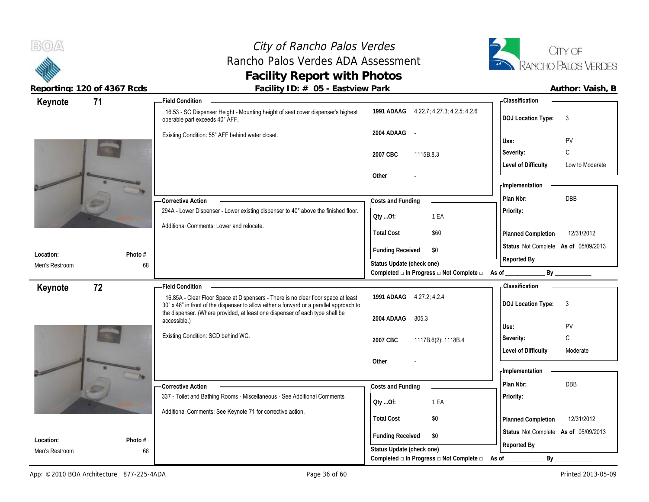**BOA** 

**Location:** Men's Restroom

# City of Rancho Palos Verdes Rancho Palos Verdes ADA Assessment **Facility Report with Photos**



Reporting: 120 of 4367 Rcds **Facility ID: # 05 - Eastview Park Facility ID: # 05 - Eastview Park Author: Vaish, B** 

| Keynote        | 71           | <b>Field Condition</b>                                                                                                                                                       |                                                                               | <b>Classification</b>                               |
|----------------|--------------|------------------------------------------------------------------------------------------------------------------------------------------------------------------------------|-------------------------------------------------------------------------------|-----------------------------------------------------|
|                |              | 16.53 - SC Dispenser Height - Mounting height of seat cover dispenser's highest<br>operable part exceeds 40" AFF.                                                            | 1991 ADAAG 4.22.7; 4.27.3; 4.2.5; 4.2.6                                       | <b>DOJ Location Type:</b><br>3                      |
|                |              | Existing Condition: 55" AFF behind water closet.                                                                                                                             | 2004 ADAAG -                                                                  | PV<br>Use:                                          |
|                |              |                                                                                                                                                                              | 2007 CBC<br>1115B.8.3                                                         | С<br>Severity:                                      |
|                |              |                                                                                                                                                                              | Other                                                                         | <b>Level of Difficulty</b><br>Low to Moderate       |
|                |              |                                                                                                                                                                              |                                                                               | - Implementation<br><b>DBB</b><br>Plan Nbr:         |
|                |              | - Corrective Action<br>294A - Lower Dispenser - Lower existing dispenser to 40" above the finished floor.                                                                    | Costs and Funding<br>1 EA<br>Oty Of:                                          | <b>Priority:</b>                                    |
|                |              | Additional Comments: Lower and relocate.                                                                                                                                     | <b>Total Cost</b><br>\$60                                                     | 12/31/2012<br>Planned Completion                    |
| Location:      | Photo #      |                                                                                                                                                                              | <b>Funding Received</b><br>\$0                                                | Status Not Complete As of 05/09/2013<br>Reported By |
| Men's Restroom | 68           |                                                                                                                                                                              | Status Update (check one)<br>Completed □ In Progress □ Not Complete □ As of _ | By                                                  |
|                | 72           | <b>Field Condition</b>                                                                                                                                                       |                                                                               | <b>Classification</b>                               |
| Keynote        |              | 16.85A - Clear Floor Space at Dispensers - There is no clear floor space at least<br>30" x 48" in front of the dispenser to allow either a forward or a parallel approach to | 1991 ADAAG 4.27.2; 4.2.4                                                      | <b>DOJ Location Type:</b><br>3                      |
|                |              | the dispenser. (Where provided, at least one dispenser of each type shall be<br>accessible.)                                                                                 | 2004 ADAAG<br>305.3                                                           | PV<br>Use:                                          |
|                |              | Existing Condition: SCD behind WC.                                                                                                                                           | 2007 CBC<br>1117B.6(2), 1118B.4                                               | C<br>Severity:                                      |
|                |              |                                                                                                                                                                              | Other                                                                         | <b>Level of Difficulty</b><br>Moderate              |
|                |              |                                                                                                                                                                              |                                                                               | - Implementation                                    |
|                |              | -Corrective Action                                                                                                                                                           | Costs and Funding                                                             | Plan Nbr:<br><b>DBB</b>                             |
|                |              | 337 - Toilet and Bathing Rooms - Miscellaneous - See Additional Comments                                                                                                     | 1 EA<br>QtyOf:                                                                | Priority:                                           |
|                |              | Additional Comments: See Keynote 71 for corrective action.                                                                                                                   | <b>Total Cost</b><br>\$0                                                      | 12/31/2012<br><b>Planned Completion</b>             |
|                | $Dh$ oto $#$ |                                                                                                                                                                              | <b>Funding Received</b><br>\$0                                                | Status Not Complete As of 05/09/2013                |

**Photo #** 68

**Status Update (check one)**

Completed **□** In Progress □ Not Complete □ As of \_\_\_\_\_\_\_\_\_\_\_\_\_\_\_\_\_\_\_\_\_\_\_\_\_\_\_\_\_\_\_\_

**Reported By**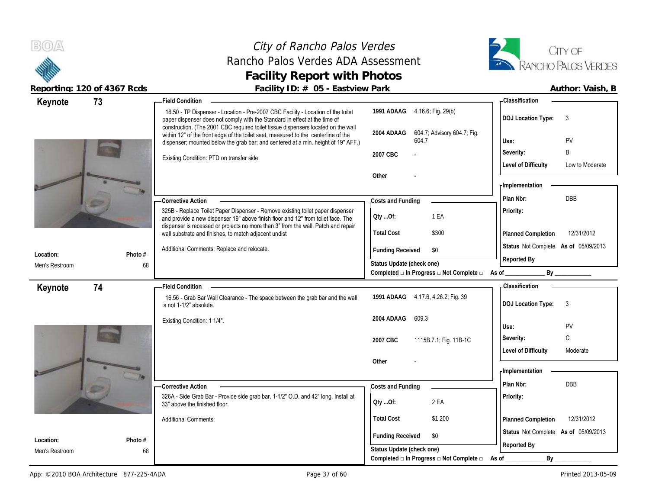# City of Rancho Palos Verdes Rancho Palos Verdes ADA Assessment **Facility Report with Photos**



| Keynote        | 73      | <b>Field Condition</b>                                                                                                                                                                                                                                       |                                                                       | <b>Classification</b>                         |
|----------------|---------|--------------------------------------------------------------------------------------------------------------------------------------------------------------------------------------------------------------------------------------------------------------|-----------------------------------------------------------------------|-----------------------------------------------|
|                |         | 16.50 - TP Dispenser - Location - Pre-2007 CBC Facility - Location of the toilet<br>paper dispenser does not comply with the Standard in effect at the time of                                                                                               | 1991 ADAAG 4.16.6; Fig. 29(b)                                         | <b>DOJ Location Type:</b><br>3                |
|                |         | construction. (The 2001 CBC required toilet tissue dispensers located on the wall<br>within 12" of the front edge of the toilet seat, measured to the centerline of the<br>dispenser; mounted below the grab bar; and centered at a min. height of 19" AFF.) | 2004 ADAAG<br>604.7; Advisory 604.7; Fig.<br>604.7                    | PV<br>Use:                                    |
|                |         | Existing Condition: PTD on transfer side.                                                                                                                                                                                                                    | 2007 CBC                                                              | B<br>Severity:                                |
|                |         |                                                                                                                                                                                                                                                              |                                                                       | <b>Level of Difficulty</b><br>Low to Moderate |
|                |         |                                                                                                                                                                                                                                                              | Other                                                                 | - Implementation                              |
|                |         |                                                                                                                                                                                                                                                              |                                                                       | Plan Nbr:<br><b>DBB</b>                       |
|                |         | - Corrective Action                                                                                                                                                                                                                                          | Costs and Funding                                                     |                                               |
|                |         | 325B - Replace Toilet Paper Dispenser - Remove existing toilet paper dispenser<br>and provide a new dispenser 19" above finish floor and 12" from toilet face. The                                                                                           | 1 EA<br>Qty Of:                                                       | Priority:                                     |
|                |         | dispenser is recessed or projects no more than 3" from the wall. Patch and repair<br>wall substrate and finishes, to match adjacent undist                                                                                                                   | <b>Total Cost</b><br>\$300                                            | 12/31/2012<br>Planned Completion              |
| Location:      | Photo # | Additional Comments: Replace and relocate.                                                                                                                                                                                                                   | <b>Funding Received</b><br>\$0                                        | Status Not Complete As of 05/09/2013          |
| Men's Restroom | 68      |                                                                                                                                                                                                                                                              | Status Update (check one)                                             | Reported By                                   |
|                |         |                                                                                                                                                                                                                                                              | Completed □ In Progress □ Not Complete □                              | As of<br>By                                   |
| Keynote        | 74      | <b>Field Condition</b>                                                                                                                                                                                                                                       |                                                                       | <b>Classification</b>                         |
|                |         | 16.56 - Grab Bar Wall Clearance - The space between the grab bar and the wall<br>is not 1-1/2" absolute.                                                                                                                                                     | 1991 ADAAG 4.17.6, 4.26.2; Fig. 39                                    | <b>DOJ Location Type:</b><br>3                |
|                |         | Existing Condition: 1 1/4".                                                                                                                                                                                                                                  | 609.3<br>2004 ADAAG                                                   | PV<br>Use:                                    |
|                |         |                                                                                                                                                                                                                                                              |                                                                       | C<br>Severity:                                |
|                |         |                                                                                                                                                                                                                                                              | 2007 CBC<br>1115B.7.1; Fig. 11B-1C                                    | <b>Level of Difficulty</b><br>Moderate        |
|                |         |                                                                                                                                                                                                                                                              | Other                                                                 |                                               |
|                |         |                                                                                                                                                                                                                                                              |                                                                       | <b>Implementation</b>                         |
|                |         | <b>Corrective Action</b>                                                                                                                                                                                                                                     | Costs and Funding                                                     | Plan Nbr:<br><b>DBB</b>                       |
|                |         | 326A - Side Grab Bar - Provide side grab bar. 1-1/2" O.D. and 42" long. Install at<br>33" above the finished floor.                                                                                                                                          | 2 EA<br>QtyOf:                                                        | Priority:                                     |
|                |         | <b>Additional Comments:</b>                                                                                                                                                                                                                                  | <b>Total Cost</b><br>\$1,200                                          | Planned Completion<br>12/31/2012              |
| Location:      | Photo # |                                                                                                                                                                                                                                                              | <b>Funding Received</b><br>\$0                                        | Status Not Complete As of 05/09/2013          |
| Men's Restroom | 68      |                                                                                                                                                                                                                                                              | Status Update (check one)                                             | Reported By                                   |
|                |         |                                                                                                                                                                                                                                                              | Completed $\Box$ In Progress $\Box$ Not Complete $\Box$ As of _______ | $By_$                                         |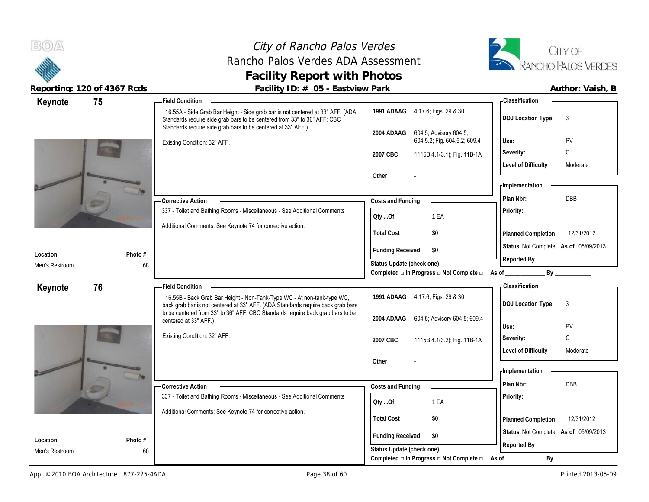### City of Rancho Palos Verdes Rancho Palos Verdes ADA Assessment **Facility Report with Photos**



| Keynote                     | 75            | <b>Field Condition</b>                                                                                                                                                                                                                       |                                                                                                                                       | <b>Classification</b>                                                                                                                                                                                                                         |
|-----------------------------|---------------|----------------------------------------------------------------------------------------------------------------------------------------------------------------------------------------------------------------------------------------------|---------------------------------------------------------------------------------------------------------------------------------------|-----------------------------------------------------------------------------------------------------------------------------------------------------------------------------------------------------------------------------------------------|
|                             |               | 16.55A - Side Grab Bar Height - Side grab bar is not centered at 33" AFF. (ADA<br>Standards require side grab bars to be centered from 33" to 36" AFF; CBC<br>Standards require side grab bars to be centered at 33" AFF.)                   | 1991 ADAAG 4.17.6; Figs. 29 & 30                                                                                                      | <b>DOJ Location Type:</b><br>3                                                                                                                                                                                                                |
|                             |               | Existing Condition: 32" AFF.                                                                                                                                                                                                                 | 604.5; Advisory 604.5;<br>2004 ADAAG<br>604.5.2; Fig. 604.5.2; 609.4<br>2007 CBC<br>1115B.4.1(3.1); Fig. 11B-1A                       | PV<br>Use:<br>C<br>Severity:                                                                                                                                                                                                                  |
|                             |               |                                                                                                                                                                                                                                              | Other                                                                                                                                 | <b>Level of Difficulty</b><br>Moderate<br>- Implementation                                                                                                                                                                                    |
|                             |               | - Corrective Action<br>337 - Toilet and Bathing Rooms - Miscellaneous - See Additional Comments<br>Additional Comments: See Keynote 74 for corrective action.                                                                                | Costs and Funding<br>1 EA<br>QtyOf:                                                                                                   | DBB<br>Plan Nbr:<br>Priority:                                                                                                                                                                                                                 |
|                             |               |                                                                                                                                                                                                                                              | \$0<br><b>Total Cost</b><br><b>Funding Received</b><br>\$0                                                                            | <b>Planned Completion</b><br>12/31/2012<br>Status Not Complete As of 05/09/2013                                                                                                                                                               |
| Location:<br>Men's Restroom | Photo #<br>68 |                                                                                                                                                                                                                                              | Status Update (check one)<br>Completed $\Box$ In Progress $\Box$ Not Complete $\Box$ As of                                            | Reported By<br>By the contract of the contract of the contract of the contract of the contract of the contract of the contract of the contract of the contract of the contract of the contract of the contract of the contract of the contrac |
| Keynote                     | 76            | <b>Field Condition</b>                                                                                                                                                                                                                       |                                                                                                                                       | - Classification                                                                                                                                                                                                                              |
|                             |               | 16.55B - Back Grab Bar Height - Non-Tank-Type WC - At non-tank-type WC,<br>back grab bar is not centered at 33" AFF. (ADA Standards require back grab bars<br>to be centered from 33" to 36" AFF; CBC Standards require back grab bars to be | 1991 ADAAG 4.17.6; Figs. 29 & 30                                                                                                      | <b>DOJ</b> Location Type:<br>3                                                                                                                                                                                                                |
|                             |               | centered at 33" AFF.)                                                                                                                                                                                                                        | 604.5; Advisory 604.5; 609.4<br>2004 ADAAG                                                                                            | PV<br>Use:                                                                                                                                                                                                                                    |
|                             |               |                                                                                                                                                                                                                                              |                                                                                                                                       |                                                                                                                                                                                                                                               |
|                             |               | Existing Condition: 32" AFF.                                                                                                                                                                                                                 | 2007 CBC<br>1115B.4.1(3.2); Fig. 11B-1A                                                                                               | C<br>Severity:<br><b>Level of Difficulty</b><br>Moderate                                                                                                                                                                                      |
|                             |               |                                                                                                                                                                                                                                              | Other                                                                                                                                 | - Implementation                                                                                                                                                                                                                              |
|                             |               | -Corrective Action<br>337 - Toilet and Bathing Rooms - Miscellaneous - See Additional Comments                                                                                                                                               | Costs and Funding<br>1 EA<br>Qty Of:                                                                                                  | DBB<br>Plan Nbr:<br>Priority:                                                                                                                                                                                                                 |
|                             |               | Additional Comments: See Keynote 74 for corrective action.                                                                                                                                                                                   | <b>Total Cost</b><br>\$0                                                                                                              | 12/31/2012<br>Planned Completion                                                                                                                                                                                                              |
| Location:<br>Men's Restroom | Photo #<br>68 |                                                                                                                                                                                                                                              | <b>Funding Received</b><br>\$0<br>Status Update (check one)<br>Completed $\square$ In Progress $\square$ Not Complete $\square$ As of | Status Not Complete As of 05/09/2013<br>Reported By                                                                                                                                                                                           |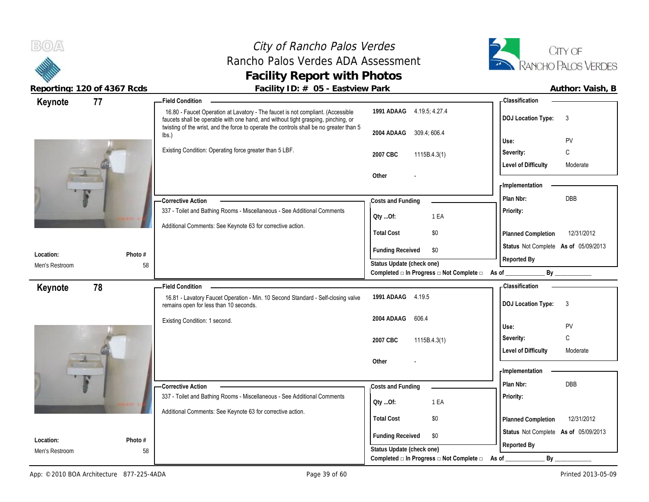# City of Rancho Palos Verdes Rancho Palos Verdes ADA Assessment **Facility Report with Photos**



| 77<br>Keynote               |               | <b>Field Condition</b>                                                                                                                                               |                                                         | - Classification                       |
|-----------------------------|---------------|----------------------------------------------------------------------------------------------------------------------------------------------------------------------|---------------------------------------------------------|----------------------------------------|
|                             |               | 16.80 - Faucet Operation at Lavatory - The faucet is not compliant. (Accessible<br>faucets shall be operable with one hand, and without tight grasping, pinching, or | 1991 ADAAG 4.19.5; 4.27.4                               | <b>DOJ Location Type:</b><br>3         |
|                             |               | twisting of the wrist, and the force to operate the controls shall be no greater than 5<br>lbs.)                                                                     | 309.4, 606.4<br>2004 ADAAG                              | PV<br>Use:                             |
|                             |               | Existing Condition: Operating force greater than 5 LBF.                                                                                                              | 2007 CBC<br>1115B.4.3(1)                                | C<br>Severity:                         |
|                             |               |                                                                                                                                                                      |                                                         | <b>Level of Difficulty</b><br>Moderate |
|                             |               |                                                                                                                                                                      | Other                                                   |                                        |
|                             |               |                                                                                                                                                                      |                                                         | - Implementation                       |
|                             |               | - Corrective Action                                                                                                                                                  | Costs and Funding                                       | DBB<br>Plan Nbr:                       |
|                             |               | 337 - Toilet and Bathing Rooms - Miscellaneous - See Additional Comments                                                                                             | Oty Of:<br>1 EA                                         | Priority:                              |
|                             |               | Additional Comments: See Keynote 63 for corrective action.                                                                                                           | <b>Total Cost</b>                                       |                                        |
|                             |               |                                                                                                                                                                      | \$0                                                     | 12/31/2012<br>Planned Completion       |
| Location:                   | Photo #       |                                                                                                                                                                      | <b>Funding Received</b><br>\$0                          | Status Not Complete As of 05/09/2013   |
| Men's Restroom              | 58            |                                                                                                                                                                      | Status Update (check one)                               | Reported By                            |
|                             |               |                                                                                                                                                                      | Completed $\Box$ In Progress $\Box$ Not Complete $\Box$ | By<br>As of                            |
| 78<br>Keynote               |               | <b>Field Condition</b>                                                                                                                                               |                                                         | <b>Classification</b>                  |
|                             |               | 16.81 - Lavatory Faucet Operation - Min. 10 Second Standard - Self-closing valve<br>remains open for less than 10 seconds.                                           | 1991 ADAAG 4.19.5                                       | <b>DOJ Location Type:</b><br>3         |
|                             |               | Existing Condition: 1 second.                                                                                                                                        | 606.4<br>2004 ADAAG                                     |                                        |
|                             |               |                                                                                                                                                                      |                                                         | PV<br>Use:<br>C<br>Severity:           |
|                             |               |                                                                                                                                                                      | 2007 CBC<br>1115B.4.3(1)                                | <b>Level of Difficulty</b><br>Moderate |
|                             |               |                                                                                                                                                                      | Other                                                   |                                        |
|                             |               |                                                                                                                                                                      |                                                         | - Implementation                       |
|                             |               |                                                                                                                                                                      |                                                         |                                        |
|                             |               |                                                                                                                                                                      |                                                         | DBB<br>Plan Nbr:                       |
|                             |               | <b>Corrective Action</b><br>337 - Toilet and Bathing Rooms - Miscellaneous - See Additional Comments                                                                 | Costs and Funding                                       | Priority:                              |
|                             |               |                                                                                                                                                                      | 1 EA<br>QtyOf:                                          |                                        |
|                             |               | Additional Comments: See Keynote 63 for corrective action.                                                                                                           | <b>Total Cost</b><br>\$0                                | 12/31/2012<br>Planned Completion       |
|                             |               |                                                                                                                                                                      | \$0                                                     | Status Not Complete As of 05/09/2013   |
| Location:<br>Men's Restroom | Photo #<br>58 |                                                                                                                                                                      | <b>Funding Received</b><br>Status Update (check one)    | Reported By                            |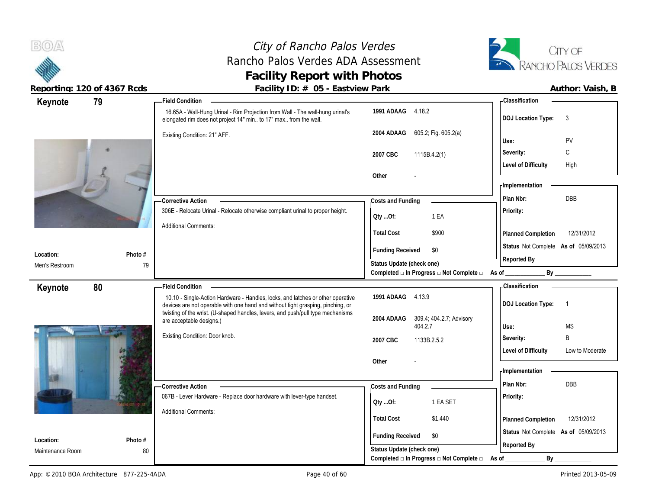# City of Rancho Palos Verdes Rancho Palos Verdes ADA Assessment **Facility Report with Photos**



| 79<br>Keynote    |         | - Field Condition                                                                                                                                                                                                                                     |                                                                                      | - Classification                                    |
|------------------|---------|-------------------------------------------------------------------------------------------------------------------------------------------------------------------------------------------------------------------------------------------------------|--------------------------------------------------------------------------------------|-----------------------------------------------------|
|                  |         | 16.65A - Wall-Hung Urinal - Rim Projection from Wall - The wall-hung urinal's<br>elongated rim does not project 14" min to 17" max from the wall.                                                                                                     | 1991 ADAAG 4.18.2                                                                    | <b>DOJ Location Type:</b><br>3                      |
|                  |         | Existing Condition: 21" AFF.                                                                                                                                                                                                                          | 605.2; Fig. 605.2(a)<br>2004 ADAAG                                                   | PV<br>Use:                                          |
|                  |         |                                                                                                                                                                                                                                                       |                                                                                      | C<br>Severity:                                      |
|                  |         |                                                                                                                                                                                                                                                       | 2007 CBC<br>1115B.4.2(1)                                                             | <b>Level of Difficulty</b><br>High                  |
|                  |         |                                                                                                                                                                                                                                                       | Other                                                                                | - Implementation                                    |
|                  |         | - Corrective Action                                                                                                                                                                                                                                   | Costs and Funding                                                                    | <b>DBB</b><br>Plan Nbr:                             |
|                  |         | 306E - Relocate Urinal - Relocate otherwise compliant urinal to proper height.                                                                                                                                                                        | 1 EA<br>Qty Of:                                                                      | Priority:                                           |
|                  |         | <b>Additional Comments:</b>                                                                                                                                                                                                                           | <b>Total Cost</b><br>\$900                                                           | 12/31/2012<br>Planned Completion                    |
| Location:        | Photo # |                                                                                                                                                                                                                                                       | <b>Funding Received</b><br>\$0                                                       | Status Not Complete As of 05/09/2013<br>Reported By |
| Men's Restroom   | 79      |                                                                                                                                                                                                                                                       | Status Update (check one)                                                            |                                                     |
|                  |         |                                                                                                                                                                                                                                                       | Completed □ In Progress □ Not Complete □ As of                                       | By                                                  |
| 80<br>Keynote    |         | <b>Field Condition</b>                                                                                                                                                                                                                                | 1991 ADAAG 4.13.9                                                                    | <b>Classification</b>                               |
|                  |         | 10.10 - Single-Action Hardware - Handles, locks, and latches or other operative<br>devices are not operable with one hand and without tight grasping, pinching, or<br>twisting of the wrist. (U-shaped handles, levers, and push/pull type mechanisms |                                                                                      | <b>DOJ Location Type:</b><br>$\overline{1}$         |
|                  |         | are acceptable designs.)                                                                                                                                                                                                                              | 2004 ADAAG<br>309.4; 404.2.7; Advisory<br>404.2.7                                    | <b>MS</b><br>Use:                                   |
|                  |         | Existing Condition: Door knob.                                                                                                                                                                                                                        |                                                                                      |                                                     |
|                  |         |                                                                                                                                                                                                                                                       |                                                                                      | B                                                   |
|                  |         |                                                                                                                                                                                                                                                       | 2007 CBC<br>1133B.2.5.2                                                              | Severity:<br>Low to Moderate                        |
|                  |         |                                                                                                                                                                                                                                                       | Other                                                                                | <b>Level of Difficulty</b>                          |
|                  |         |                                                                                                                                                                                                                                                       |                                                                                      | - Implementation                                    |
|                  |         | -Corrective Action                                                                                                                                                                                                                                    | Costs and Funding                                                                    | <b>DBB</b><br>Plan Nbr:                             |
|                  |         | 067B - Lever Hardware - Replace door hardware with lever-type handset.                                                                                                                                                                                | 1 EA SET                                                                             | Priority:                                           |
|                  |         | <b>Additional Comments:</b>                                                                                                                                                                                                                           | QtyOf:                                                                               |                                                     |
|                  |         |                                                                                                                                                                                                                                                       | <b>Total Cost</b><br>\$1,440                                                         | 12/31/2012<br>Planned Completion                    |
| Location:        | Photo # |                                                                                                                                                                                                                                                       | <b>Funding Received</b><br>\$0                                                       | Status Not Complete As of 05/09/2013                |
| Maintenance Room | 80      |                                                                                                                                                                                                                                                       | Status Update (check one)<br>Completed $\Box$ In Progress $\Box$ Not Complete $\Box$ | Reported By<br>By<br>As of                          |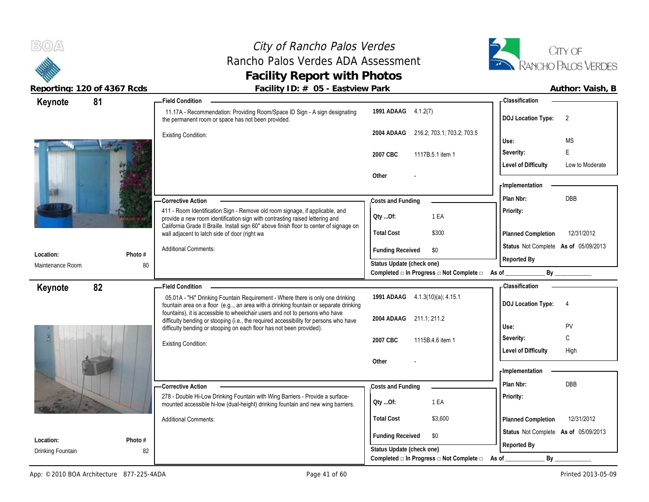# City of Rancho Palos Verdes Rancho Palos Verdes ADA Assessment **Facility Report with Photos**



| Keynote           | 81      | <b>Field Condition</b>                                                                                                                                                                                                                        |                                                                  | - Classification                              |
|-------------------|---------|-----------------------------------------------------------------------------------------------------------------------------------------------------------------------------------------------------------------------------------------------|------------------------------------------------------------------|-----------------------------------------------|
|                   |         | 11.17A - Recommendation: Providing Room/Space ID Sign - A sign designating<br>the permanent room or space has not been provided.                                                                                                              | 1991 ADAAG 4.1.2(7)                                              | <b>DOJ Location Type:</b><br>2                |
|                   |         | <b>Existing Condition:</b>                                                                                                                                                                                                                    | 216.2; 703.1; 703.2; 703.5<br>2004 ADAAG                         | <b>MS</b><br>Use:                             |
|                   |         |                                                                                                                                                                                                                                               | 2007 CBC<br>1117B.5.1 item 1                                     | E<br>Severity:                                |
|                   |         |                                                                                                                                                                                                                                               |                                                                  | <b>Level of Difficulty</b><br>Low to Moderate |
|                   |         |                                                                                                                                                                                                                                               | Other                                                            | - Implementation                              |
|                   |         | -Corrective Action                                                                                                                                                                                                                            | Costs and Funding                                                | <b>DBB</b><br>Plan Nbr:                       |
|                   |         | 411 - Room Identification Sign - Remove old room signage, if applicable, and<br>provide a new room identification sign with contrasting raised lettering and                                                                                  | 1 EA<br>QtyOf:                                                   | Priority:                                     |
|                   |         | California Grade II Braille. Install sign 60" above finish floor to center of signage on<br>wall adjacent to latch side of door (right wa                                                                                                     | <b>Total Cost</b><br>\$300                                       | 12/31/2012<br>Planned Completion              |
|                   |         | <b>Additional Comments:</b>                                                                                                                                                                                                                   | <b>Funding Received</b><br>\$0                                   | Status Not Complete As of 05/09/2013          |
| Location:         | Photo # |                                                                                                                                                                                                                                               | Status Update (check one)                                        | Reported By                                   |
| Maintenance Room  | 80      |                                                                                                                                                                                                                                               | Completed □ In Progress □ Not Complete □ As of _                 |                                               |
| Keynote           | 82      | <b>Field Condition</b>                                                                                                                                                                                                                        |                                                                  | - Classification                              |
|                   |         | 05.01A - "Hi" Drinking Fountain Requirement - Where there is only one drinking<br>fountain area on a floor (e.g, an area with a drinking fountain or separate drinking                                                                        | 1991 ADAAG 4.1.3(10)(a); 4.15.1                                  | <b>DOJ Location Type:</b><br>$\overline{4}$   |
|                   |         | fountains), it is accessible to wheelchair users and not to persons who have<br>difficulty bending or stooping (i.e., the required accessibility for persons who have<br>difficulty bending or stooping on each floor has not been provided). | 2004 ADAAG 211.1; 211.2                                          | Use:<br>PV                                    |
|                   |         | <b>Existing Condition:</b>                                                                                                                                                                                                                    | 2007 CBC<br>1115B.4.6 item 1                                     | C<br>Severity:                                |
|                   |         |                                                                                                                                                                                                                                               |                                                                  | <b>Level of Difficulty</b><br>High            |
|                   |         |                                                                                                                                                                                                                                               | Other                                                            | <b>Implementation</b>                         |
|                   |         |                                                                                                                                                                                                                                               |                                                                  | <b>DBB</b><br>Plan Nbr:                       |
|                   |         | -Corrective Action<br>278 - Double Hi-Low Drinking Fountain with Wing Barriers - Provide a surface-                                                                                                                                           | Costs and Funding                                                | Priority:                                     |
|                   |         | mounted accessible hi-low (dual-height) drinking fountain and new wing barriers.                                                                                                                                                              | 1 EA<br>QtyOf:                                                   |                                               |
|                   |         | <b>Additional Comments:</b>                                                                                                                                                                                                                   | <b>Total Cost</b><br>\$3,600                                     | 12/31/2012<br>Planned Completion              |
| Location:         | Photo # |                                                                                                                                                                                                                                               | <b>Funding Received</b><br>\$0                                   | Status Not Complete As of 05/09/2013          |
| Drinking Fountain | 82      |                                                                                                                                                                                                                                               | Status Update (check one)                                        | Reported By                                   |
|                   |         |                                                                                                                                                                                                                                               | Completed $\square$ In Progress $\square$ Not Complete $\square$ | By<br>As of                                   |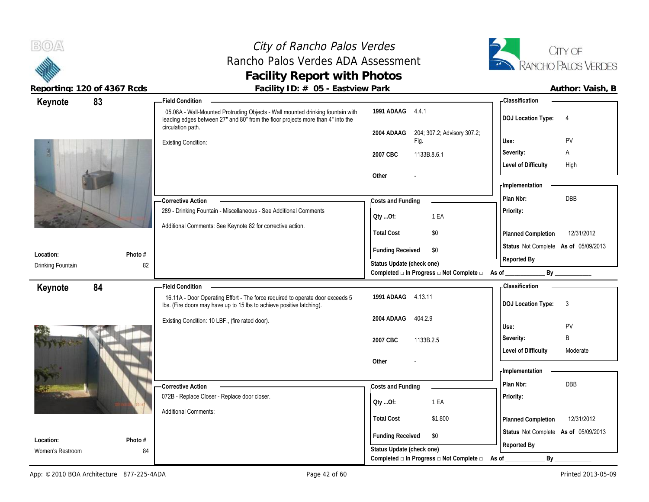# City of Rancho Palos Verdes Rancho Palos Verdes ADA Assessment **Facility Report with Photos**



| 83<br>Keynote                 |               | - Field Condition                                                                                                                                                 |                                                  | - Classification                            |
|-------------------------------|---------------|-------------------------------------------------------------------------------------------------------------------------------------------------------------------|--------------------------------------------------|---------------------------------------------|
|                               |               | 05.08A - Wall-Mounted Protruding Objects - Wall mounted drinking fountain with<br>leading edges between 27" and 80" from the floor projects more than 4" into the | 1991 ADAAG 4.4.1                                 | <b>DOJ Location Type:</b><br>$\overline{4}$ |
|                               |               | circulation path.                                                                                                                                                 | 204; 307.2; Advisory 307.2;<br>2004 ADAAG        | PV<br>Use:                                  |
|                               |               | <b>Existing Condition:</b>                                                                                                                                        | Fig.                                             |                                             |
|                               |               |                                                                                                                                                                   | 1133B.8.6.1<br>2007 CBC                          | Severity:<br>Α                              |
|                               |               |                                                                                                                                                                   |                                                  | <b>Level of Difficulty</b><br>High          |
|                               |               |                                                                                                                                                                   | Other                                            | - Implementation                            |
|                               |               |                                                                                                                                                                   |                                                  |                                             |
|                               |               | - Corrective Action                                                                                                                                               | Costs and Funding                                | DBB<br>Plan Nbr:                            |
|                               |               | 289 - Drinking Fountain - Miscellaneous - See Additional Comments                                                                                                 | 1 EA<br>QtyOf:                                   | Priority:                                   |
|                               |               | Additional Comments: See Keynote 82 for corrective action.                                                                                                        | <b>Total Cost</b><br>\$0                         | 12/31/2012                                  |
|                               |               |                                                                                                                                                                   |                                                  | Planned Completion                          |
| Location:                     | Photo #       |                                                                                                                                                                   | <b>Funding Received</b><br>\$0                   | Status Not Complete As of 05/09/2013        |
| Drinking Fountain             | 82            |                                                                                                                                                                   | Status Update (check one)                        | Reported By                                 |
|                               |               |                                                                                                                                                                   | Completed □ In Progress □ Not Complete □ As of _ | By                                          |
| 84<br>Keynote                 |               | <b>Field Condition</b>                                                                                                                                            |                                                  | -Classification                             |
|                               |               |                                                                                                                                                                   |                                                  |                                             |
|                               |               | 16.11A - Door Operating Effort - The force required to operate door exceeds 5<br>Ibs. (Fire doors may have up to 15 lbs to achieve positive latching).            | 1991 ADAAG 4.13.11                               | 3<br><b>DOJ Location Type:</b>              |
|                               |               | Existing Condition: 10 LBF., (fire rated door).                                                                                                                   | 2004 ADAAG<br>404.2.9                            |                                             |
|                               |               |                                                                                                                                                                   |                                                  | Use:<br>PV                                  |
|                               |               |                                                                                                                                                                   | 2007 CBC<br>1133B.2.5                            | B<br>Severity:                              |
|                               |               |                                                                                                                                                                   |                                                  | <b>Level of Difficulty</b><br>Moderate      |
|                               |               |                                                                                                                                                                   | Other                                            |                                             |
|                               |               |                                                                                                                                                                   |                                                  | - Implementation                            |
|                               |               | - Corrective Action                                                                                                                                               | Costs and Funding                                | Plan Nbr:<br><b>DBB</b>                     |
|                               |               | 072B - Replace Closer - Replace door closer.                                                                                                                      | 1 EA<br>QtyOf:                                   | Priority:                                   |
|                               |               | <b>Additional Comments:</b>                                                                                                                                       |                                                  |                                             |
|                               |               |                                                                                                                                                                   | <b>Total Cost</b><br>\$1,800                     | 12/31/2012<br>Planned Completion            |
|                               |               |                                                                                                                                                                   | <b>Funding Received</b><br>\$0                   | Status Not Complete As of 05/09/2013        |
| Location:<br>Women's Restroom | Photo #<br>84 |                                                                                                                                                                   | Status Update (check one)                        | Reported By                                 |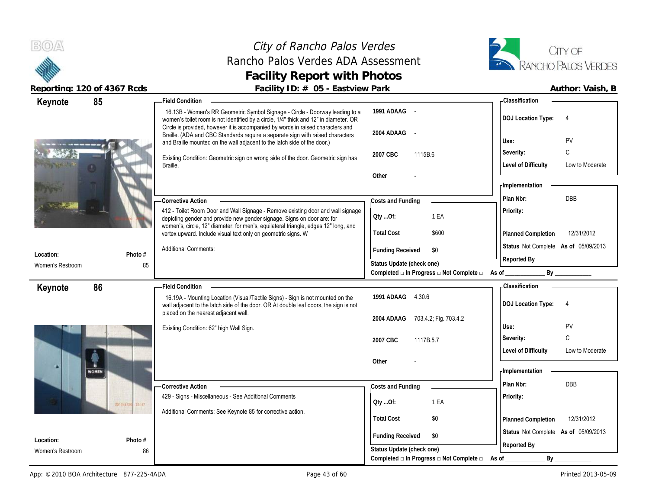# City of Rancho Palos Verdes Rancho Palos Verdes ADA Assessment **Facility Report with Photos**



| 85<br>Keynote    |                    | <b>Field Condition</b>                                                                                                                                                                                                                                                                                                                     |                                                                                            | <b>Classification</b>                                                                                                                                                                                                          |
|------------------|--------------------|--------------------------------------------------------------------------------------------------------------------------------------------------------------------------------------------------------------------------------------------------------------------------------------------------------------------------------------------|--------------------------------------------------------------------------------------------|--------------------------------------------------------------------------------------------------------------------------------------------------------------------------------------------------------------------------------|
|                  |                    | 16.13B - Women's RR Geometric Symbol Signage - Circle - Doorway leading to a<br>women's toilet room is not identified by a circle, 1/4" thick and 12" in diameter. OR<br>Circle is provided, however it is accompanied by words in raised characters and<br>Braille. (ADA and CBC Standards require a separate sign with raised characters | 1991 ADAAG -<br>2004 ADAAG -                                                               | <b>DOJ Location Type:</b><br>$\overline{4}$                                                                                                                                                                                    |
|                  |                    | and Braille mounted on the wall adjacent to the latch side of the door.)                                                                                                                                                                                                                                                                   |                                                                                            | PV<br>Use:                                                                                                                                                                                                                     |
|                  |                    | Existing Condition: Geometric sign on wrong side of the door. Geometric sign has                                                                                                                                                                                                                                                           | 1115B.6<br>2007 CBC                                                                        | C<br>Severity:                                                                                                                                                                                                                 |
|                  |                    | Braille.                                                                                                                                                                                                                                                                                                                                   |                                                                                            | <b>Level of Difficulty</b><br>Low to Moderate                                                                                                                                                                                  |
|                  |                    |                                                                                                                                                                                                                                                                                                                                            | Other                                                                                      |                                                                                                                                                                                                                                |
|                  |                    |                                                                                                                                                                                                                                                                                                                                            |                                                                                            | - Implementation                                                                                                                                                                                                               |
|                  |                    | <b>Corrective Action</b>                                                                                                                                                                                                                                                                                                                   | Costs and Funding                                                                          | DBB<br>Plan Nbr:                                                                                                                                                                                                               |
|                  |                    | 412 - Toilet Room Door and Wall Signage - Remove existing door and wall signage<br>depicting gender and provide new gender signage. Signs on door are: for<br>women's, circle, 12" diameter; for men's, equilateral triangle, edges 12" long, and                                                                                          | Oty Of:<br>1 EA                                                                            | Priority:                                                                                                                                                                                                                      |
|                  |                    | vertex upward. Include visual text only on geometric signs. W                                                                                                                                                                                                                                                                              | <b>Total Cost</b><br>\$600                                                                 | 12/31/2012<br>Planned Completion                                                                                                                                                                                               |
|                  |                    | <b>Additional Comments:</b>                                                                                                                                                                                                                                                                                                                | <b>Funding Received</b><br>\$0                                                             | Status Not Complete As of 05/09/2013                                                                                                                                                                                           |
| Location:        | Photo #            |                                                                                                                                                                                                                                                                                                                                            | Status Update (check one)                                                                  | Reported By                                                                                                                                                                                                                    |
| Women's Restroom | 85                 |                                                                                                                                                                                                                                                                                                                                            | Completed $\Box$ In Progress $\Box$ Not Complete $\Box$ As of                              | By the contract of the contract of the contract of the contract of the contract of the contract of the contract of the contract of the contract of the contract of the contract of the contract of the contract of the contrac |
|                  |                    |                                                                                                                                                                                                                                                                                                                                            |                                                                                            |                                                                                                                                                                                                                                |
|                  |                    | <b>Field Condition</b>                                                                                                                                                                                                                                                                                                                     |                                                                                            | - Classification                                                                                                                                                                                                               |
| 86<br>Keynote    |                    | 16.19A - Mounting Location (Visual/Tactile Signs) - Sign is not mounted on the<br>wall adjacent to the latch side of the door. OR At double leaf doors, the sign is not                                                                                                                                                                    | 1991 ADAAG 4.30.6                                                                          | <b>DOJ Location Type:</b><br>$\overline{4}$                                                                                                                                                                                    |
|                  |                    | placed on the nearest adjacent wall.                                                                                                                                                                                                                                                                                                       | 2004 ADAAG 703.4.2; Fig. 703.4.2                                                           |                                                                                                                                                                                                                                |
|                  |                    | Existing Condition: 62" high Wall Sign.                                                                                                                                                                                                                                                                                                    |                                                                                            | PV<br>Use:                                                                                                                                                                                                                     |
|                  |                    |                                                                                                                                                                                                                                                                                                                                            | 2007 CBC<br>1117B.5.7                                                                      | C<br>Severity:                                                                                                                                                                                                                 |
|                  |                    |                                                                                                                                                                                                                                                                                                                                            |                                                                                            | <b>Level of Difficulty</b><br>Low to Moderate                                                                                                                                                                                  |
| а                |                    |                                                                                                                                                                                                                                                                                                                                            | Other                                                                                      |                                                                                                                                                                                                                                |
| <b>WOMEN</b>     |                    |                                                                                                                                                                                                                                                                                                                                            |                                                                                            | - Implementation                                                                                                                                                                                                               |
|                  |                    | <b>Corrective Action</b>                                                                                                                                                                                                                                                                                                                   | Costs and Funding                                                                          | Plan Nbr:<br><b>DBB</b>                                                                                                                                                                                                        |
|                  | 23147<br>2010/8/20 | 429 - Signs - Miscellaneous - See Additional Comments                                                                                                                                                                                                                                                                                      | QtyOf:<br>1 EA                                                                             | Priority:                                                                                                                                                                                                                      |
|                  |                    | Additional Comments: See Keynote 85 for corrective action.                                                                                                                                                                                                                                                                                 |                                                                                            |                                                                                                                                                                                                                                |
|                  |                    |                                                                                                                                                                                                                                                                                                                                            | <b>Total Cost</b><br>\$0                                                                   | 12/31/2012<br>Planned Completion                                                                                                                                                                                               |
| Location:        | Photo #            |                                                                                                                                                                                                                                                                                                                                            | <b>Funding Received</b><br>\$0                                                             | Status Not Complete As of 05/09/2013                                                                                                                                                                                           |
| Women's Restroom | 86                 |                                                                                                                                                                                                                                                                                                                                            | Status Update (check one)<br>Completed $\Box$ In Progress $\Box$ Not Complete $\Box$ As of | Reported By<br>$By_$                                                                                                                                                                                                           |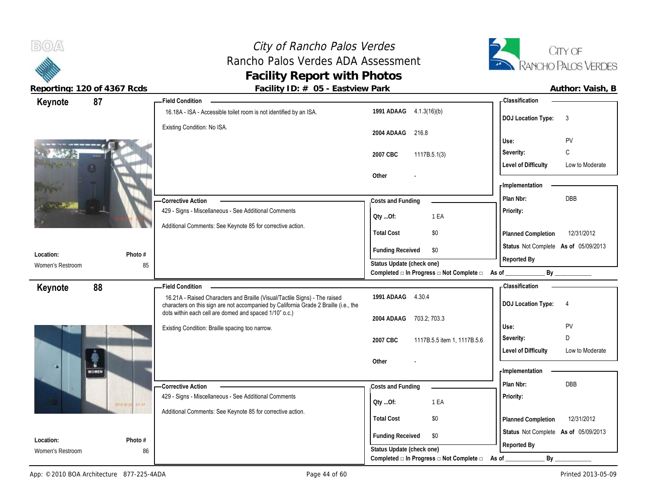

 $B(0)$ 

| 87<br>Keynote                 |                    | - Field Condition                                                                                                                                                  |                                                             | - Classification                              |
|-------------------------------|--------------------|--------------------------------------------------------------------------------------------------------------------------------------------------------------------|-------------------------------------------------------------|-----------------------------------------------|
|                               |                    | 16.18A - ISA - Accessible toilet room is not identified by an ISA.                                                                                                 | 1991 ADAAG 4.1.3(16)(b)                                     | <b>DOJ Location Type:</b><br>3                |
|                               |                    | Existing Condition: No ISA.                                                                                                                                        | 2004 ADAAG<br>216.8                                         | PV<br>Use:                                    |
|                               |                    |                                                                                                                                                                    | 2007 CBC<br>1117B.5.1(3)                                    | C<br>Severity:                                |
|                               |                    |                                                                                                                                                                    |                                                             | <b>Level of Difficulty</b><br>Low to Moderate |
|                               |                    |                                                                                                                                                                    | Other                                                       |                                               |
|                               |                    |                                                                                                                                                                    |                                                             | - Implementation                              |
|                               |                    | <b>Corrective Action</b>                                                                                                                                           | Costs and Funding                                           | <b>DBB</b><br>Plan Nbr:                       |
|                               |                    | 429 - Signs - Miscellaneous - See Additional Comments                                                                                                              | 1 EA<br>Qty Of:                                             | Priority:                                     |
|                               |                    | Additional Comments: See Keynote 85 for corrective action.                                                                                                         |                                                             |                                               |
|                               |                    |                                                                                                                                                                    | <b>Total Cost</b><br>\$0                                    | 12/31/2012<br>Planned Completion              |
| Location:                     | Photo #            |                                                                                                                                                                    | <b>Funding Received</b><br>\$0                              | Status Not Complete As of 05/09/2013          |
| Women's Restroom              | 85                 |                                                                                                                                                                    | Status Update (check one)                                   | Reported By                                   |
|                               |                    |                                                                                                                                                                    | Completed □ In Progress □ Not Complete □ As of              | By                                            |
| Keynote                       | 88                 | <b>Field Condition</b>                                                                                                                                             |                                                             | - Classification                              |
|                               |                    | 16.21A - Raised Characters and Braille (Visual/Tactile Signs) - The raised<br>characters on this sign are not accompanied by California Grade 2 Braille (i.e., the | 1991 ADAAG 4.30.4                                           | <b>DOJ Location Type:</b><br>$\overline{4}$   |
|                               |                    | dots within each cell are domed and spaced 1/10" o.c.)                                                                                                             | 703.2; 703.3<br>2004 ADAAG                                  |                                               |
|                               |                    |                                                                                                                                                                    |                                                             |                                               |
|                               |                    | Existing Condition: Braille spacing too narrow.                                                                                                                    |                                                             | Use:<br>PV                                    |
|                               |                    |                                                                                                                                                                    | 2007 CBC<br>1117B.5.5 item 1, 1117B.5.6                     | Severity:<br>D                                |
|                               |                    |                                                                                                                                                                    |                                                             | <b>Level of Difficulty</b><br>Low to Moderate |
| <b>WOMEN</b>                  |                    |                                                                                                                                                                    | Other                                                       | - Implementation                              |
|                               |                    |                                                                                                                                                                    |                                                             | Plan Nbr:                                     |
|                               |                    | -Corrective Action<br>429 - Signs - Miscellaneous - See Additional Comments                                                                                        | Costs and Funding                                           | DBB                                           |
|                               | 28107<br>2010/8/24 |                                                                                                                                                                    | 1 EA<br>Qty Of:                                             | Priority:                                     |
|                               |                    | Additional Comments: See Keynote 85 for corrective action.                                                                                                         | <b>Total Cost</b><br>\$0                                    | 12/31/2012<br>Planned Completion              |
|                               |                    |                                                                                                                                                                    |                                                             | Status Not Complete As of 05/09/2013          |
| Location:<br>Women's Restroom | Photo #<br>86      |                                                                                                                                                                    | <b>Funding Received</b><br>\$0<br>Status Update (check one) | Reported By                                   |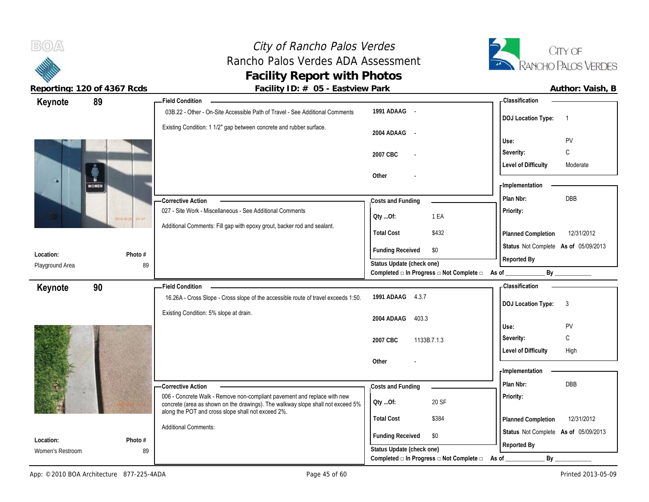# City of Rancho Palos Verdes Rancho Palos Verdes ADA Assessment **Facility Report with Photos**



| 89<br>Keynote     |                    | <b>Field Condition</b>                                                                                                                |                                                                  | - Classification                       |
|-------------------|--------------------|---------------------------------------------------------------------------------------------------------------------------------------|------------------------------------------------------------------|----------------------------------------|
|                   |                    | 03B.22 - Other - On-Site Accessible Path of Travel - See Additional Comments                                                          | 1991 ADAAG -                                                     | <b>DOJ Location Type:</b><br>- 1       |
|                   |                    | Existing Condition: 1 1/2" gap between concrete and rubber surface.                                                                   | 2004 ADAAG -                                                     | PV<br>Use:                             |
|                   |                    |                                                                                                                                       |                                                                  | C<br>Severity:                         |
|                   |                    |                                                                                                                                       | 2007 CBC                                                         | <b>Level of Difficulty</b><br>Moderate |
| n<br><b>WOMEN</b> |                    |                                                                                                                                       | Other                                                            | - Implementation                       |
|                   |                    | - Corrective Action                                                                                                                   | Costs and Funding                                                | DBB<br>Plan Nbr:                       |
|                   | 23147<br>2010/8/24 | 027 - Site Work - Miscellaneous - See Additional Comments                                                                             | 1 EA<br>QtyOf:                                                   | Priority:                              |
|                   |                    | Additional Comments: Fill gap with epoxy grout, backer rod and sealant.                                                               | <b>Total Cost</b><br>\$432                                       | 12/31/2012<br>Planned Completion       |
| Location:         | Photo #            |                                                                                                                                       | <b>Funding Received</b><br>\$0                                   | Status Not Complete As of 05/09/2013   |
| Playground Area   | 89                 |                                                                                                                                       | Status Update (check one)                                        | Reported By                            |
|                   |                    |                                                                                                                                       | Completed □ In Progress □ Not Complete □ As of _                 | By                                     |
| 90<br>Keynote     |                    | <b>Field Condition</b>                                                                                                                |                                                                  | - Classification                       |
|                   |                    | 16.26A - Cross Slope - Cross slope of the accessible route of travel exceeds 1:50.                                                    | 1991 ADAAG<br>4.3.7                                              | <b>DOJ Location Type:</b><br>3         |
|                   |                    | Existing Condition: 5% slope at drain.                                                                                                | 403.3<br>2004 ADAAG                                              |                                        |
|                   |                    |                                                                                                                                       |                                                                  | PV<br>Use:                             |
|                   |                    |                                                                                                                                       | 2007 CBC<br>1133B.7.1.3                                          | C<br>Severity:                         |
|                   |                    |                                                                                                                                       |                                                                  | <b>Level of Difficulty</b><br>High     |
|                   |                    |                                                                                                                                       | Other                                                            | - Implementation                       |
|                   |                    |                                                                                                                                       |                                                                  | Plan Nbr:<br><b>DBB</b>                |
|                   |                    | -Corrective Action<br>006 - Concrete Walk - Remove non-compliant pavement and replace with new                                        | Costs and Funding                                                |                                        |
|                   |                    | concrete (area as shown on the drawings). The walkway slope shall not exceed 5%<br>along the POT and cross slope shall not exceed 2%. | 20 SF<br>QtyOf:                                                  | Priority:                              |
|                   |                    | <b>Additional Comments:</b>                                                                                                           | <b>Total Cost</b><br>\$384                                       | 12/31/2012<br>Planned Completion       |
| Location:         | Photo #            |                                                                                                                                       | <b>Funding Received</b><br>\$0                                   | Status Not Complete As of 05/09/2013   |
| Women's Restroom  | 89                 |                                                                                                                                       | Status Update (check one)                                        | Reported By                            |
|                   |                    |                                                                                                                                       | Completed $\square$ In Progress $\square$ Not Complete $\square$ | By<br>As of                            |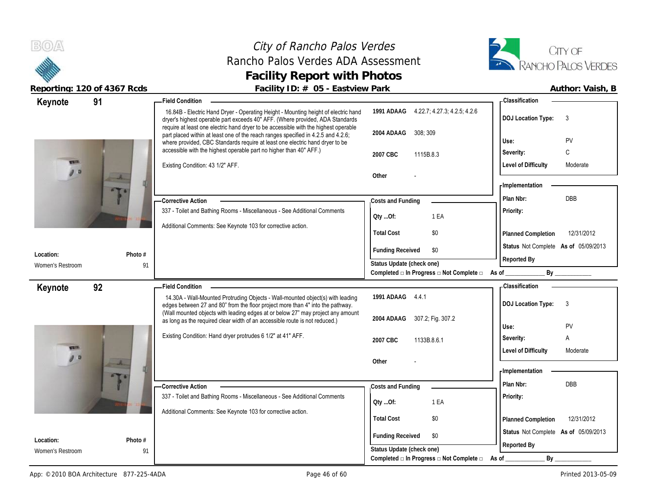### City of Rancho Palos Verdes Rancho Palos Verdes ADA Assessment **Facility Report with Photos**



| Keynote                       | 91                     | - Field Condition                                                                                                                                                                                                                                        |                                                             | - Classification                                                                                                                                                                                                               |
|-------------------------------|------------------------|----------------------------------------------------------------------------------------------------------------------------------------------------------------------------------------------------------------------------------------------------------|-------------------------------------------------------------|--------------------------------------------------------------------------------------------------------------------------------------------------------------------------------------------------------------------------------|
|                               |                        | 16.84B - Electric Hand Dryer - Operating Height - Mounting height of electric hand<br>dryer's highest operable part exceeds 40" AFF. (Where provided, ADA Standards                                                                                      | 1991 ADAAG 4.22.7, 4.27.3, 4.2.5, 4.2.6                     | <b>DOJ Location Type:</b><br>3                                                                                                                                                                                                 |
|                               |                        | require at least one electric hand dryer to be accessible with the highest operable<br>part placed within at least one of the reach ranges specified in 4.2.5 and 4.2.6;<br>where provided, CBC Standards require at least one electric hand dryer to be | 308; 309<br>2004 ADAAG                                      | PV<br>Use:                                                                                                                                                                                                                     |
|                               |                        | accessible with the highest operable part no higher than 40" AFF.)                                                                                                                                                                                       | 2007 CBC<br>1115B.8.3                                       | C<br>Severity:                                                                                                                                                                                                                 |
|                               |                        | Existing Condition: 43 1/2" AFF.                                                                                                                                                                                                                         |                                                             | <b>Level of Difficulty</b><br>Moderate                                                                                                                                                                                         |
| 90                            |                        |                                                                                                                                                                                                                                                          | Other                                                       |                                                                                                                                                                                                                                |
|                               |                        |                                                                                                                                                                                                                                                          |                                                             | - Implementation                                                                                                                                                                                                               |
|                               |                        | - Corrective Action                                                                                                                                                                                                                                      | Costs and Funding                                           | DBB<br>Plan Nbr:                                                                                                                                                                                                               |
|                               |                        | 337 - Toilet and Bathing Rooms - Miscellaneous - See Additional Comments                                                                                                                                                                                 | 1 EA<br>QtyOf:                                              | Priority:                                                                                                                                                                                                                      |
|                               |                        | Additional Comments: See Keynote 103 for corrective action.                                                                                                                                                                                              |                                                             |                                                                                                                                                                                                                                |
|                               |                        |                                                                                                                                                                                                                                                          | \$0<br><b>Total Cost</b>                                    | Planned Completion<br>12/31/2012                                                                                                                                                                                               |
| Location:                     | Photo #                |                                                                                                                                                                                                                                                          | <b>Funding Received</b><br>\$0                              | Status Not Complete As of 05/09/2013                                                                                                                                                                                           |
| Women's Restroom              | 91                     |                                                                                                                                                                                                                                                          | Status Update (check one)                                   | Reported By                                                                                                                                                                                                                    |
|                               |                        |                                                                                                                                                                                                                                                          | Completed □ In Progress □ Not Complete □ As of              | By the contract of the contract of the contract of the contract of the contract of the contract of the contract of the contract of the contract of the contract of the contract of the contract of the contract of the contrac |
| Keynote                       | 92                     | <b>Field Condition</b>                                                                                                                                                                                                                                   |                                                             | <b>Classification</b>                                                                                                                                                                                                          |
|                               |                        | 14.30A - Wall-Mounted Protruding Objects - Wall-mounted object(s) with leading                                                                                                                                                                           | 1991 ADAAG 4.4.1                                            | 3<br><b>DOJ Location Type:</b>                                                                                                                                                                                                 |
|                               |                        |                                                                                                                                                                                                                                                          |                                                             |                                                                                                                                                                                                                                |
|                               |                        | edges between 27 and 80" from the floor project more than 4" into the pathway.                                                                                                                                                                           |                                                             |                                                                                                                                                                                                                                |
|                               |                        | (Wall mounted objects with leading edges at or below 27" may project any amount<br>as long as the required clear width of an accessible route is not reduced.)                                                                                           | 307.2; Fig. 307.2<br>2004 ADAAG                             |                                                                                                                                                                                                                                |
|                               |                        | Existing Condition: Hand dryer protrudes 6 1/2" at 41" AFF.                                                                                                                                                                                              |                                                             | PV<br>Use:                                                                                                                                                                                                                     |
| <b>CALL</b>                   |                        |                                                                                                                                                                                                                                                          | 2007 CBC<br>1133B.8.6.1                                     | Α<br>Severity:                                                                                                                                                                                                                 |
| 90                            | $\boldsymbol{\lambda}$ |                                                                                                                                                                                                                                                          | Other                                                       | <b>Level of Difficulty</b><br>Moderate                                                                                                                                                                                         |
|                               |                        |                                                                                                                                                                                                                                                          |                                                             | - Implementation                                                                                                                                                                                                               |
|                               |                        | - Corrective Action                                                                                                                                                                                                                                      |                                                             | DBB<br>Plan Nbr:                                                                                                                                                                                                               |
|                               |                        | 337 - Toilet and Bathing Rooms - Miscellaneous - See Additional Comments                                                                                                                                                                                 | Costs and Funding                                           | Priority:                                                                                                                                                                                                                      |
|                               |                        |                                                                                                                                                                                                                                                          | 1 EA<br>QtyOf:                                              |                                                                                                                                                                                                                                |
|                               |                        | Additional Comments: See Keynote 103 for corrective action.                                                                                                                                                                                              | <b>Total Cost</b><br>\$0                                    | 12/31/2012<br>Planned Completion                                                                                                                                                                                               |
|                               |                        |                                                                                                                                                                                                                                                          |                                                             | Status Not Complete As of 05/09/2013                                                                                                                                                                                           |
| Location:<br>Women's Restroom | Photo #<br>91          |                                                                                                                                                                                                                                                          | <b>Funding Received</b><br>\$0<br>Status Update (check one) | Reported By                                                                                                                                                                                                                    |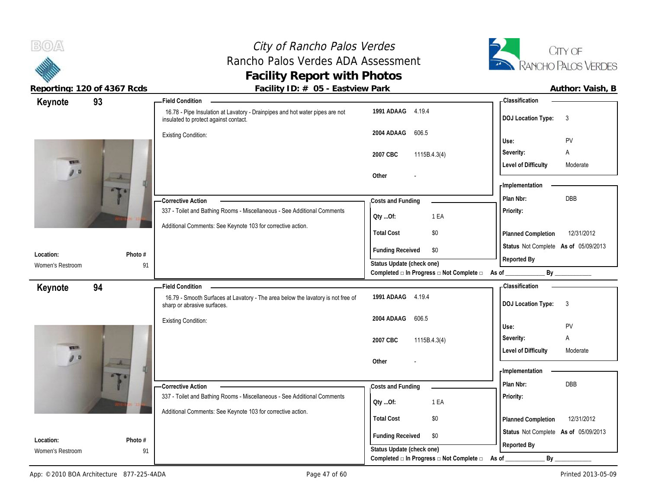# City of Rancho Palos Verdes Rancho Palos Verdes ADA Assessment **Facility Report with Photos**



| Keynote                       | 93             | - Field Condition                                                                                                     |                                                                          | - Classification                                    |
|-------------------------------|----------------|-----------------------------------------------------------------------------------------------------------------------|--------------------------------------------------------------------------|-----------------------------------------------------|
|                               |                | 16.78 - Pipe Insulation at Lavatory - Drainpipes and hot water pipes are not<br>insulated to protect against contact. | 1991 ADAAG 4.19.4                                                        | <b>DOJ Location Type:</b><br>3                      |
|                               |                | <b>Existing Condition:</b>                                                                                            | 2004 ADAAG<br>606.5                                                      | Use:<br>PV                                          |
|                               |                |                                                                                                                       | 2007 CBC<br>1115B.4.3(4)                                                 | Severity:<br>Α                                      |
| 9a                            |                |                                                                                                                       |                                                                          | <b>Level of Difficulty</b><br>Moderate              |
|                               | $\overline{A}$ |                                                                                                                       | Other                                                                    | - Implementation                                    |
|                               |                |                                                                                                                       |                                                                          | DBB<br>Plan Nbr:                                    |
|                               |                | -Corrective Action<br>337 - Toilet and Bathing Rooms - Miscellaneous - See Additional Comments                        | Costs and Funding                                                        | Priority:                                           |
|                               |                | Additional Comments: See Keynote 103 for corrective action.                                                           | 1 EA<br>QtyOf:                                                           |                                                     |
|                               |                |                                                                                                                       | <b>Total Cost</b><br>\$0                                                 | 12/31/2012<br>Planned Completion                    |
| Location:                     | Photo #        |                                                                                                                       | <b>Funding Received</b><br>\$0                                           | Status Not Complete As of 05/09/2013                |
| Women's Restroom              | 91             |                                                                                                                       | Status Update (check one)                                                | Reported By                                         |
|                               |                |                                                                                                                       | Completed $\square$ In Progress $\square$ Not Complete $\square$ As of _ | By                                                  |
|                               |                |                                                                                                                       |                                                                          |                                                     |
| Keynote                       | 94             | <b>Field Condition</b>                                                                                                |                                                                          | -Classification                                     |
|                               |                | 16.79 - Smooth Surfaces at Lavatory - The area below the lavatory is not free of<br>sharp or abrasive surfaces.       | 1991 ADAAG 4.19.4                                                        | <b>DOJ Location Type:</b><br>$\mathbf{3}$           |
|                               |                | <b>Existing Condition:</b>                                                                                            | 606.5<br>2004 ADAAG                                                      |                                                     |
|                               |                |                                                                                                                       |                                                                          | Use:<br>PV                                          |
| <b>CALLS</b>                  |                |                                                                                                                       | 2007 CBC<br>1115B.4.3(4)                                                 | Severity:<br>Α<br>Moderate                          |
| 90                            | $\overline{A}$ |                                                                                                                       | Other                                                                    | <b>Level of Difficulty</b>                          |
|                               |                |                                                                                                                       |                                                                          | - Implementation                                    |
|                               |                | -Corrective Action                                                                                                    | Costs and Funding                                                        | Plan Nbr:<br>DBB                                    |
|                               |                | 337 - Toilet and Bathing Rooms - Miscellaneous - See Additional Comments                                              | 1 EA<br>QtyOf:                                                           | Priority:                                           |
|                               |                | Additional Comments: See Keynote 103 for corrective action.                                                           |                                                                          |                                                     |
|                               |                |                                                                                                                       | <b>Total Cost</b><br>\$0                                                 | 12/31/2012<br>Planned Completion                    |
| Location:<br>Women's Restroom | Photo #<br>91  |                                                                                                                       | <b>Funding Received</b><br>\$0<br>Status Update (check one)              | Status Not Complete As of 05/09/2013<br>Reported By |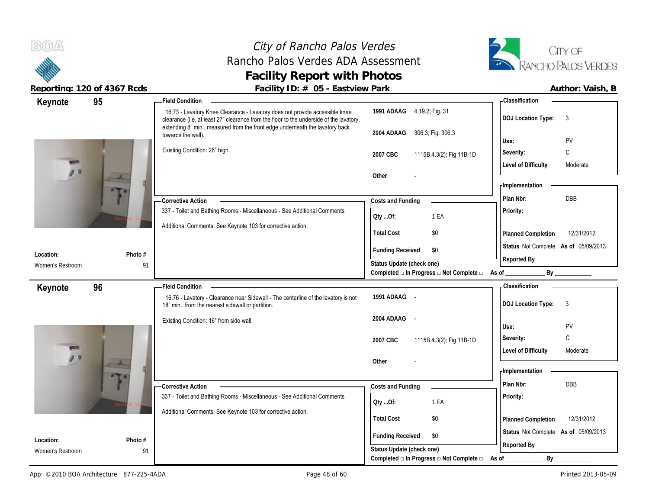# City of Rancho Palos Verdes Rancho Palos Verdes ADA Assessment **Facility Report with Photos**



|                  | Acporting. TZO OF 4507 Reas | $\frac{1}{2}$ activity $\frac{1}{2}$ . $\frac{1}{2}$ by $\frac{1}{2}$ Lastvictv $\frac{1}{2}$ and                                                                                                                                                    |                                                                                              | AULIUI, VUIJII, D                         |
|------------------|-----------------------------|------------------------------------------------------------------------------------------------------------------------------------------------------------------------------------------------------------------------------------------------------|----------------------------------------------------------------------------------------------|-------------------------------------------|
| Keynote          | 95                          | Field Condition –                                                                                                                                                                                                                                    |                                                                                              | <b>Classification</b>                     |
|                  |                             | 16.73 - Lavatory Knee Clearance - Lavatory does not provide accessible knee<br>clearance (i.e. at least 27" clearance from the floor to the underside of the lavatory,<br>extending 8" min measured from the front edge underneath the lavatory back | 1991 ADAAG 4.19.2; Fig. 31                                                                   | <b>DOJ</b> Location Type:<br>$\mathbf{3}$ |
|                  |                             | towards the wall).                                                                                                                                                                                                                                   | 2004 ADAAG 306.3; Fig. 306.3                                                                 | PV<br>Use:                                |
|                  |                             | Existing Condition: 26" high.                                                                                                                                                                                                                        |                                                                                              | C<br>Severity:                            |
| <b>STATISTIC</b> |                             |                                                                                                                                                                                                                                                      | 2007 CBC<br>1115B.4.3(2); Fig 11B-1D                                                         |                                           |
| 90               |                             |                                                                                                                                                                                                                                                      | Other                                                                                        | <b>Level of Difficulty</b><br>Moderate    |
|                  | a.                          |                                                                                                                                                                                                                                                      |                                                                                              | <b>Implementation</b>                     |
|                  |                             |                                                                                                                                                                                                                                                      |                                                                                              | <b>DBB</b><br>Plan Nbr:                   |
|                  |                             | <b>Corrective Action</b><br>337 - Toilet and Bathing Rooms - Miscellaneous - See Additional Comments                                                                                                                                                 | Costs and Funding                                                                            | Priority:                                 |
|                  |                             |                                                                                                                                                                                                                                                      | 1 EA<br>Qty Of:                                                                              |                                           |
|                  |                             | Additional Comments: See Keynote 103 for corrective action.                                                                                                                                                                                          | <b>Total Cost</b><br>\$0                                                                     | 12/31/2012<br>Planned Completion          |
|                  |                             |                                                                                                                                                                                                                                                      |                                                                                              | Status Not Complete As of 05/09/2013      |
| Location:        | Photo #                     |                                                                                                                                                                                                                                                      | <b>Funding Received</b><br>\$0                                                               | Reported By                               |
| Women's Restroom | 91                          |                                                                                                                                                                                                                                                      | Status Update (check one)<br>Completed $\Box$ In Progress $\Box$ Not Complete $\Box$ As of _ | $By$ <sub>_________</sub>                 |
|                  |                             |                                                                                                                                                                                                                                                      |                                                                                              |                                           |
| Keynote          | 96                          | <b>Field Condition</b>                                                                                                                                                                                                                               | 1991 ADAAG -                                                                                 | - Classification                          |
|                  |                             | 16.76 - Lavatory - Clearance near Sidewall - The centerline of the lavatory is not<br>18" min from the nearest sidewall or partition.                                                                                                                |                                                                                              | <b>DOJ Location Type:</b><br>3            |
|                  |                             | Existing Condition: 16" from side wall.                                                                                                                                                                                                              | 2004 ADAAG -                                                                                 |                                           |
|                  |                             |                                                                                                                                                                                                                                                      |                                                                                              | PV<br>Use:                                |
|                  |                             |                                                                                                                                                                                                                                                      | 2007 CBC<br>1115B.4.3(2); Fig 11B-1D                                                         | $\mathsf C$<br>Severity:                  |
|                  |                             |                                                                                                                                                                                                                                                      |                                                                                              | <b>Level of Difficulty</b><br>Moderate    |
| 90               | A.                          |                                                                                                                                                                                                                                                      | Other                                                                                        |                                           |
|                  |                             |                                                                                                                                                                                                                                                      |                                                                                              | - Implementation                          |
|                  |                             | <b>Corrective Action</b>                                                                                                                                                                                                                             | Costs and Funding                                                                            | Plan Nbr:<br><b>DBB</b>                   |
|                  |                             | 337 - Toilet and Bathing Rooms - Miscellaneous - See Additional Comments                                                                                                                                                                             | 1 EA<br>Qty Of:                                                                              | Priority:                                 |
|                  |                             | Additional Comments: See Keynote 103 for corrective action.                                                                                                                                                                                          |                                                                                              |                                           |
|                  |                             |                                                                                                                                                                                                                                                      | <b>Total Cost</b><br>\$0                                                                     | 12/31/2012<br>Planned Completion          |
| Location:        | Photo #                     |                                                                                                                                                                                                                                                      | <b>Funding Received</b><br>\$0                                                               | Status Not Complete As of 05/09/2013      |
| Women's Restroom | 91                          |                                                                                                                                                                                                                                                      | Status Update (check one)                                                                    | Reported By                               |
|                  |                             |                                                                                                                                                                                                                                                      | Completed $\square$ In Progress $\square$ Not Complete $\square$                             | By<br>As of                               |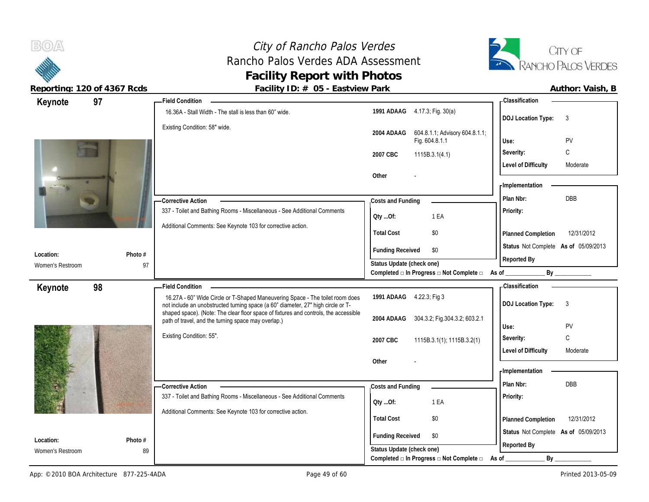

 $B(0)$ 

| 97<br>Keynote    |         | <b>Field Condition</b>                                                                                                                                            |                                                                                               | - Classification                       |
|------------------|---------|-------------------------------------------------------------------------------------------------------------------------------------------------------------------|-----------------------------------------------------------------------------------------------|----------------------------------------|
|                  |         | 16.36A - Stall Width - The stall is less than 60" wide.                                                                                                           | 1991 ADAAG 4.17.3; Fig. 30(a)                                                                 | <b>DOJ</b> Location Type:<br>3         |
|                  |         | Existing Condition: 58" wide.                                                                                                                                     | 604.8.1.1; Advisory 604.8.1.1;<br>2004 ADAAG<br>Fig. 604.8.1.1                                | Use:<br>PV                             |
|                  |         |                                                                                                                                                                   | 2007 CBC<br>1115B.3.1(4.1)                                                                    | C<br>Severity:                         |
|                  |         |                                                                                                                                                                   |                                                                                               | <b>Level of Difficulty</b><br>Moderate |
|                  |         |                                                                                                                                                                   | Other                                                                                         | - Implementation                       |
|                  |         | - Corrective Action                                                                                                                                               | Costs and Funding                                                                             | <b>DBB</b><br>Plan Nbr:                |
|                  |         | 337 - Toilet and Bathing Rooms - Miscellaneous - See Additional Comments                                                                                          | Oty Of:<br>1 EA                                                                               | Priority:                              |
|                  |         | Additional Comments: See Keynote 103 for corrective action.                                                                                                       | <b>Total Cost</b><br>\$0                                                                      | Planned Completion<br>12/31/2012       |
| Location:        | Photo # |                                                                                                                                                                   | <b>Funding Received</b><br>\$0                                                                | Status Not Complete As of 05/09/2013   |
| Women's Restroom | 97      |                                                                                                                                                                   | Status Update (check one)<br>Completed □ In Progress □ Not Complete □ As of                   | Reported By<br>By                      |
| 98               |         | <b>Field Condition</b>                                                                                                                                            |                                                                                               | - Classification                       |
| Keynote          |         | 16.27A - 60" Wide Circle or T-Shaped Maneuvering Space - The toilet room does<br>not include an unobstructed turning space (a 60" diameter, 27" high circle or T- | 1991 ADAAG 4.22.3; Fig 3                                                                      | <b>DOJ Location Type:</b><br>3         |
|                  |         | shaped space). (Note: The clear floor space of fixtures and controls, the accessible<br>path of travel, and the turning space may overlap.)                       | 304.3.2; Fig.304.3.2; 603.2.1<br>2004 ADAAG                                                   | Use:<br>PV                             |
|                  |         | Existing Condition: 55".                                                                                                                                          | 2007 CBC<br>1115B.3.1(1); 1115B.3.2(1)                                                        | $\mathbb C$<br>Severity:               |
|                  |         |                                                                                                                                                                   |                                                                                               | <b>Level of Difficulty</b><br>Moderate |
|                  |         |                                                                                                                                                                   |                                                                                               |                                        |
|                  |         |                                                                                                                                                                   | Other                                                                                         | - Implementation                       |
|                  |         | - Corrective Action                                                                                                                                               |                                                                                               | Plan Nbr:<br><b>DBB</b>                |
|                  |         | 337 - Toilet and Bathing Rooms - Miscellaneous - See Additional Comments                                                                                          | Costs and Funding                                                                             | Priority:                              |
|                  |         | Additional Comments: See Keynote 103 for corrective action.                                                                                                       | 1 EA<br>Oty Of:                                                                               |                                        |
|                  |         |                                                                                                                                                                   | <b>Total Cost</b><br>\$0                                                                      | 12/31/2012<br>Planned Completion       |
| Location:        | Photo # |                                                                                                                                                                   | <b>Funding Received</b><br>\$0                                                                | Status Not Complete As of 05/09/2013   |
| Women's Restroom | 89      |                                                                                                                                                                   | Status Update (check one)<br>Completed $\square$ In Progress $\square$ Not Complete $\square$ | Reported By<br>By<br>As of             |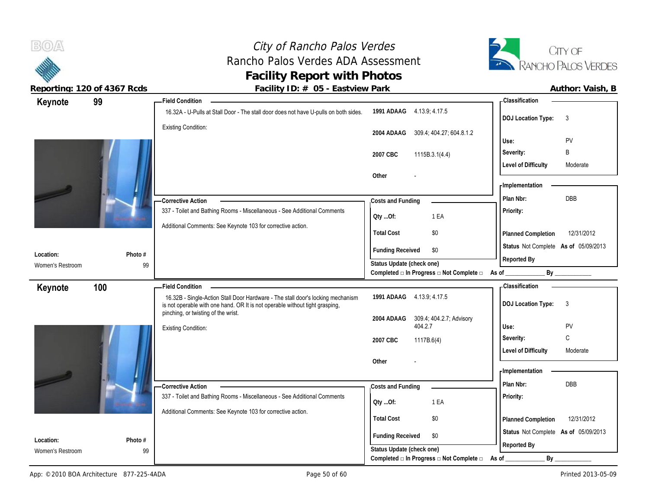

 $B(0)$ 

| Keynote          | 99      | <b>Field Condition</b>                                                                                                                                                                                 |                                                                 | -Classification                                                 |
|------------------|---------|--------------------------------------------------------------------------------------------------------------------------------------------------------------------------------------------------------|-----------------------------------------------------------------|-----------------------------------------------------------------|
|                  |         | 16.32A - U-Pulls at Stall Door - The stall door does not have U-pulls on both sides.                                                                                                                   | 1991 ADAAG 4.13.9; 4.17.5                                       | <b>DOJ</b> Location Type:<br>3                                  |
|                  |         | <b>Existing Condition:</b>                                                                                                                                                                             | 2004 ADAAG<br>309.4; 404.27; 604.8.1.2                          |                                                                 |
|                  |         |                                                                                                                                                                                                        |                                                                 | PV<br>Use:                                                      |
|                  |         |                                                                                                                                                                                                        | 2007 CBC<br>1115B.3.1(4.4)                                      | Severity:<br>B                                                  |
|                  |         |                                                                                                                                                                                                        | Other                                                           | <b>Level of Difficulty</b><br>Moderate<br><b>Implementation</b> |
|                  |         | - Corrective Action                                                                                                                                                                                    | Costs and Funding                                               | DBB<br>Plan Nbr:                                                |
|                  |         | 337 - Toilet and Bathing Rooms - Miscellaneous - See Additional Comments                                                                                                                               | 1 EA<br>QtyOf:                                                  | Priority:                                                       |
|                  |         | Additional Comments: See Keynote 103 for corrective action.                                                                                                                                            | <b>Total Cost</b><br>\$0                                        | 12/31/2012<br>Planned Completion                                |
| Location:        | Photo # |                                                                                                                                                                                                        | <b>Funding Received</b><br>\$0                                  | Status Not Complete As of 05/09/2013                            |
| Women's Restroom | 99      |                                                                                                                                                                                                        | Status Update (check one)                                       | Reported By                                                     |
|                  |         |                                                                                                                                                                                                        | Completed $\Box$ In Progress $\Box$ Not Complete $\Box$ As of _ | By                                                              |
| Keynote          | 100     | <b>Field Condition</b>                                                                                                                                                                                 |                                                                 | - Classification                                                |
|                  |         | 16.32B - Single-Action Stall Door Hardware - The stall door's locking mechanism<br>is not operable with one hand. OR It is not operable without tight grasping,<br>pinching, or twisting of the wrist. | 1991 ADAAG 4.13.9; 4.17.5                                       | <b>DOJ Location Type:</b><br>$\mathbf{3}$                       |
|                  |         |                                                                                                                                                                                                        | 309.4, 404.2.7; Advisory<br>2004 ADAAG<br>404.2.7               | PV<br>Use:                                                      |
|                  |         | <b>Existing Condition:</b>                                                                                                                                                                             |                                                                 | $\mathsf{C}$<br>Severity:                                       |
|                  |         |                                                                                                                                                                                                        | 2007 CBC<br>1117B.6(4)                                          | <b>Level of Difficulty</b><br>Moderate                          |
|                  |         |                                                                                                                                                                                                        | Other                                                           |                                                                 |
|                  |         |                                                                                                                                                                                                        |                                                                 | <b>Implementation</b>                                           |
|                  |         | -Corrective Action                                                                                                                                                                                     | Costs and Funding                                               | DBB<br>Plan Nbr:                                                |
|                  |         | 337 - Toilet and Bathing Rooms - Miscellaneous - See Additional Comments                                                                                                                               | 1 EA<br>Qty Of:                                                 | Priority:                                                       |
|                  |         | Additional Comments: See Keynote 103 for corrective action.                                                                                                                                            |                                                                 |                                                                 |
|                  |         |                                                                                                                                                                                                        | <b>Total Cost</b><br>\$0                                        | 12/31/2012<br>Planned Completion                                |
| Location:        | Photo # |                                                                                                                                                                                                        | <b>Funding Received</b><br>\$0                                  | Status Not Complete As of 05/09/2013                            |
| Women's Restroom | 99      |                                                                                                                                                                                                        | Status Update (check one)                                       | Reported By                                                     |
|                  |         |                                                                                                                                                                                                        | Completed □ In Progress □ Not Complete □ As of ________         | By                                                              |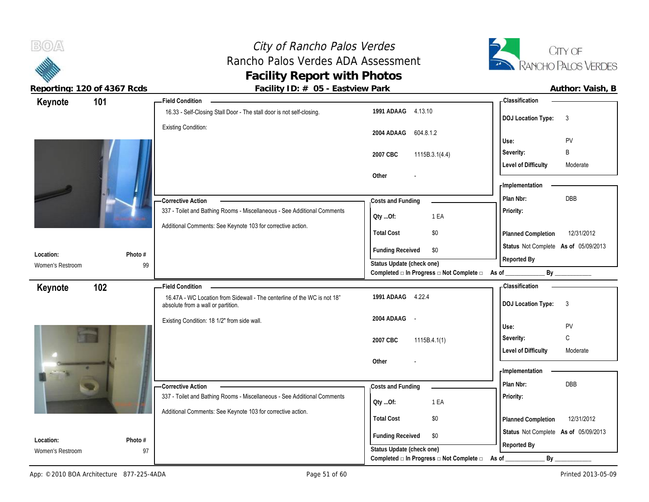

 $B(0)$ 

| Keynote          | 101     | <b>Field Condition</b>                                                                                         |                                                                                              | - Classification                                         |
|------------------|---------|----------------------------------------------------------------------------------------------------------------|----------------------------------------------------------------------------------------------|----------------------------------------------------------|
|                  |         | 16.33 - Self-Closing Stall Door - The stall door is not self-closing.                                          | 1991 ADAAG 4.13.10                                                                           | <b>DOJ Location Type:</b><br>$\mathbf{3}$                |
|                  |         | <b>Existing Condition:</b>                                                                                     | 2004 ADAAG 604.8.1.2                                                                         | Use:<br>PV                                               |
|                  |         |                                                                                                                | 2007 CBC<br>1115B.3.1(4.4)                                                                   | B<br>Severity:<br><b>Level of Difficulty</b><br>Moderate |
|                  |         |                                                                                                                | Other                                                                                        | - Implementation                                         |
|                  |         | -Corrective Action                                                                                             | Costs and Funding                                                                            | DBB<br>Plan Nbr:                                         |
|                  |         | 337 - Toilet and Bathing Rooms - Miscellaneous - See Additional Comments                                       | 1 EA<br>QtyOf:                                                                               | Priority:                                                |
|                  |         | Additional Comments: See Keynote 103 for corrective action.                                                    | <b>Total Cost</b><br>\$0                                                                     | 12/31/2012<br>Planned Completion                         |
| Location:        | Photo # |                                                                                                                | <b>Funding Received</b><br>\$0                                                               | Status Not Complete As of 05/09/2013                     |
| Women's Restroom | 99      |                                                                                                                | Status Update (check one)<br>Completed $\Box$ In Progress $\Box$ Not Complete $\Box$ As of _ | Reported By<br>By                                        |
| Keynote          | 102     | <b>Field Condition</b>                                                                                         |                                                                                              | - Classification                                         |
|                  |         | 16.47A - WC Location from Sidewall - The centerline of the WC is not 18"<br>absolute from a wall or partition. | 1991 ADAAG 4.22.4                                                                            | <b>DOJ Location Type:</b><br>$\mathbf{3}$                |
|                  |         | Existing Condition: 18 1/2" from side wall.                                                                    | 2004 ADAAG<br>$\sim$                                                                         | Use:<br>PV                                               |
|                  |         |                                                                                                                | 2007 CBC<br>1115B.4.1(1)                                                                     | $\mathbb C$<br>Severity:                                 |
|                  |         |                                                                                                                |                                                                                              |                                                          |
|                  |         |                                                                                                                | Other                                                                                        | <b>Level of Difficulty</b><br>Moderate                   |
|                  |         |                                                                                                                |                                                                                              | - Implementation                                         |
|                  |         | - Corrective Action                                                                                            | Costs and Funding                                                                            | Plan Nbr:<br>DBB                                         |
|                  |         | 337 - Toilet and Bathing Rooms - Miscellaneous - See Additional Comments                                       | 1 EA<br>QtyOf:                                                                               | Priority:                                                |
|                  |         | Additional Comments: See Keynote 103 for corrective action.                                                    | <b>Total Cost</b><br>\$0                                                                     | 12/31/2012<br>Planned Completion                         |
| Location:        | Photo # |                                                                                                                | <b>Funding Received</b><br>\$0<br>Status Update (check one)                                  | Status Not Complete As of 05/09/2013<br>Reported By      |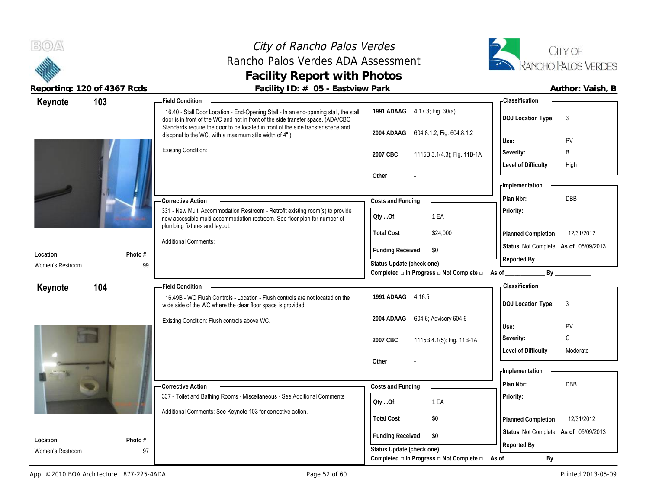# City of Rancho Palos Verdes Rancho Palos Verdes ADA Assessment **Facility Report with Photos**



| Keynote                       | 103           | <b>Field Condition</b>                                                                                                                                                                      |                                                                                               | - Classification                          |
|-------------------------------|---------------|---------------------------------------------------------------------------------------------------------------------------------------------------------------------------------------------|-----------------------------------------------------------------------------------------------|-------------------------------------------|
|                               |               | 16.40 - Stall Door Location - End-Opening Stall - In an end-opening stall, the stall<br>door is in front of the WC and not in front of the side transfer space. (ADA/CBC                    | 1991 ADAAG 4.17.3; Fig. 30(a)                                                                 | <b>DOJ Location Type:</b><br>3            |
|                               |               | Standards require the door to be located in front of the side transfer space and<br>diagonal to the WC, with a maximum stile width of 4".)                                                  | 604.8.1.2; Fig. 604.8.1.2<br>2004 ADAAG                                                       | PV<br>Use:                                |
|                               |               | <b>Existing Condition:</b>                                                                                                                                                                  | 2007 CBC<br>1115B.3.1(4.3); Fig. 11B-1A                                                       | B<br>Severity:                            |
|                               |               |                                                                                                                                                                                             |                                                                                               | <b>Level of Difficulty</b><br>High        |
|                               |               |                                                                                                                                                                                             | Other                                                                                         |                                           |
|                               |               |                                                                                                                                                                                             |                                                                                               | - Implementation                          |
|                               |               | - Corrective Action                                                                                                                                                                         | Costs and Funding                                                                             | DBB<br>Plan Nbr:                          |
|                               |               | 331 - New Multi Accommodation Restroom - Retrofit existing room(s) to provide<br>new accessible multi-accommodation restroom. See floor plan for number of<br>plumbing fixtures and layout. | 1 EA<br>Qty Of:                                                                               | Priority:                                 |
|                               |               |                                                                                                                                                                                             | <b>Total Cost</b><br>\$24,000                                                                 | 12/31/2012<br>Planned Completion          |
| Location:                     | Photo #       | <b>Additional Comments:</b>                                                                                                                                                                 | <b>Funding Received</b><br>\$0                                                                | Status Not Complete As of 05/09/2013      |
| Women's Restroom              | 99            |                                                                                                                                                                                             | Status Update (check one)                                                                     | Reported By                               |
|                               |               |                                                                                                                                                                                             | Completed $\Box$ In Progress $\Box$ Not Complete $\Box$                                       | As of $\_$<br>By                          |
| Keynote                       | 104           | <b>Field Condition</b>                                                                                                                                                                      |                                                                                               | Classification                            |
|                               |               | 16.49B - WC Flush Controls - Location - Flush controls are not located on the                                                                                                               | 1991 ADAAG 4.16.5                                                                             | <b>DOJ Location Type:</b><br>$\mathbf{3}$ |
|                               |               | wide side of the WC where the clear floor space is provided.                                                                                                                                |                                                                                               |                                           |
|                               |               | Existing Condition: Flush controls above WC.                                                                                                                                                | 604.6, Advisory 604.6<br>2004 ADAAG                                                           |                                           |
|                               |               |                                                                                                                                                                                             |                                                                                               | PV<br>Use:                                |
|                               |               |                                                                                                                                                                                             | 1115B.4.1(5); Fig. 11B-1A<br>2007 CBC                                                         | C<br>Severity:<br>Moderate                |
|                               |               |                                                                                                                                                                                             | Other                                                                                         | <b>Level of Difficulty</b>                |
|                               |               |                                                                                                                                                                                             |                                                                                               | - Implementation                          |
|                               |               | - Corrective Action                                                                                                                                                                         | Costs and Funding                                                                             | Plan Nbr:<br><b>DBB</b>                   |
|                               |               | 337 - Toilet and Bathing Rooms - Miscellaneous - See Additional Comments                                                                                                                    | 1 EA                                                                                          | Priority:                                 |
|                               |               | Additional Comments: See Keynote 103 for corrective action.                                                                                                                                 | QtyOf:                                                                                        |                                           |
|                               |               |                                                                                                                                                                                             | <b>Total Cost</b><br>\$0                                                                      | 12/31/2012<br>Planned Completion          |
|                               |               |                                                                                                                                                                                             | <b>Funding Received</b><br>\$0                                                                | Status Not Complete As of 05/09/2013      |
| Location:<br>Women's Restroom | Photo #<br>97 |                                                                                                                                                                                             | Status Update (check one)<br>Completed $\square$ In Progress $\square$ Not Complete $\square$ | Reported By                               |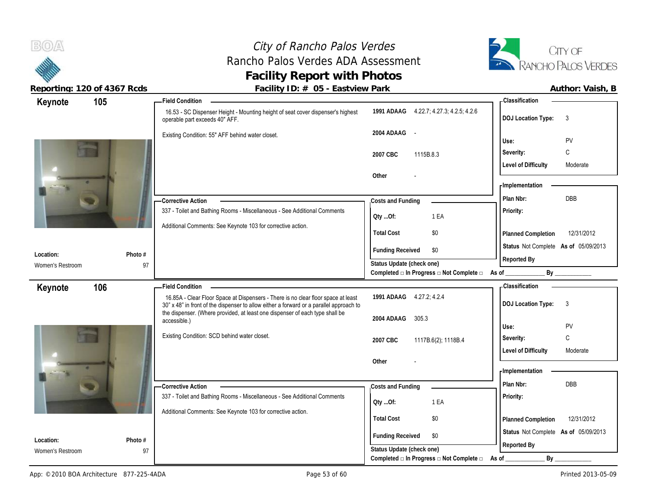# City of Rancho Palos Verdes Rancho Palos Verdes ADA Assessment **Facility Report with Photos**



| Keynote                       | 105 |               | <b>Field Condition</b>                                                                                                                                                       |                                                                          | - Classification                       |
|-------------------------------|-----|---------------|------------------------------------------------------------------------------------------------------------------------------------------------------------------------------|--------------------------------------------------------------------------|----------------------------------------|
|                               |     |               | 16.53 - SC Dispenser Height - Mounting height of seat cover dispenser's highest<br>operable part exceeds 40" AFF.                                                            | 1991 ADAAG 4.22.7; 4.27.3; 4.2.5; 4.2.6                                  | <b>DOJ Location Type:</b><br>3         |
|                               |     |               | Existing Condition: 55" AFF behind water closet.                                                                                                                             | 2004 ADAAG<br>$\sim$                                                     | PV<br>Use:                             |
|                               |     |               |                                                                                                                                                                              |                                                                          | C<br>Severity:                         |
|                               |     |               |                                                                                                                                                                              | 2007 CBC<br>1115B.8.3                                                    | <b>Level of Difficulty</b><br>Moderate |
|                               |     |               |                                                                                                                                                                              | Other                                                                    |                                        |
|                               |     |               |                                                                                                                                                                              |                                                                          | - Implementation                       |
|                               |     |               | -Corrective Action                                                                                                                                                           | Costs and Funding                                                        | DBB<br>Plan Nbr:                       |
|                               |     |               | 337 - Toilet and Bathing Rooms - Miscellaneous - See Additional Comments                                                                                                     | 1 EA                                                                     | Priority:                              |
|                               |     |               | Additional Comments: See Keynote 103 for corrective action.                                                                                                                  | Qty Of:                                                                  |                                        |
|                               |     |               |                                                                                                                                                                              | <b>Total Cost</b><br>\$0                                                 | 12/31/2012<br>Planned Completion       |
|                               |     |               |                                                                                                                                                                              | <b>Funding Received</b><br>\$0                                           | Status Not Complete As of 05/09/2013   |
| Location:<br>Women's Restroom |     | Photo #<br>97 |                                                                                                                                                                              | Status Update (check one)                                                | Reported By                            |
|                               |     |               |                                                                                                                                                                              | Completed $\square$ In Progress $\square$ Not Complete $\square$ As of _ | By                                     |
| Keynote                       | 106 |               | <b>Field Condition</b>                                                                                                                                                       |                                                                          | -Classification                        |
|                               |     |               | 16.85A - Clear Floor Space at Dispensers - There is no clear floor space at least<br>30" x 48" in front of the dispenser to allow either a forward or a parallel approach to | 1991 ADAAG 4.27.2; 4.2.4                                                 | <b>DOJ Location Type:</b><br>3         |
|                               |     |               | the dispenser. (Where provided, at least one dispenser of each type shall be                                                                                                 |                                                                          |                                        |
|                               |     |               |                                                                                                                                                                              | 2004 ADAAG<br>305.3                                                      |                                        |
|                               |     |               | accessible.)                                                                                                                                                                 |                                                                          | PV<br>Use:                             |
|                               |     |               | Existing Condition: SCD behind water closet.                                                                                                                                 | 2007 CBC<br>1117B.6(2), 1118B.4                                          | $\mathbb C$<br>Severity:               |
|                               |     |               |                                                                                                                                                                              |                                                                          | <b>Level of Difficulty</b><br>Moderate |
|                               | e.  |               |                                                                                                                                                                              | Other                                                                    |                                        |
|                               |     |               |                                                                                                                                                                              |                                                                          | - Implementation                       |
|                               |     |               | - Corrective Action                                                                                                                                                          | Costs and Funding                                                        | DBB<br>Plan Nbr:                       |
|                               |     |               | 337 - Toilet and Bathing Rooms - Miscellaneous - See Additional Comments                                                                                                     | Qty Of:<br>1 EA                                                          | Priority:                              |
|                               |     |               | Additional Comments: See Keynote 103 for corrective action.                                                                                                                  | <b>Total Cost</b><br>\$0                                                 | 12/31/2012<br>Planned Completion       |
|                               |     |               |                                                                                                                                                                              |                                                                          | Status Not Complete As of 05/09/2013   |
| Location:<br>Women's Restroom |     | Photo #<br>97 |                                                                                                                                                                              | <b>Funding Received</b><br>\$0<br>Status Update (check one)              | Reported By                            |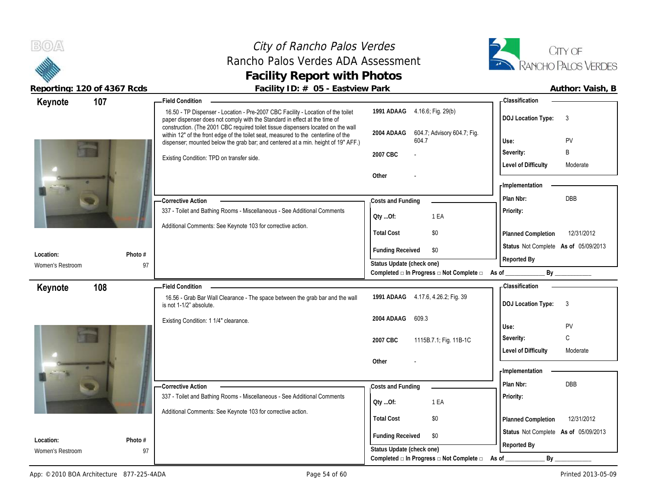**BOA** 

# City of Rancho Palos Verdes Rancho Palos Verdes ADA Assessment **Facility Report with Photos**



| 107<br>Keynote                |               | $\frac{1}{2}$ about $\frac{1}{2}$ is $\frac{1}{2}$ if $\frac{1}{2}$ is $\frac{1}{2}$ if $\frac{1}{2}$ if $\frac{1}{2}$ if $\frac{1}{2}$ if $\frac{1}{2}$ if $\frac{1}{2}$ if $\frac{1}{2}$ if $\frac{1}{2}$ if $\frac{1}{2}$ if $\frac{1}{2}$ if $\frac{1}{2}$ if $\frac{1}{2}$ if $\frac{1}{2}$<br><b>Field Condition</b> |                                                      | - Classification                       |
|-------------------------------|---------------|----------------------------------------------------------------------------------------------------------------------------------------------------------------------------------------------------------------------------------------------------------------------------------------------------------------------------|------------------------------------------------------|----------------------------------------|
|                               |               | 16.50 - TP Dispenser - Location - Pre-2007 CBC Facility - Location of the toilet<br>paper dispenser does not comply with the Standard in effect at the time of                                                                                                                                                             | 1991 ADAAG 4.16.6; Fig. 29(b)                        | <b>DOJ Location Type:</b><br>3         |
|                               |               | construction. (The 2001 CBC required toilet tissue dispensers located on the wall<br>within 12" of the front edge of the toilet seat, measured to the centerline of the<br>dispenser; mounted below the grab bar; and centered at a min. height of 19" AFF.)                                                               | 604.7; Advisory 604.7; Fig.<br>2004 ADAAG<br>604.7   | PV<br>Use:                             |
|                               |               | Existing Condition: TPD on transfer side.                                                                                                                                                                                                                                                                                  | 2007 CBC                                             | B<br>Severity:                         |
|                               |               |                                                                                                                                                                                                                                                                                                                            |                                                      | <b>Level of Difficulty</b><br>Moderate |
|                               |               |                                                                                                                                                                                                                                                                                                                            | Other                                                | <b>Implementation</b>                  |
|                               |               | - Corrective Action                                                                                                                                                                                                                                                                                                        | Costs and Funding                                    | DBB<br>Plan Nbr:                       |
|                               |               | 337 - Toilet and Bathing Rooms - Miscellaneous - See Additional Comments                                                                                                                                                                                                                                                   | Oty Of:<br>1 EA                                      | Priority:                              |
|                               |               | Additional Comments: See Keynote 103 for corrective action.                                                                                                                                                                                                                                                                | <b>Total Cost</b><br>\$0                             | 12/31/2012<br>Planned Completion       |
| Location:                     | Photo #       |                                                                                                                                                                                                                                                                                                                            | <b>Funding Received</b><br>\$0                       | Status Not Complete As of 05/09/2013   |
| Women's Restroom              | 97            |                                                                                                                                                                                                                                                                                                                            | Status Update (check one)                            | Reported By                            |
|                               |               |                                                                                                                                                                                                                                                                                                                            | Completed □ In Progress □ Not Complete □             | As of $\_$<br>By                       |
| 108<br>Keynote                |               | <b>Field Condition</b>                                                                                                                                                                                                                                                                                                     |                                                      | -Classification                        |
|                               |               | 16.56 - Grab Bar Wall Clearance - The space between the grab bar and the wall<br>is not 1-1/2" absolute.                                                                                                                                                                                                                   | 1991 ADAAG 4.17.6, 4.26.2; Fig. 39                   | <b>DOJ Location Type:</b><br>3         |
|                               |               | Existing Condition: 1 1/4" clearance.                                                                                                                                                                                                                                                                                      | 2004 ADAAG<br>609.3                                  | PV<br>Use:                             |
|                               |               |                                                                                                                                                                                                                                                                                                                            | 2007 CBC<br>1115B.7.1; Fig. 11B-1C                   | $\mathbb C$<br>Severity:               |
|                               |               |                                                                                                                                                                                                                                                                                                                            |                                                      | <b>Level of Difficulty</b><br>Moderate |
|                               |               |                                                                                                                                                                                                                                                                                                                            | Other                                                |                                        |
|                               |               |                                                                                                                                                                                                                                                                                                                            |                                                      | <b>Implementation</b>                  |
|                               |               | -Corrective Action                                                                                                                                                                                                                                                                                                         | Costs and Funding                                    | Plan Nbr:<br>DBB                       |
|                               |               |                                                                                                                                                                                                                                                                                                                            |                                                      |                                        |
|                               |               | 337 - Toilet and Bathing Rooms - Miscellaneous - See Additional Comments                                                                                                                                                                                                                                                   | 1 EA<br>QtyOf:                                       | <b>Priority:</b>                       |
|                               |               | Additional Comments: See Keynote 103 for corrective action.                                                                                                                                                                                                                                                                | <b>Total Cost</b><br>\$0                             | 12/31/2012<br>Planned Completion       |
|                               |               |                                                                                                                                                                                                                                                                                                                            | \$0                                                  | Status Not Complete As of 05/09/2013   |
| Location:<br>Women's Restroom | Photo #<br>97 |                                                                                                                                                                                                                                                                                                                            | <b>Funding Received</b><br>Status Update (check one) | Reported By                            |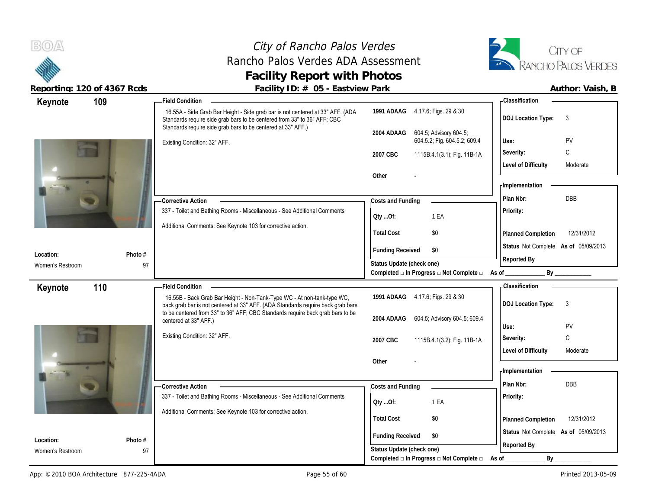# City of Rancho Palos Verdes Rancho Palos Verdes ADA Assessment **Facility Report with Photos**



| 109<br>Keynote                |               | <b>Field Condition</b>                                                                                                                                                                                                     |                                                                      | <b>Classification</b>                     |
|-------------------------------|---------------|----------------------------------------------------------------------------------------------------------------------------------------------------------------------------------------------------------------------------|----------------------------------------------------------------------|-------------------------------------------|
|                               |               | 16.55A - Side Grab Bar Height - Side grab bar is not centered at 33" AFF. (ADA<br>Standards require side grab bars to be centered from 33" to 36" AFF; CBC<br>Standards require side grab bars to be centered at 33" AFF.) | 1991 ADAAG 4.17.6; Figs. 29 & 30                                     | <b>DOJ Location Type:</b><br>3            |
|                               |               | Existing Condition: 32" AFF.                                                                                                                                                                                               | 604.5; Advisory 604.5;<br>2004 ADAAG<br>604.5.2; Fig. 604.5.2; 609.4 | PV<br>Use:                                |
|                               |               |                                                                                                                                                                                                                            | 2007 CBC<br>1115B.4.1(3.1); Fig. 11B-1A                              | C<br>Severity:                            |
|                               |               |                                                                                                                                                                                                                            |                                                                      | <b>Level of Difficulty</b><br>Moderate    |
|                               |               |                                                                                                                                                                                                                            | Other                                                                |                                           |
|                               |               |                                                                                                                                                                                                                            |                                                                      | <b>Implementation</b>                     |
|                               |               | - Corrective Action                                                                                                                                                                                                        | Costs and Funding                                                    | DBB<br>Plan Nbr:                          |
|                               |               | 337 - Toilet and Bathing Rooms - Miscellaneous - See Additional Comments                                                                                                                                                   | 1 EA<br>QtyOf:                                                       | <b>Priority:</b>                          |
|                               |               | Additional Comments: See Keynote 103 for corrective action.                                                                                                                                                                |                                                                      |                                           |
|                               |               |                                                                                                                                                                                                                            | <b>Total Cost</b><br>\$0                                             | 12/31/2012<br><b>Planned Completion</b>   |
| Location:                     | Photo #       |                                                                                                                                                                                                                            | <b>Funding Received</b><br>\$0                                       | Status Not Complete As of 05/09/2013      |
| Women's Restroom              | 97            |                                                                                                                                                                                                                            | Status Update (check one)                                            | Reported By                               |
|                               |               |                                                                                                                                                                                                                            | Completed □ In Progress □ Not Complete □                             | By<br>As of                               |
| 110<br>Keynote                |               | <b>Field Condition</b>                                                                                                                                                                                                     |                                                                      | Classification                            |
|                               |               | 16.55B - Back Grab Bar Height - Non-Tank-Type WC - At non-tank-type WC,<br>back grab bar is not centered at 33" AFF. (ADA Standards require back grab bars                                                                 | 1991 ADAAG 4.17.6; Figs. 29 & 30                                     | <b>DOJ Location Type:</b><br>$\mathbf{3}$ |
|                               |               | to be centered from 33" to 36" AFF, CBC Standards require back grab bars to be                                                                                                                                             | 604.5; Advisory 604.5; 609.4<br>2004 ADAAG                           |                                           |
|                               |               | centered at 33" AFF.)                                                                                                                                                                                                      |                                                                      | PV<br>Use:                                |
|                               |               | Existing Condition: 32" AFF.                                                                                                                                                                                               | 2007 CBC<br>1115B.4.1(3.2); Fig. 11B-1A                              | C<br>Severity:                            |
|                               |               |                                                                                                                                                                                                                            |                                                                      | <b>Level of Difficulty</b><br>Moderate    |
|                               |               |                                                                                                                                                                                                                            | Other                                                                |                                           |
|                               |               |                                                                                                                                                                                                                            |                                                                      | <b>Implementation</b>                     |
|                               |               | - Corrective Action                                                                                                                                                                                                        | Costs and Funding                                                    | <b>DBB</b><br>Plan Nbr:                   |
|                               |               |                                                                                                                                                                                                                            |                                                                      |                                           |
|                               |               | 337 - Toilet and Bathing Rooms - Miscellaneous - See Additional Comments                                                                                                                                                   | 1 EA<br>QtyOf:                                                       | Priority:                                 |
|                               |               | Additional Comments: See Keynote 103 for corrective action.                                                                                                                                                                |                                                                      |                                           |
|                               |               |                                                                                                                                                                                                                            | <b>Total Cost</b><br>\$0                                             | 12/31/2012<br>Planned Completion          |
|                               |               |                                                                                                                                                                                                                            | <b>Funding Received</b><br>\$0                                       | Status Not Complete As of 05/09/2013      |
| Location:<br>Women's Restroom | Photo #<br>97 |                                                                                                                                                                                                                            | Status Update (check one)                                            | Reported By                               |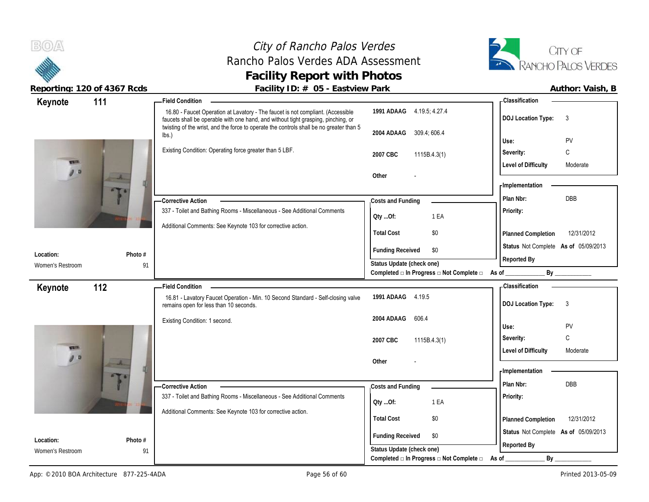**BOA** 

# City of Rancho Palos Verdes Rancho Palos Verdes ADA Assessment **Facility Report with Photos**



| Keynote           | 111                      | Field Condition __                                                                                                                                                                                                                                              |                                                                       | <b>Classification</b>                                |
|-------------------|--------------------------|-----------------------------------------------------------------------------------------------------------------------------------------------------------------------------------------------------------------------------------------------------------------|-----------------------------------------------------------------------|------------------------------------------------------|
|                   |                          | 16.80 - Faucet Operation at Lavatory - The faucet is not compliant. (Accessible<br>faucets shall be operable with one hand, and without tight grasping, pinching, or<br>twisting of the wrist, and the force to operate the controls shall be no greater than 5 | 1991 ADAAG 4.19.5; 4.27.4                                             | <b>DOJ Location Type:</b><br>$\mathbf{3}$            |
|                   |                          | $\mathsf{lbs}$ .)                                                                                                                                                                                                                                               | 2004 ADAAG 309.4; 606.4                                               |                                                      |
|                   |                          |                                                                                                                                                                                                                                                                 |                                                                       | PV<br>Use:                                           |
|                   |                          | Existing Condition: Operating force greater than 5 LBF.                                                                                                                                                                                                         | 2007 CBC<br>1115B.4.3(1)                                              | $\mathsf C$<br>Severity:                             |
| <b>CALL</b><br>90 |                          |                                                                                                                                                                                                                                                                 |                                                                       | <b>Level of Difficulty</b><br>Moderate               |
|                   | $\overline{\phantom{a}}$ |                                                                                                                                                                                                                                                                 | Other                                                                 |                                                      |
|                   |                          |                                                                                                                                                                                                                                                                 |                                                                       | - Implementation                                     |
|                   |                          | - Corrective Action                                                                                                                                                                                                                                             | Costs and Funding                                                     | <b>DBB</b><br>Plan Nbr:                              |
|                   |                          | 337 - Toilet and Bathing Rooms - Miscellaneous - See Additional Comments                                                                                                                                                                                        | 1 EA<br>Oty Of:                                                       | Priority:                                            |
|                   |                          | Additional Comments: See Keynote 103 for corrective action.                                                                                                                                                                                                     |                                                                       |                                                      |
|                   |                          |                                                                                                                                                                                                                                                                 | \$0<br><b>Total Cost</b>                                              | 12/31/2012<br>Planned Completion                     |
|                   |                          |                                                                                                                                                                                                                                                                 | \$0                                                                   | Status Not Complete As of 05/09/2013                 |
| Location:         | Photo #                  |                                                                                                                                                                                                                                                                 | <b>Funding Received</b>                                               | Reported By                                          |
| Women's Restroom  | 91                       |                                                                                                                                                                                                                                                                 | Status Update (check one)                                             |                                                      |
|                   |                          |                                                                                                                                                                                                                                                                 | Completed a In Progress a Not Complete a As of ________               | By                                                   |
| Keynote           | 112                      | <b>Field Condition</b>                                                                                                                                                                                                                                          |                                                                       | - Classification                                     |
|                   |                          | 16.81 - Lavatory Faucet Operation - Min. 10 Second Standard - Self-closing valve<br>remains open for less than 10 seconds.                                                                                                                                      | 1991 ADAAG 4.19.5                                                     | <b>DOJ Location Type:</b><br>$\overline{\mathbf{3}}$ |
|                   |                          | Existing Condition: 1 second.                                                                                                                                                                                                                                   | 2004 ADAAG<br>606.4                                                   |                                                      |
|                   |                          |                                                                                                                                                                                                                                                                 |                                                                       |                                                      |
|                   |                          |                                                                                                                                                                                                                                                                 |                                                                       | PV<br>Use:                                           |
|                   |                          |                                                                                                                                                                                                                                                                 | 2007 CBC<br>1115B.4.3(1)                                              | C<br>Severity:                                       |
|                   |                          |                                                                                                                                                                                                                                                                 |                                                                       | <b>Level of Difficulty</b><br>Moderate               |
| 99                | $\overline{A}$           |                                                                                                                                                                                                                                                                 | Other                                                                 |                                                      |
|                   |                          |                                                                                                                                                                                                                                                                 |                                                                       | - Implementation                                     |
|                   |                          | <b>Corrective Action</b>                                                                                                                                                                                                                                        | Costs and Funding                                                     | DBB<br>Plan Nbr:                                     |
|                   |                          | 337 - Toilet and Bathing Rooms - Miscellaneous - See Additional Comments                                                                                                                                                                                        |                                                                       | Priority:                                            |
|                   |                          |                                                                                                                                                                                                                                                                 | 1 EA<br>Qty Of:                                                       |                                                      |
|                   |                          | Additional Comments: See Keynote 103 for corrective action.                                                                                                                                                                                                     | <b>Total Cost</b><br>\$0                                              | 12/31/2012<br>Planned Completion                     |
|                   |                          |                                                                                                                                                                                                                                                                 |                                                                       |                                                      |
| Location:         | Photo #                  |                                                                                                                                                                                                                                                                 | <b>Funding Received</b><br>\$0                                        | Status Not Complete As of 05/09/2013                 |
| Women's Restroom  | 91                       |                                                                                                                                                                                                                                                                 | Status Update (check one)<br>Completed □ In Progress □ Not Complete □ | Reported By<br>$By$ <sub>—</sub><br>As of            |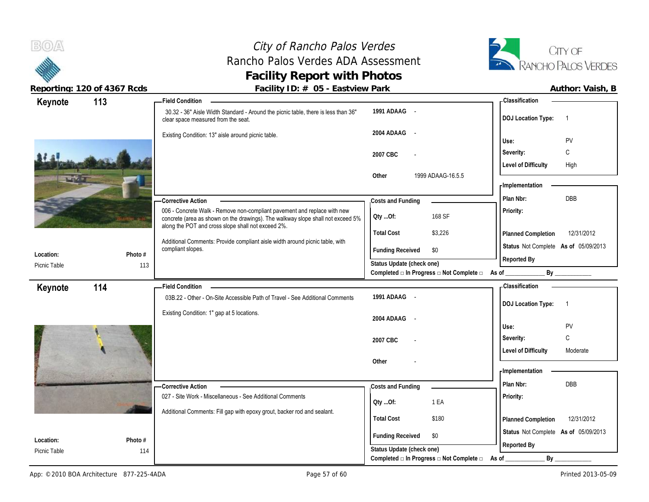**BOA** 

# City of Rancho Palos Verdes Rancho Palos Verdes ADA Assessment **Facility Report with Photos**



|              | Reporting. IZO OF TOOT Read | r donney ribe n oo Lastvictivit and                                                                                                   |                             |                                                                  |                                             |
|--------------|-----------------------------|---------------------------------------------------------------------------------------------------------------------------------------|-----------------------------|------------------------------------------------------------------|---------------------------------------------|
| Keynote      | 113                         | - Field Condition                                                                                                                     |                             |                                                                  | - Classification                            |
|              |                             | 30.32 - 36" Aisle Width Standard - Around the picnic table, there is less than 36"<br>clear space measured from the seat.             | 1991 ADAAG -                |                                                                  | <b>DOJ Location Type:</b><br>$\overline{1}$ |
|              |                             | Existing Condition: 13" aisle around picnic table.                                                                                    | 2004 ADAAG<br>$\sim$ $\sim$ |                                                                  | PV<br>Use:                                  |
|              |                             |                                                                                                                                       |                             |                                                                  | C<br>Severity:                              |
|              |                             |                                                                                                                                       | 2007 CBC                    |                                                                  |                                             |
|              |                             |                                                                                                                                       | Other                       | 1999 ADAAG-16.5.5                                                | <b>Level of Difficulty</b><br>High          |
|              |                             |                                                                                                                                       |                             |                                                                  | <b>Implementation</b>                       |
|              |                             |                                                                                                                                       |                             |                                                                  | DBB<br>Plan Nbr:                            |
|              |                             | <b>Corrective Action</b><br>006 - Concrete Walk - Remove non-compliant pavement and replace with new                                  | Costs and Funding           |                                                                  | Priority:                                   |
|              |                             | concrete (area as shown on the drawings). The walkway slope shall not exceed 5%<br>along the POT and cross slope shall not exceed 2%. | Qty Of:                     | 168 SF                                                           |                                             |
|              |                             |                                                                                                                                       | <b>Total Cost</b>           | \$3,226                                                          | 12/31/2012<br>Planned Completion            |
| Location:    | Photo #                     | Additional Comments: Provide compliant aisle width around picnic table, with<br>compliant slopes.                                     | <b>Funding Received</b>     | \$0                                                              | Status Not Complete As of 05/09/2013        |
| Picnic Table | 113                         |                                                                                                                                       | Status Update (check one)   |                                                                  | Reported By                                 |
|              |                             |                                                                                                                                       |                             | Completed a In Progress a Not Complete a As of ________          | By                                          |
| Keynote      | 114                         | Field Condition -                                                                                                                     |                             |                                                                  | - Classification                            |
|              |                             | 03B.22 - Other - On-Site Accessible Path of Travel - See Additional Comments                                                          | 1991 ADAAG -                |                                                                  | <b>DOJ Location Type:</b><br>$\overline{1}$ |
|              |                             | Existing Condition: 1" gap at 5 locations.                                                                                            | 2004 ADAAG -                |                                                                  |                                             |
|              |                             |                                                                                                                                       |                             |                                                                  | PV<br>Use:                                  |
|              |                             |                                                                                                                                       | 2007 CBC                    |                                                                  | C<br>Severity:                              |
|              |                             |                                                                                                                                       |                             |                                                                  | <b>Level of Difficulty</b><br>Moderate      |
|              |                             |                                                                                                                                       | Other                       |                                                                  |                                             |
|              |                             |                                                                                                                                       |                             |                                                                  | - Implementation                            |
|              |                             | <b>Corrective Action</b>                                                                                                              | Costs and Funding           |                                                                  | Plan Nbr:<br><b>DBB</b>                     |
|              |                             | 027 - Site Work - Miscellaneous - See Additional Comments                                                                             | Qty Of:                     | 1 EA                                                             | Priority:                                   |
|              |                             | Additional Comments: Fill gap with epoxy grout, backer rod and sealant.                                                               | <b>Total Cost</b>           | \$180                                                            | 12/31/2012<br>Planned Completion            |
|              |                             |                                                                                                                                       |                             |                                                                  |                                             |
| Location:    | Photo #                     |                                                                                                                                       | <b>Funding Received</b>     | \$0                                                              | Status Not Complete As of 05/09/2013        |
| Picnic Table | 114                         |                                                                                                                                       | Status Update (check one)   |                                                                  | Reported By                                 |
|              |                             |                                                                                                                                       |                             | Completed $\square$ In Progress $\square$ Not Complete $\square$ | By<br>As of                                 |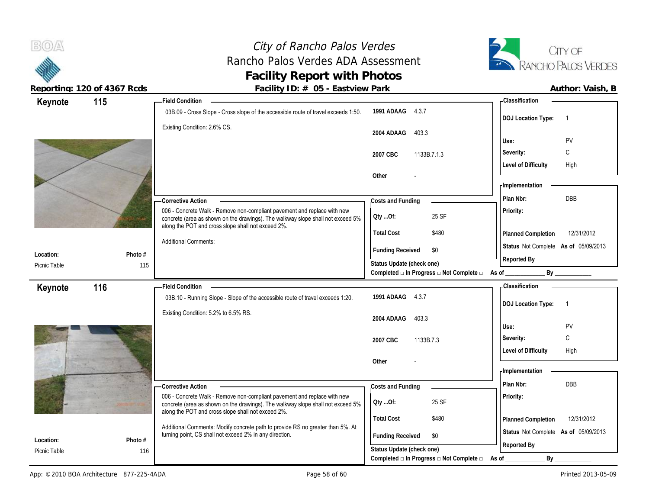# City of Rancho Palos Verdes Rancho Palos Verdes ADA Assessment **Facility Report with Photos**



| Keynote                   | 115            | -Field Condition                                                                                                                                                                                                  |                                                                                               | - Classification                            |
|---------------------------|----------------|-------------------------------------------------------------------------------------------------------------------------------------------------------------------------------------------------------------------|-----------------------------------------------------------------------------------------------|---------------------------------------------|
|                           |                | 03B.09 - Cross Slope - Cross slope of the accessible route of travel exceeds 1:50.                                                                                                                                | 1991 ADAAG 4.3.7                                                                              | <b>DOJ Location Type:</b><br>$\overline{1}$ |
|                           |                | Existing Condition: 2.6% CS.                                                                                                                                                                                      | 403.3<br>2004 ADAAG                                                                           |                                             |
|                           |                |                                                                                                                                                                                                                   |                                                                                               | Use:<br>PV<br>С                             |
|                           |                |                                                                                                                                                                                                                   | 2007 CBC<br>1133B.7.1.3                                                                       | Severity:                                   |
|                           |                |                                                                                                                                                                                                                   | Other                                                                                         | <b>Level of Difficulty</b><br>High          |
|                           |                |                                                                                                                                                                                                                   |                                                                                               | - Implementation                            |
|                           |                | - Corrective Action                                                                                                                                                                                               | Costs and Funding                                                                             | DBB<br>Plan Nbr:                            |
|                           |                | 006 - Concrete Walk - Remove non-compliant pavement and replace with new                                                                                                                                          |                                                                                               | Priority:                                   |
|                           |                | concrete (area as shown on the drawings). The walkway slope shall not exceed 5%<br>along the POT and cross slope shall not exceed 2%.                                                                             | 25 SF<br>QtyOf:                                                                               |                                             |
|                           |                |                                                                                                                                                                                                                   | <b>Total Cost</b><br>\$480                                                                    | 12/31/2012<br>Planned Completion            |
|                           |                | <b>Additional Comments:</b>                                                                                                                                                                                       | <b>Funding Received</b><br>\$0                                                                | Status Not Complete As of 05/09/2013        |
| Location:<br>Picnic Table | Photo #<br>115 |                                                                                                                                                                                                                   | Status Update (check one)                                                                     | Reported By                                 |
|                           |                |                                                                                                                                                                                                                   | Completed $\Box$ In Progress $\Box$ Not Complete $\Box$ As of                                 | By                                          |
| Keynote                   | 116            | <b>Field Condition</b>                                                                                                                                                                                            |                                                                                               | - Classification                            |
|                           |                | 03B.10 - Running Slope - Slope of the accessible route of travel exceeds 1:20.                                                                                                                                    | 1991 ADAAG<br>4.3.7                                                                           | <b>DOJ Location Type:</b><br>$\overline{1}$ |
|                           |                | Existing Condition: 5.2% to 6.5% RS.                                                                                                                                                                              |                                                                                               |                                             |
|                           |                |                                                                                                                                                                                                                   | 403.3<br>2004 ADAAG                                                                           | PV<br>Use:                                  |
|                           |                |                                                                                                                                                                                                                   | 2007 CBC<br>1133B.7.3                                                                         | С<br>Severity:                              |
|                           |                |                                                                                                                                                                                                                   |                                                                                               | <b>Level of Difficulty</b><br>High          |
|                           |                |                                                                                                                                                                                                                   | Other                                                                                         |                                             |
|                           |                |                                                                                                                                                                                                                   |                                                                                               | <b>Implementation</b>                       |
|                           |                | - Corrective Action                                                                                                                                                                                               | Costs and Funding                                                                             | Plan Nbr:<br>DBB                            |
|                           |                | 006 - Concrete Walk - Remove non-compliant pavement and replace with new<br>concrete (area as shown on the drawings). The walkway slope shall not exceed 5%<br>along the POT and cross slope shall not exceed 2%. | 25 SF<br>QtyOf:                                                                               | Priority:                                   |
|                           |                |                                                                                                                                                                                                                   | <b>Total Cost</b><br>\$480                                                                    | 12/31/2012<br>Planned Completion            |
|                           |                | Additional Comments: Modify concrete path to provide RS no greater than 5%. At<br>turning point, CS shall not exceed 2% in any direction.                                                                         | <b>Funding Received</b><br>\$0                                                                | Status Not Complete As of 05/09/2013        |
|                           | Photo #        |                                                                                                                                                                                                                   |                                                                                               |                                             |
| Location:<br>Picnic Table | 116            |                                                                                                                                                                                                                   | Status Update (check one)<br>Completed $\square$ In Progress $\square$ Not Complete $\square$ | Reported By                                 |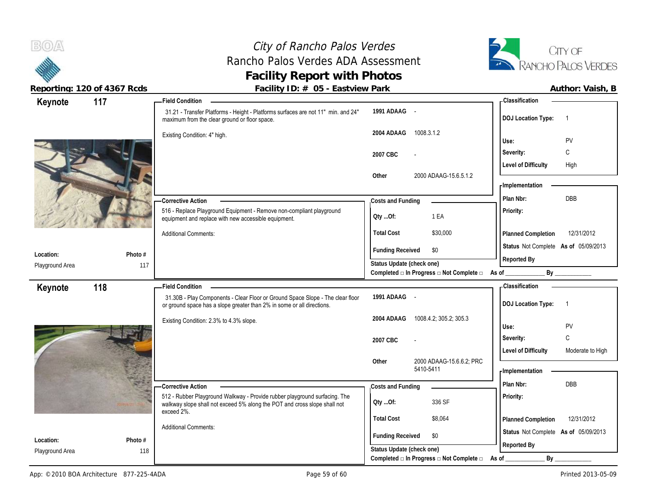# City of Rancho Palos Verdes Rancho Palos Verdes ADA Assessment **Facility Report with Photos**



| Keynote         | 117     | <b>Field Condition</b>                                                                                                                                   |                                                                       | <b>Classification</b>                          |
|-----------------|---------|----------------------------------------------------------------------------------------------------------------------------------------------------------|-----------------------------------------------------------------------|------------------------------------------------|
|                 |         | 31.21 - Transfer Platforms - Height - Platforms surfaces are not 11" min. and 24"<br>maximum from the clear ground or floor space.                       | 1991 ADAAG -                                                          | <b>DOJ Location Type:</b>                      |
|                 |         | Existing Condition: 4" high.                                                                                                                             | 2004 ADAAG<br>1008.3.1.2                                              | PV                                             |
|                 |         |                                                                                                                                                          |                                                                       | Use:<br>C                                      |
|                 |         |                                                                                                                                                          | 2007 CBC                                                              | Severity:                                      |
|                 |         |                                                                                                                                                          | 2000 ADAAG-15.6.5.1.2<br>Other                                        | <b>Level of Difficulty</b><br>High             |
|                 |         |                                                                                                                                                          |                                                                       | - Implementation                               |
|                 |         | <b>Corrective Action</b>                                                                                                                                 | Costs and Funding                                                     | <b>DBB</b><br>Plan Nbr:                        |
|                 |         | 516 - Replace Playground Equipment - Remove non-compliant playground                                                                                     |                                                                       | Priority:                                      |
|                 |         | equipment and replace with new accessible equipment.                                                                                                     | 1 EA<br>QtyOf:                                                        |                                                |
|                 |         | <b>Additional Comments:</b>                                                                                                                              | <b>Total Cost</b><br>\$30,000                                         | 12/31/2012<br>Planned Completion               |
|                 |         |                                                                                                                                                          | <b>Funding Received</b><br>\$0                                        | Status Not Complete As of 05/09/2013           |
| Location:       | Photo # |                                                                                                                                                          | Status Update (check one)                                             | Reported By                                    |
| Playground Area | 117     |                                                                                                                                                          | Completed a In Progress a Not Complete a As of                        | By                                             |
| Keynote         | 118     | <b>Field Condition</b>                                                                                                                                   |                                                                       | <b>Classification</b>                          |
|                 |         | 31.30B - Play Components - Clear Floor or Ground Space Slope - The clear floor<br>or ground space has a slope greater than 2% in some or all directions. | 1991 ADAAG -                                                          | <b>DOJ Location Type:</b><br>-1                |
|                 |         | Existing Condition: 2.3% to 4.3% slope.                                                                                                                  | 2004 ADAAG<br>1008.4.2; 305.2; 305.3                                  | PV<br>Use:                                     |
|                 |         |                                                                                                                                                          | 2007 CBC                                                              | C<br>Severity:                                 |
|                 |         |                                                                                                                                                          |                                                                       | <b>Level of Difficulty</b><br>Moderate to High |
|                 |         |                                                                                                                                                          | 2000 ADAAG-15.6.6.2; PRC<br>Other<br>5410-5411                        |                                                |
|                 |         |                                                                                                                                                          |                                                                       | Implementation                                 |
|                 |         | -Corrective Action                                                                                                                                       | Costs and Funding                                                     | <b>DBB</b><br>Plan Nbr:                        |
|                 |         |                                                                                                                                                          |                                                                       |                                                |
|                 |         | 512 - Rubber Playground Walkway - Provide rubber playground surfacing. The<br>walkway slope shall not exceed 5% along the POT and cross slope shall not  | 336 SF<br>QtyOf:                                                      | Priority:                                      |
|                 |         | exceed 2%.                                                                                                                                               |                                                                       |                                                |
|                 |         | <b>Additional Comments:</b>                                                                                                                              | <b>Total Cost</b><br>\$8,064                                          | 12/31/2012<br><b>Planned Completion</b>        |
| Location:       | Photo # |                                                                                                                                                          | <b>Funding Received</b><br>\$0                                        | Status Not Complete As of 05/09/2013           |
| Playground Area | 118     |                                                                                                                                                          | Status Update (check one)<br>Completed □ In Progress □ Not Complete □ | Reported By<br>$By_$                           |